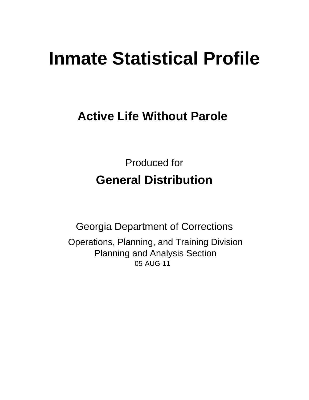# **Inmate Statistical Profile**

# **Active Life Without Parole**

**Produced for General Distribution** 

**Georgia Department of Corrections** Operations, Planning, and Training Division **Planning and Analysis Section** 05-AUG-11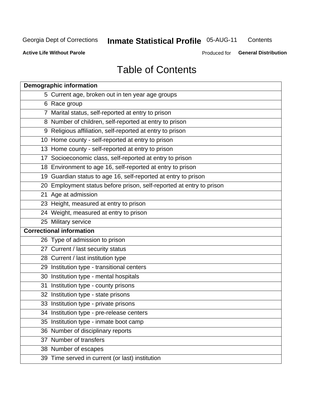# **Inmate Statistical Profile 05-AUG-11**

Contents

**Active Life Without Parole** 

Produced for General Distribution

# **Table of Contents**

|    | <b>Demographic information</b>                                       |
|----|----------------------------------------------------------------------|
|    | 5 Current age, broken out in ten year age groups                     |
|    | 6 Race group                                                         |
|    | 7 Marital status, self-reported at entry to prison                   |
|    | 8 Number of children, self-reported at entry to prison               |
|    | 9 Religious affiliation, self-reported at entry to prison            |
|    | 10 Home county - self-reported at entry to prison                    |
|    | 13 Home county - self-reported at entry to prison                    |
|    | 17 Socioeconomic class, self-reported at entry to prison             |
|    | 18 Environment to age 16, self-reported at entry to prison           |
|    | 19 Guardian status to age 16, self-reported at entry to prison       |
|    | 20 Employment status before prison, self-reported at entry to prison |
|    | 21 Age at admission                                                  |
|    | 23 Height, measured at entry to prison                               |
|    | 24 Weight, measured at entry to prison                               |
|    | 25 Military service                                                  |
|    | <b>Correctional information</b>                                      |
|    | 26 Type of admission to prison                                       |
|    | 27 Current / last security status                                    |
|    | 28 Current / last institution type                                   |
|    | 29 Institution type - transitional centers                           |
|    | 30 Institution type - mental hospitals                               |
|    | 31 Institution type - county prisons                                 |
|    | 32 Institution type - state prisons                                  |
|    | 33 Institution type - private prisons                                |
|    | 34 Institution type - pre-release centers                            |
| 35 | Institution type - inmate boot camp                                  |
|    | 36 Number of disciplinary reports                                    |
|    | 37 Number of transfers                                               |
|    | 38 Number of escapes                                                 |
|    | 39 Time served in current (or last) institution                      |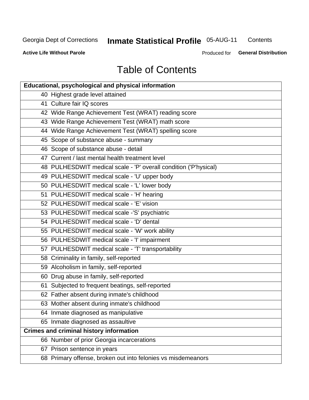# **Inmate Statistical Profile 05-AUG-11**

Contents

**Active Life Without Parole** 

Produced for General Distribution

# **Table of Contents**

| <b>Educational, psychological and physical information</b>       |
|------------------------------------------------------------------|
| 40 Highest grade level attained                                  |
| 41 Culture fair IQ scores                                        |
| 42 Wide Range Achievement Test (WRAT) reading score              |
| 43 Wide Range Achievement Test (WRAT) math score                 |
| 44 Wide Range Achievement Test (WRAT) spelling score             |
| 45 Scope of substance abuse - summary                            |
| 46 Scope of substance abuse - detail                             |
| 47 Current / last mental health treatment level                  |
| 48 PULHESDWIT medical scale - 'P' overall condition ('P'hysical) |
| 49 PULHESDWIT medical scale - 'U' upper body                     |
| 50 PULHESDWIT medical scale - 'L' lower body                     |
| 51 PULHESDWIT medical scale - 'H' hearing                        |
| 52 PULHESDWIT medical scale - 'E' vision                         |
| 53 PULHESDWIT medical scale -'S' psychiatric                     |
| 54 PULHESDWIT medical scale - 'D' dental                         |
| 55 PULHESDWIT medical scale - 'W' work ability                   |
| 56 PULHESDWIT medical scale - 'I' impairment                     |
| 57 PULHESDWIT medical scale - 'T' transportability               |
| 58 Criminality in family, self-reported                          |
| 59 Alcoholism in family, self-reported                           |
| 60 Drug abuse in family, self-reported                           |
| 61 Subjected to frequent beatings, self-reported                 |
| 62 Father absent during inmate's childhood                       |
| 63 Mother absent during inmate's childhood                       |
| 64 Inmate diagnosed as manipulative                              |
| 65 Inmate diagnosed as assaultive                                |
| <b>Crimes and criminal history information</b>                   |
| 66 Number of prior Georgia incarcerations                        |
| 67 Prison sentence in years                                      |
| 68 Primary offense, broken out into felonies vs misdemeanors     |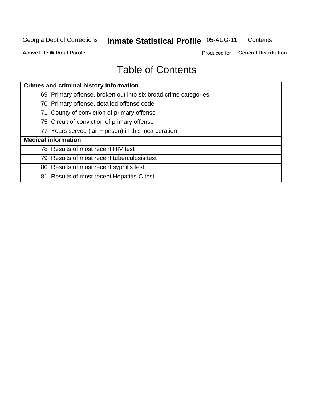#### **Inmate Statistical Profile 05-AUG-11** Contents

**Active Life Without Parole** 

Produced for General Distribution

# **Table of Contents**

| <b>Crimes and criminal history information</b>                 |  |  |  |  |
|----------------------------------------------------------------|--|--|--|--|
| 69 Primary offense, broken out into six broad crime categories |  |  |  |  |
| 70 Primary offense, detailed offense code                      |  |  |  |  |
| 71 County of conviction of primary offense                     |  |  |  |  |
| 75 Circuit of conviction of primary offense                    |  |  |  |  |
| 77 Years served (jail + prison) in this incarceration          |  |  |  |  |
| <b>Medical information</b>                                     |  |  |  |  |
| 78 Results of most recent HIV test                             |  |  |  |  |
| 79 Results of most recent tuberculosis test                    |  |  |  |  |
| 80 Results of most recent syphilis test                        |  |  |  |  |
| 81 Results of most recent Hepatitis-C test                     |  |  |  |  |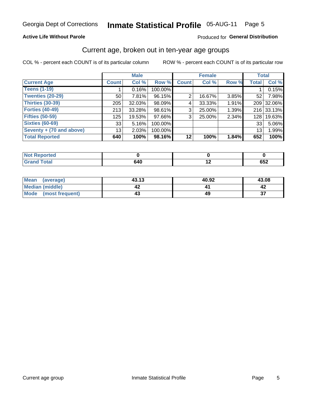#### **Inmate Statistical Profile 05-AUG-11** Page 5

#### **Active Life Without Parole**

#### Produced for General Distribution

#### Current age, broken out in ten-year age groups

COL % - percent each COUNT is of its particular column

|                          |                 | <b>Male</b> |         |              | <b>Female</b> |          | <b>Total</b>     |            |
|--------------------------|-----------------|-------------|---------|--------------|---------------|----------|------------------|------------|
| <b>Current Age</b>       | <b>Count</b>    | Col %       | Row %   | <b>Count</b> | Col %         | Row %    | <b>Total</b>     | Col %      |
| <b>Teens (1-19)</b>      |                 | 0.16%       | 100.00% |              |               |          |                  | 0.15%      |
| <b>Twenties (20-29)</b>  | 50              | 7.81%       | 96.15%  | 2            | 16.67%        | $3.85\%$ | 52               | 7.98%      |
| Thirties (30-39)         | 205             | $32.03\%$   | 98.09%  | 4            | 33.33%        | 1.91%    | 209              | 32.06%     |
| <b>Forties (40-49)</b>   | 213             | $33.28\%$   | 98.61%  | 3            | 25.00%        | 1.39%    |                  | 216 33.13% |
| <b>Fifties (50-59)</b>   | 125             | 19.53%      | 97.66%  | 3            | 25.00%        | 2.34%    | 128 <sup>1</sup> | 19.63%     |
| <b>Sixties (60-69)</b>   | 33              | 5.16%       | 100.00% |              |               |          | 33               | 5.06%      |
| Seventy + (70 and above) | 13 <sub>1</sub> | 2.03%       | 100.00% |              |               |          | 13 <sub>1</sub>  | 1.99%      |
| <b>Total Reported</b>    | 640             | 100%        | 98.16%  | 12           | 100%          | 1.84%    | 652              | 100%       |

| <b>A. A. A.</b>   |    |                          |     |
|-------------------|----|--------------------------|-----|
| Code <sup>2</sup> | .  | $\overline{\phantom{a}}$ | een |
| ______            | יכ |                          | ∠טט |

| <b>Mean</b><br>(average) | 43.13 | 40.92 | 43.08     |
|--------------------------|-------|-------|-----------|
| Median (middle)          |       |       |           |
| Mode (most frequent)     |       |       | ^-<br>. پ |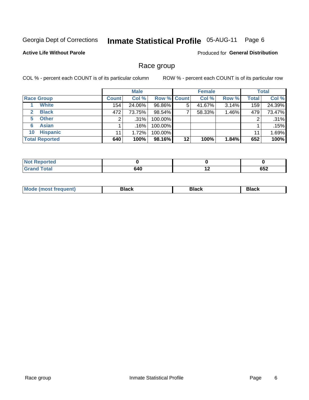#### **Inmate Statistical Profile 05-AUG-11** Page 6

#### **Active Life Without Parole**

Produced for General Distribution

#### Race group

COL % - percent each COUNT is of its particular column

|                              |              | <b>Male</b> |                    |    | <b>Female</b> |       |              | <b>Total</b> |
|------------------------------|--------------|-------------|--------------------|----|---------------|-------|--------------|--------------|
| <b>Race Group</b>            | <b>Count</b> | Col %       | <b>Row % Count</b> |    | Col %         | Row % | <b>Total</b> | Col %        |
| <b>White</b>                 | 154          | 24.06%      | 96.86%             | 5  | 41.67%        | 3.14% | 159          | 24.39%       |
| <b>Black</b><br>$\mathbf{2}$ | 472          | 73.75%      | 98.54%             |    | 58.33%        | 1.46% | 479          | 73.47%       |
| <b>Other</b><br>5.           |              | $.31\%$     | 100.00%            |    |               |       | 2            | .31%         |
| <b>Asian</b><br>6            |              | $.16\%$     | 100.00%            |    |               |       |              | .15%         |
| <b>Hispanic</b><br>10        | 11           | 1.72%       | 100.00%            |    |               |       | 11           | 1.69%        |
| <b>Total Reported</b>        | 640          | 100%        | 98.16%             | 12 | 100%          | 1.84% | 652          | 100%         |

| ted: |           |     |                |
|------|-----------|-----|----------------|
|      | 640<br>__ | . . | <u></u><br>O⊃∠ |

| M | - - - | Piavn |
|---|-------|-------|
|   |       |       |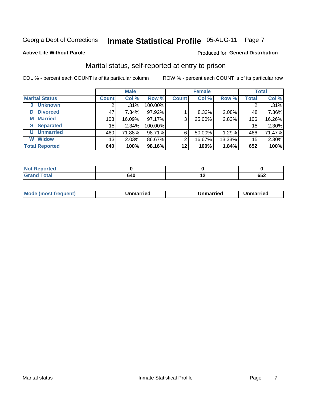### Inmate Statistical Profile 05-AUG-11 Page 7

#### **Active Life Without Parole**

#### Produced for General Distribution

### Marital status, self-reported at entry to prison

COL % - percent each COUNT is of its particular column

|                            |                 | <b>Male</b> |         |              | <b>Female</b> |        |       | <b>Total</b> |
|----------------------------|-----------------|-------------|---------|--------------|---------------|--------|-------|--------------|
| <b>Marital Status</b>      | <b>Count</b>    | Col %       | Row %   | <b>Count</b> | Col %         | Row %  | Total | Col %        |
| <b>Unknown</b><br>$\bf{0}$ |                 | $.31\%$     | 100.00% |              |               |        | 2     | .31%         |
| <b>Divorced</b><br>D       | 47              | $7.34\%$    | 97.92%  |              | 8.33%         | 2.08%  | 48    | 7.36%        |
| <b>Married</b><br>М        | 103             | 16.09%      | 97.17%  | 3            | 25.00%        | 2.83%  | 106   | 16.26%       |
| <b>Separated</b><br>S      | 15 <sub>1</sub> | 2.34%       | 100.00% |              |               |        | 15    | 2.30%        |
| <b>Unmarried</b><br>U      | 460             | 71.88%      | 98.71%  | 6            | 50.00%        | 1.29%  | 466   | 71.47%       |
| <b>Widow</b><br>W          | 13              | 2.03%       | 86.67%  | 2            | 16.67%        | 13.33% | 15    | 2.30%        |
| <b>Total Reported</b>      | 640             | 100%        | 98.16%  | 12           | 100%          | 1.84%  | 652   | 100%         |

| <b>Not Repo</b><br><b>orted</b><br>. <b>.</b> <u>.</u> |  |              |
|--------------------------------------------------------|--|--------------|
| <b>Total</b>                                           |  | ים ה<br>ັບວ∠ |

|  | M | . | Unmarried | າmarried<br>_____ |
|--|---|---|-----------|-------------------|
|--|---|---|-----------|-------------------|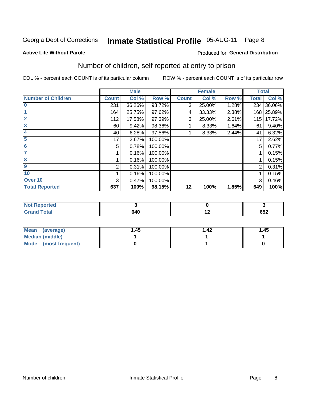#### **Inmate Statistical Profile 05-AUG-11** Page 8

#### **Active Life Without Parole**

#### Produced for General Distribution

### Number of children, self reported at entry to prison

COL % - percent each COUNT is of its particular column

|                           |              | <b>Male</b> |         |              | <b>Female</b> |       |              | <b>Total</b> |
|---------------------------|--------------|-------------|---------|--------------|---------------|-------|--------------|--------------|
| <b>Number of Children</b> | <b>Count</b> | Col %       | Row %   | <b>Count</b> | Col %         | Row % | <b>Total</b> | Col %        |
| $\bf{0}$                  | 231          | 36.26%      | 98.72%  | 3            | 25.00%        | 1.28% | 234          | 36.06%       |
|                           | 164          | 25.75%      | 97.62%  | 4            | 33.33%        | 2.38% | 168          | 25.89%       |
| $\overline{2}$            | 112          | 17.58%      | 97.39%  | 3            | 25.00%        | 2.61% | 115          | 17.72%       |
| 3                         | 60           | 9.42%       | 98.36%  |              | 8.33%         | 1.64% | 61           | 9.40%        |
| 4                         | 40           | 6.28%       | 97.56%  |              | 8.33%         | 2.44% | 41           | 6.32%        |
| 5                         | 17           | 2.67%       | 100.00% |              |               |       | 17           | 2.62%        |
| $\overline{6}$            | 5            | 0.78%       | 100.00% |              |               |       | 5            | 0.77%        |
|                           |              | 0.16%       | 100.00% |              |               |       |              | 0.15%        |
| 8                         |              | 0.16%       | 100.00% |              |               |       |              | 0.15%        |
| $\boldsymbol{9}$          | 2            | 0.31%       | 100.00% |              |               |       | 2            | 0.31%        |
| 10                        |              | 0.16%       | 100.00% |              |               |       |              | 0.15%        |
| Over 10                   | 3            | 0.47%       | 100.00% |              |               |       | 3            | 0.46%        |
| <b>Total Reported</b>     | 637          | 100%        | 98.15%  | 12           | 100%          | 1.85% | 649          | 100%         |

| د د ه<br>rtea                            |       |                   |
|------------------------------------------|-------|-------------------|
| $T0$ tol<br>$\sim$ $\sim$ $\sim$<br>υιαι | 6 Y U | <b>CEO</b><br>νυ∠ |

| Mean<br>(average)       | l.45 | l.42 | 1.45 |
|-------------------------|------|------|------|
| <b>Median (middle)</b>  |      |      |      |
| Mode<br>(most frequent) |      |      |      |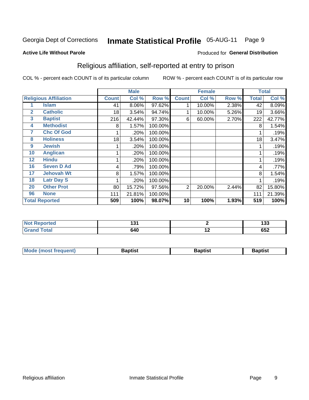#### **Inmate Statistical Profile 05-AUG-11** Page 9

Produced for General Distribution

#### **Active Life Without Parole**

#### Religious affiliation, self-reported at entry to prison

COL % - percent each COUNT is of its particular column

|              |                              |              | <b>Male</b> |         |              | <b>Female</b> |       |       | <b>Total</b> |
|--------------|------------------------------|--------------|-------------|---------|--------------|---------------|-------|-------|--------------|
|              | <b>Religious Affiliation</b> | <b>Count</b> | Col %       | Row %   | <b>Count</b> | Col %         | Row % | Total | Col %        |
|              | <b>Islam</b>                 | 41           | 8.06%       | 97.62%  |              | 10.00%        | 2.38% | 42    | 8.09%        |
| $\mathbf{2}$ | <b>Catholic</b>              | 18           | 3.54%       | 94.74%  |              | 10.00%        | 5.26% | 19    | 3.66%        |
| 3            | <b>Baptist</b>               | 216          | 42.44%      | 97.30%  | 6            | 60.00%        | 2.70% | 222   | 42.77%       |
| 4            | <b>Methodist</b>             | 8            | 1.57%       | 100.00% |              |               |       | 8     | 1.54%        |
| 7            | <b>Chc Of God</b>            |              | .20%        | 100.00% |              |               |       |       | .19%         |
| 8            | <b>Holiness</b>              | 18           | 3.54%       | 100.00% |              |               |       | 18    | 3.47%        |
| 9            | <b>Jewish</b>                |              | .20%        | 100.00% |              |               |       |       | .19%         |
| 10           | <b>Anglican</b>              |              | .20%        | 100.00% |              |               |       |       | .19%         |
| 12           | <b>Hindu</b>                 |              | .20%        | 100.00% |              |               |       |       | .19%         |
| 16           | <b>Seven D Ad</b>            | 4            | .79%        | 100.00% |              |               |       | 4     | .77%         |
| 17           | <b>Jehovah Wt</b>            | 8            | 1.57%       | 100.00% |              |               |       | 8     | 1.54%        |
| 18           | <b>Latr Day S</b>            |              | .20%        | 100.00% |              |               |       |       | .19%         |
| 20           | <b>Other Prot</b>            | 80           | 15.72%      | 97.56%  | 2            | 20.00%        | 2.44% | 82    | 15.80%       |
| 96           | <b>None</b>                  | 111          | 21.81%      | 100.00% |              |               |       | 111   | 21.39%       |
|              | <b>Total Reported</b>        | 509          | 100%        | 98.07%  | 10           | 100%          | 1.93% | 519   | 100%         |

| Reported<br>$\sim$ | וטו |        | .<br>ננו |
|--------------------|-----|--------|----------|
| $f = 4 \pi$        | 640 | $\sim$ | いいつ      |

| <b>Mode (most frequent)</b><br>Baptist | Baptist | 3aptist |
|----------------------------------------|---------|---------|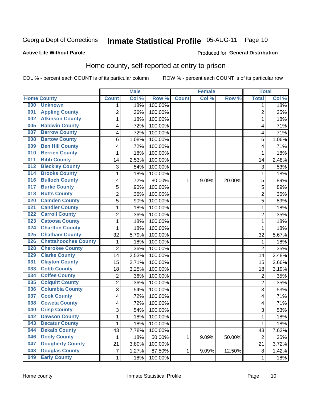# Inmate Statistical Profile 05-AUG-11 Page 10

#### **Active Life Without Parole**

#### **Produced for General Distribution**

### Home county, self-reported at entry to prison

COL % - percent each COUNT is of its particular column

|     |                             |                | <b>Male</b> |         |              | <b>Female</b> |        | <b>Total</b>   |       |
|-----|-----------------------------|----------------|-------------|---------|--------------|---------------|--------|----------------|-------|
|     | <b>Home County</b>          | <b>Count</b>   | Col %       | Row %   | <b>Count</b> | Col%          | Row %  | <b>Total</b>   | Col % |
| 000 | <b>Unknown</b>              | 1              | .18%        | 100.00% |              |               |        | 1              | .18%  |
| 001 | <b>Appling County</b>       | $\overline{2}$ | .36%        | 100.00% |              |               |        | $\overline{2}$ | .35%  |
| 002 | <b>Atkinson County</b>      | $\mathbf 1$    | .18%        | 100.00% |              |               |        | 1              | .18%  |
| 005 | <b>Baldwin County</b>       | 4              | .72%        | 100.00% |              |               |        | 4              | .71%  |
| 007 | <b>Barrow County</b>        | 4              | .72%        | 100.00% |              |               |        | 4              | .71%  |
| 008 | <b>Bartow County</b>        | 6              | 1.08%       | 100.00% |              |               |        | 6              | 1.06% |
| 009 | <b>Ben Hill County</b>      | 4              | .72%        | 100.00% |              |               |        | 4              | .71%  |
| 010 | <b>Berrien County</b>       | 1              | .18%        | 100.00% |              |               |        | 1              | .18%  |
| 011 | <b>Bibb County</b>          | 14             | 2.53%       | 100.00% |              |               |        | 14             | 2.48% |
| 012 | <b>Bleckley County</b>      | 3              | .54%        | 100.00% |              |               |        | 3              | .53%  |
| 014 | <b>Brooks County</b>        | $\mathbf 1$    | .18%        | 100.00% |              |               |        | 1              | .18%  |
| 016 | <b>Bulloch County</b>       | 4              | .72%        | 80.00%  | 1            | 9.09%         | 20.00% | 5              | .89%  |
| 017 | <b>Burke County</b>         | 5              | .90%        | 100.00% |              |               |        | 5              | .89%  |
| 018 | <b>Butts County</b>         | $\overline{c}$ | .36%        | 100.00% |              |               |        | $\overline{2}$ | .35%  |
| 020 | <b>Camden County</b>        | 5              | .90%        | 100.00% |              |               |        | 5              | .89%  |
| 021 | <b>Candler County</b>       | 1              | .18%        | 100.00% |              |               |        | 1              | .18%  |
| 022 | <b>Carroll County</b>       | $\overline{2}$ | .36%        | 100.00% |              |               |        | $\overline{2}$ | .35%  |
| 023 | <b>Catoosa County</b>       | 1              | .18%        | 100.00% |              |               |        | 1              | .18%  |
| 024 | <b>Charlton County</b>      | 1              | .18%        | 100.00% |              |               |        | 1              | .18%  |
| 025 | <b>Chatham County</b>       | 32             | 5.79%       | 100.00% |              |               |        | 32             | 5.67% |
| 026 | <b>Chattahoochee County</b> | $\mathbf 1$    | .18%        | 100.00% |              |               |        | 1              | .18%  |
| 028 | <b>Cherokee County</b>      | $\overline{2}$ | .36%        | 100.00% |              |               |        | $\overline{2}$ | .35%  |
| 029 | <b>Clarke County</b>        | 14             | 2.53%       | 100.00% |              |               |        | 14             | 2.48% |
| 031 | <b>Clayton County</b>       | 15             | 2.71%       | 100.00% |              |               |        | 15             | 2.66% |
| 033 | <b>Cobb County</b>          | 18             | 3.25%       | 100.00% |              |               |        | 18             | 3.19% |
| 034 | <b>Coffee County</b>        | 2              | .36%        | 100.00% |              |               |        | $\overline{2}$ | .35%  |
| 035 | <b>Colquitt County</b>      | $\overline{2}$ | .36%        | 100.00% |              |               |        | $\overline{2}$ | .35%  |
| 036 | <b>Columbia County</b>      | 3              | .54%        | 100.00% |              |               |        | 3              | .53%  |
| 037 | <b>Cook County</b>          | 4              | .72%        | 100.00% |              |               |        | 4              | .71%  |
| 038 | <b>Coweta County</b>        | 4              | .72%        | 100.00% |              |               |        | 4              | .71%  |
| 040 | <b>Crisp County</b>         | 3              | .54%        | 100.00% |              |               |        | 3              | .53%  |
| 042 | <b>Dawson County</b>        | 1              | .18%        | 100.00% |              |               |        | 1              | .18%  |
| 043 | <b>Decatur County</b>       | $\mathbf 1$    | .18%        | 100.00% |              |               |        | 1              | .18%  |
| 044 | <b>Dekalb County</b>        | 43             | 7.78%       | 100.00% |              |               |        | 43             | 7.62% |
| 046 | <b>Dooly County</b>         | 1              | .18%        | 50.00%  | 1            | 9.09%         | 50.00% | $\overline{2}$ | .35%  |
| 047 | <b>Dougherty County</b>     | 21             | 3.80%       | 100.00% |              |               |        | 21             | 3.72% |
| 048 | <b>Douglas County</b>       | $\overline{7}$ | 1.27%       | 87.50%  | 1            | 9.09%         | 12.50% | 8              | 1.42% |
| 049 | <b>Early County</b>         | $\mathbf{1}$   | .18%        | 100.00% |              |               |        | 1              | .18%  |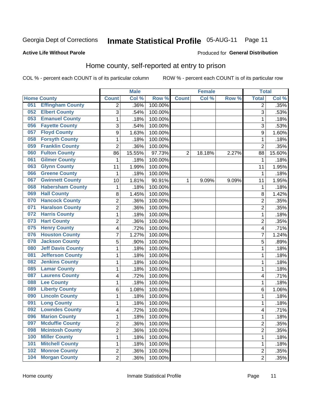# Inmate Statistical Profile 05-AUG-11 Page 11

#### **Active Life Without Parole**

#### Produced for General Distribution

#### Home county, self-reported at entry to prison

COL % - percent each COUNT is of its particular column

|     |                          |                         | <b>Male</b> |                  |                | <b>Female</b> |       | <b>Total</b>   |        |
|-----|--------------------------|-------------------------|-------------|------------------|----------------|---------------|-------|----------------|--------|
|     | <b>Home County</b>       | <b>Count</b>            | Col %       | Row <sup>%</sup> | <b>Count</b>   | Col %         | Row % | <b>Total</b>   | Col %  |
| 051 | <b>Effingham County</b>  | $\overline{2}$          | .36%        | 100.00%          |                |               |       | 2              | .35%   |
| 052 | <b>Elbert County</b>     | 3                       | .54%        | 100.00%          |                |               |       | 3              | .53%   |
| 053 | <b>Emanuel County</b>    | $\mathbf{1}$            | .18%        | 100.00%          |                |               |       | 1              | .18%   |
| 056 | <b>Fayette County</b>    | 3                       | .54%        | 100.00%          |                |               |       | 3              | .53%   |
| 057 | <b>Floyd County</b>      | 9                       | 1.63%       | 100.00%          |                |               |       | 9              | 1.60%  |
| 058 | <b>Forsyth County</b>    | 1                       | .18%        | 100.00%          |                |               |       | 1              | .18%   |
| 059 | <b>Franklin County</b>   | $\overline{2}$          | .36%        | 100.00%          |                |               |       | $\overline{2}$ | .35%   |
| 060 | <b>Fulton County</b>     | 86                      | 15.55%      | 97.73%           | $\overline{2}$ | 18.18%        | 2.27% | 88             | 15.60% |
| 061 | <b>Gilmer County</b>     | 1                       | .18%        | 100.00%          |                |               |       | 1              | .18%   |
| 063 | <b>Glynn County</b>      | 11                      | 1.99%       | 100.00%          |                |               |       | 11             | 1.95%  |
| 066 | <b>Greene County</b>     | 1                       | .18%        | 100.00%          |                |               |       | 1              | .18%   |
| 067 | <b>Gwinnett County</b>   | 10                      | 1.81%       | 90.91%           | 1              | 9.09%         | 9.09% | 11             | 1.95%  |
| 068 | <b>Habersham County</b>  | 1                       | .18%        | 100.00%          |                |               |       | 1              | .18%   |
| 069 | <b>Hall County</b>       | 8                       | 1.45%       | 100.00%          |                |               |       | 8              | 1.42%  |
| 070 | <b>Hancock County</b>    | $\overline{2}$          | .36%        | 100.00%          |                |               |       | 2              | .35%   |
| 071 | <b>Haralson County</b>   | $\overline{2}$          | .36%        | 100.00%          |                |               |       | $\overline{2}$ | .35%   |
| 072 | <b>Harris County</b>     | 1                       | .18%        | 100.00%          |                |               |       | 1              | .18%   |
| 073 | <b>Hart County</b>       | $\overline{2}$          | .36%        | 100.00%          |                |               |       | $\overline{2}$ | .35%   |
| 075 | <b>Henry County</b>      | $\overline{\mathbf{4}}$ | .72%        | 100.00%          |                |               |       | 4              | .71%   |
| 076 | <b>Houston County</b>    | 7                       | 1.27%       | 100.00%          |                |               |       | 7              | 1.24%  |
| 078 | <b>Jackson County</b>    | 5                       | .90%        | 100.00%          |                |               |       | 5              | .89%   |
| 080 | <b>Jeff Davis County</b> | 1                       | .18%        | 100.00%          |                |               |       | 1              | .18%   |
| 081 | <b>Jefferson County</b>  | $\mathbf{1}$            | .18%        | 100.00%          |                |               |       | 1              | .18%   |
| 082 | <b>Jenkins County</b>    | 1                       | .18%        | 100.00%          |                |               |       | 1              | .18%   |
| 085 | <b>Lamar County</b>      | 1                       | .18%        | 100.00%          |                |               |       | 1              | .18%   |
| 087 | <b>Laurens County</b>    | 4                       | .72%        | 100.00%          |                |               |       | 4              | .71%   |
| 088 | <b>Lee County</b>        | 1                       | .18%        | 100.00%          |                |               |       | 1              | .18%   |
| 089 | <b>Liberty County</b>    | 6                       | 1.08%       | 100.00%          |                |               |       | 6              | 1.06%  |
| 090 | <b>Lincoln County</b>    | 1                       | .18%        | 100.00%          |                |               |       | 1              | .18%   |
| 091 | <b>Long County</b>       | 1                       | .18%        | 100.00%          |                |               |       | 1              | .18%   |
| 092 | <b>Lowndes County</b>    | 4                       | .72%        | 100.00%          |                |               |       | 4              | .71%   |
| 096 | <b>Marion County</b>     | 1                       | .18%        | 100.00%          |                |               |       | 1              | .18%   |
| 097 | <b>Mcduffie County</b>   | $\overline{2}$          | .36%        | 100.00%          |                |               |       | 2              | .35%   |
| 098 | <b>Mcintosh County</b>   | $\overline{2}$          | .36%        | 100.00%          |                |               |       | $\overline{2}$ | .35%   |
| 100 | <b>Miller County</b>     | $\mathbf{1}$            | .18%        | 100.00%          |                |               |       | 1              | .18%   |
| 101 | <b>Mitchell County</b>   | 1                       | .18%        | 100.00%          |                |               |       | 1              | .18%   |
| 102 | <b>Monroe County</b>     | $\overline{2}$          | .36%        | 100.00%          |                |               |       | 2              | .35%   |
| 104 | <b>Morgan County</b>     | $\overline{2}$          | .36%        | 100.00%          |                |               |       | $\overline{2}$ | .35%   |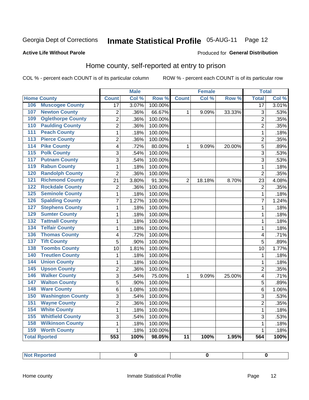# Inmate Statistical Profile 05-AUG-11 Page 12

#### **Active Life Without Parole**

#### Produced for General Distribution

### Home county, self-reported at entry to prison

COL % - percent each COUNT is of its particular column

|                                 |                | <b>Male</b> |         |                 | <b>Female</b> |        | <b>Total</b>    |       |
|---------------------------------|----------------|-------------|---------|-----------------|---------------|--------|-----------------|-------|
| <b>Home County</b>              | <b>Count</b>   | Col %       | Row %   | <b>Count</b>    | Col %         | Row %  | <b>Total</b>    | Col % |
| <b>Muscogee County</b><br>106   | 17             | 3.07%       | 100.00% |                 |               |        | $\overline{17}$ | 3.01% |
| 107<br><b>Newton County</b>     | $\overline{2}$ | .36%        | 66.67%  | 1               | 9.09%         | 33.33% | 3               | .53%  |
| <b>Oglethorpe County</b><br>109 | $\overline{2}$ | .36%        | 100.00% |                 |               |        | $\overline{2}$  | .35%  |
| <b>Paulding County</b><br>110   | $\overline{2}$ | .36%        | 100.00% |                 |               |        | $\overline{2}$  | .35%  |
| <b>Peach County</b><br>111      | $\mathbf 1$    | .18%        | 100.00% |                 |               |        | $\mathbf 1$     | .18%  |
| <b>Pierce County</b><br>113     | $\overline{c}$ | .36%        | 100.00% |                 |               |        | $\overline{2}$  | .35%  |
| <b>Pike County</b><br>114       | $\overline{4}$ | .72%        | 80.00%  | 1               | 9.09%         | 20.00% | $\overline{5}$  | .89%  |
| <b>Polk County</b><br>115       | 3              | .54%        | 100.00% |                 |               |        | 3               | .53%  |
| 117<br><b>Putnam County</b>     | 3              | .54%        | 100.00% |                 |               |        | 3               | .53%  |
| <b>Rabun County</b><br>119      | $\mathbf 1$    | .18%        | 100.00% |                 |               |        | $\mathbf 1$     | .18%  |
| <b>Randolph County</b><br>120   | $\overline{2}$ | .36%        | 100.00% |                 |               |        | $\overline{2}$  | .35%  |
| <b>Richmond County</b><br>121   | 21             | 3.80%       | 91.30%  | $\overline{2}$  | 18.18%        | 8.70%  | 23              | 4.08% |
| <b>Rockdale County</b><br>122   | $\overline{2}$ | .36%        | 100.00% |                 |               |        | $\overline{2}$  | .35%  |
| 125<br><b>Seminole County</b>   | $\mathbf{1}$   | .18%        | 100.00% |                 |               |        | 1               | .18%  |
| <b>Spalding County</b><br>126   | $\overline{7}$ | 1.27%       | 100.00% |                 |               |        | 7               | 1.24% |
| <b>Stephens County</b><br>127   | $\mathbf{1}$   | .18%        | 100.00% |                 |               |        | 1               | .18%  |
| <b>Sumter County</b><br>129     | $\mathbf{1}$   | .18%        | 100.00% |                 |               |        | 1               | .18%  |
| <b>Tattnall County</b><br>132   | $\mathbf{1}$   | .18%        | 100.00% |                 |               |        | 1               | .18%  |
| <b>Telfair County</b><br>134    | $\mathbf{1}$   | .18%        | 100.00% |                 |               |        | 1               | .18%  |
| <b>Thomas County</b><br>136     | 4              | .72%        | 100.00% |                 |               |        | 4               | .71%  |
| <b>Tift County</b><br>137       | 5              | .90%        | 100.00% |                 |               |        | 5               | .89%  |
| <b>Toombs County</b><br>138     | 10             | 1.81%       | 100.00% |                 |               |        | 10              | 1.77% |
| <b>Treutlen County</b><br>140   | $\mathbf 1$    | .18%        | 100.00% |                 |               |        | 1               | .18%  |
| <b>Union County</b><br>144      | $\mathbf{1}$   | .18%        | 100.00% |                 |               |        | 1               | .18%  |
| <b>Upson County</b><br>145      | $\overline{2}$ | .36%        | 100.00% |                 |               |        | $\overline{2}$  | .35%  |
| <b>Walker County</b><br>146     | 3              | .54%        | 75.00%  | 1               | 9.09%         | 25.00% | 4               | .71%  |
| <b>Walton County</b><br>147     | 5              | .90%        | 100.00% |                 |               |        | 5               | .89%  |
| <b>Ware County</b><br>148       | 6              | 1.08%       | 100.00% |                 |               |        | 6               | 1.06% |
| <b>Washington County</b><br>150 | 3              | .54%        | 100.00% |                 |               |        | 3               | .53%  |
| <b>Wayne County</b><br>151      | $\overline{2}$ | .36%        | 100.00% |                 |               |        | $\overline{2}$  | .35%  |
| <b>White County</b><br>154      | $\mathbf 1$    | .18%        | 100.00% |                 |               |        | 1               | .18%  |
| <b>Whitfield County</b><br>155  | 3              | .54%        | 100.00% |                 |               |        | 3               | .53%  |
| 158<br><b>Wilkinson County</b>  | $\mathbf{1}$   | .18%        | 100.00% |                 |               |        | 1               | .18%  |
| 159<br><b>Worth County</b>      | 1              | .18%        | 100.00% |                 |               |        | 1               | .18%  |
| <b>Total Rported</b>            | 553            | 100%        | 98.05%  | $\overline{11}$ | 100%          | 1.95%  | 564             | 100%  |

| <b>Not Reported</b> |  |  |
|---------------------|--|--|
|                     |  |  |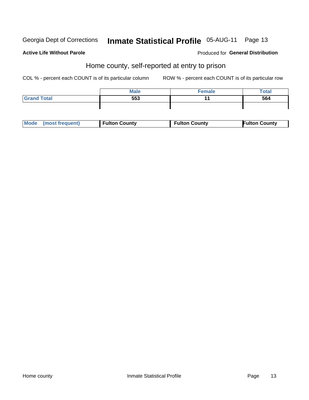# Inmate Statistical Profile 05-AUG-11 Page 13

#### **Active Life Without Parole**

#### **Produced for General Distribution**

#### Home county, self-reported at entry to prison

COL % - percent each COUNT is of its particular column

|                    | <b>Male</b> | Female | <b>Total</b> |
|--------------------|-------------|--------|--------------|
| <b>Grand Total</b> | 553         | . .    | 564          |
|                    |             |        |              |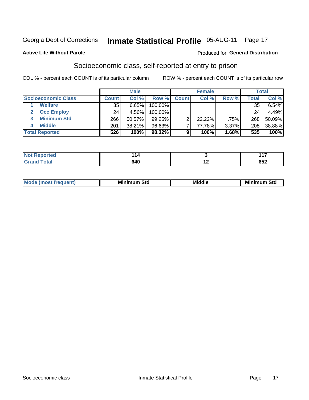### Inmate Statistical Profile 05-AUG-11 Page 17

#### **Active Life Without Parole**

#### Produced for General Distribution

### Socioeconomic class, self-reported at entry to prison

COL % - percent each COUNT is of its particular column

|                       |        | <b>Male</b> |           |              | <b>Female</b> |       |       | <b>Total</b> |
|-----------------------|--------|-------------|-----------|--------------|---------------|-------|-------|--------------|
| Socioeconomic Class   | Count⊺ | Col %       | Row %     | <b>Count</b> | Col %         | Row % | Total | Col %        |
| <b>Welfare</b>        | 35     | 6.65%       | 100.00%   |              |               |       | 35    | $6.54\%$     |
| <b>Occ Employ</b>     | 24     | 4.56%       | 100.00%   |              |               |       | 24    | 4.49%        |
| <b>Minimum Std</b>    | 266    | 50.57%      | $99.25\%$ |              | 22.22%        | .75%  | 268   | $50.09\%$    |
| <b>Middle</b>         | 201    | 38.21%      | 96.63%    |              | 77.78%        | 3.37% | 208   | 38.88%       |
| <b>Total Reported</b> | 526    | 100%        | 98.32%    |              | 100%          | 1.68% | 535   | 100%         |

| m.    |            | .<br>а а   |
|-------|------------|------------|
| _____ | 640<br>- - | ^-^<br>υυ∠ |

| ____ |
|------|
|------|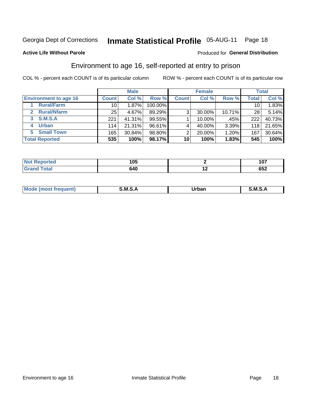### Inmate Statistical Profile 05-AUG-11 Page 18

#### **Active Life Without Parole**

#### Produced for General Distribution

### Environment to age 16, self-reported at entry to prison

COL % - percent each COUNT is of its particular column

|                              |                 | <b>Male</b> |         |              | <b>Female</b> |        |              | <b>Total</b> |
|------------------------------|-----------------|-------------|---------|--------------|---------------|--------|--------------|--------------|
| <b>Environment to age 16</b> | <b>Count</b>    | Col %       | Row %   | <b>Count</b> | Col %         | Row %  | <b>Total</b> | Col %        |
| <b>Rural/Farm</b>            | 10 <sup>1</sup> | 1.87%       | 100.00% |              |               |        | 10           | 1.83%        |
| <b>Rural/Nfarm</b><br>2.     | 25 <sub>1</sub> | 4.67%       | 89.29%  | 3            | 30.00%        | 10.71% | 28           | 5.14%        |
| S.M.S.A<br>3                 | 221             | 41.31%      | 99.55%  |              | 10.00%        | .45%   | 222          | 40.73%       |
| <b>Urban</b>                 | 114             | 21.31%      | 96.61%  |              | 40.00%        | 3.39%  | 118          | 21.65%       |
| <b>Small Town</b><br>5       | 165             | 30.84%      | 98.80%  | ⌒            | 20.00%        | 1.20%  | 167          | 30.64%       |
| <b>Total Reported</b>        | 535             | 100%        | 98.17%  | 10           | 100%          | 1.83%  | 545          | 100%         |

| Reported        | 1 N E |     | כת ו       |
|-----------------|-------|-----|------------|
| $\sim$          | טע    |     | 1 V 1      |
| $T0$ tal<br>uar | 640   | . . | ren<br>∠כס |

| $Mc$ | M | <b>Jrhan</b> | M.     |
|------|---|--------------|--------|
|      |   | _____        | ______ |
|      |   |              |        |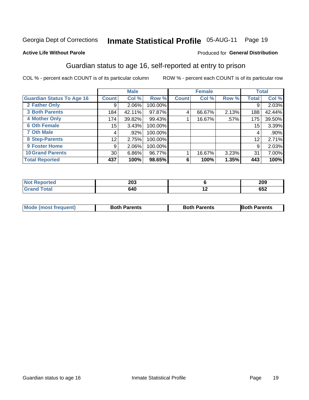# Inmate Statistical Profile 05-AUG-11 Page 19

#### **Active Life Without Parole**

#### Produced for General Distribution

### Guardian status to age 16, self-reported at entry to prison

COL % - percent each COUNT is of its particular column

|                                  |              | <b>Male</b> |         |              | <b>Female</b> |       |                 | <b>Total</b> |
|----------------------------------|--------------|-------------|---------|--------------|---------------|-------|-----------------|--------------|
| <b>Guardian Status To Age 16</b> | <b>Count</b> | Col %       | Row %   | <b>Count</b> | Col %         | Row % | <b>Total</b>    | Col %        |
| 2 Father Only                    | 9            | 2.06%       | 100.00% |              |               |       | 9               | 2.03%        |
| <b>3 Both Parents</b>            | 184          | 42.11%      | 97.87%  | 4            | 66.67%        | 2.13% | 188             | 42.44%       |
| <b>4 Mother Only</b>             | 174          | 39.82%      | 99.43%  |              | 16.67%        | .57%  | 175             | 39.50%       |
| <b>6 Oth Female</b>              | 15           | 3.43%       | 100.00% |              |               |       | 15 <sub>1</sub> | 3.39%        |
| <b>7 Oth Male</b>                | 4            | .92%        | 100.00% |              |               |       | 4               | $.90\%$      |
| 8 Step-Parents                   | 12           | 2.75%       | 100.00% |              |               |       | 12              | 2.71%        |
| <b>9 Foster Home</b>             | 9            | 2.06%       | 100.00% |              |               |       | 9               | 2.03%        |
| <b>10 Grand Parents</b>          | 30           | 6.86%       | 96.77%  |              | 16.67%        | 3.23% | 31              | 7.00%        |
| <b>Total Reported</b>            | 437          | 100%        | 98.65%  | 6            | 100%          | 1.35% | 443             | 100%         |

| Reported<br><b>NOT</b> | つのつ<br>∠∪ა |     | 209        |
|------------------------|------------|-----|------------|
| Total                  | 640        | . . | ピピク<br>∠כס |

| <b>Mode (most frequent)</b> | <b>Both Parents</b> | <b>Both Parents</b> | <b>Both Parents</b> |
|-----------------------------|---------------------|---------------------|---------------------|
|                             |                     |                     |                     |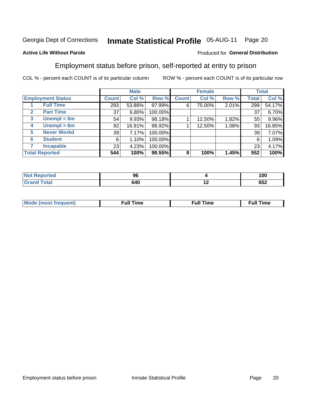#### **Inmate Statistical Profile 05-AUG-11** Page 20

#### **Active Life Without Parole**

#### Produced for General Distribution

### Employment status before prison, self-reported at entry to prison

COL % - percent each COUNT is of its particular column

|                                  |                 | <b>Male</b> |         |              | <b>Female</b> |       |              | <b>Total</b> |
|----------------------------------|-----------------|-------------|---------|--------------|---------------|-------|--------------|--------------|
| <b>Employment Status</b>         | <b>Count</b>    | Col %       | Row %   | <b>Count</b> | Col %         | Row % | <b>Total</b> | Col %        |
| <b>Full Time</b>                 | 293             | 53.86%      | 97.99%  | 6            | 75.00%        | 2.01% | 299          | 54.17%       |
| <b>Part Time</b><br>$\mathbf{2}$ | 37 <sub>1</sub> | 6.80%       | 100.00% |              |               |       | 37           | 6.70%        |
| Unempl $<$ 6m<br>3               | 54              | 9.93%       | 98.18%  |              | 12.50%        | 1.82% | 55           | 9.96%        |
| Unempl > 6m<br>4                 | 92              | 16.91%      | 98.92%  |              | 12.50%        | 1.08% | 93           | 16.85%       |
| <b>Never Workd</b><br>5          | 39 <sub>1</sub> | 7.17%       | 100.00% |              |               |       | 39           | 7.07%        |
| <b>Student</b><br>6              | 6               | 1.10%       | 100.00% |              |               |       | 6            | 1.09%        |
| <b>Incapable</b>                 | 23 <sub>1</sub> | 4.23%       | 100.00% |              |               |       | 23           | 4.17%        |
| <b>Total Reported</b>            | 544             | 100%        | 98.55%  | 8            | 100%          | 1.45% | 552          | 100%         |

| rteo                  | 96  |     | 100 |
|-----------------------|-----|-----|-----|
| $f \wedge f \wedge f$ | 640 | . . | 652 |

| M | the contract of the contract of the contract of the contract of the contract of the contract of the contract of | ---<br>me<br> |
|---|-----------------------------------------------------------------------------------------------------------------|---------------|
|   |                                                                                                                 |               |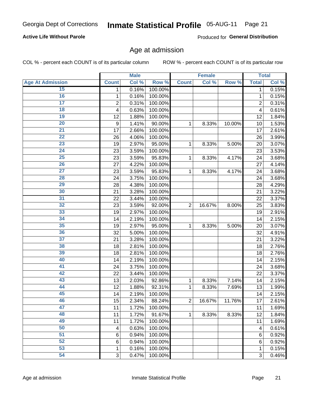# Inmate Statistical Profile 05-AUG-11 Page 21

#### **Active Life Without Parole**

Produced for General Distribution

#### Age at admission

COL % - percent each COUNT is of its particular column

|                         |                 | <b>Male</b> |         |                | <b>Female</b> |        |                | <b>Total</b> |
|-------------------------|-----------------|-------------|---------|----------------|---------------|--------|----------------|--------------|
| <b>Age At Admission</b> | <b>Count</b>    | Col %       | Row %   | <b>Count</b>   | Col %         | Row %  | <b>Total</b>   | Col %        |
| 15                      | 1               | 0.16%       | 100.00% |                |               |        | 1              | 0.15%        |
| 16                      | 1               | 0.16%       | 100.00% |                |               |        | 1              | 0.15%        |
| $\overline{17}$         | $\overline{c}$  | 0.31%       | 100.00% |                |               |        | $\overline{2}$ | 0.31%        |
| 18                      | 4               | 0.63%       | 100.00% |                |               |        | 4              | 0.61%        |
| 19                      | 12              | 1.88%       | 100.00% |                |               |        | 12             | 1.84%        |
| $\overline{20}$         | 9               | 1.41%       | 90.00%  | 1              | 8.33%         | 10.00% | 10             | 1.53%        |
| 21                      | 17              | 2.66%       | 100.00% |                |               |        | 17             | 2.61%        |
| 22                      | 26              | 4.06%       | 100.00% |                |               |        | 26             | 3.99%        |
| 23                      | 19              | 2.97%       | 95.00%  | 1              | 8.33%         | 5.00%  | 20             | 3.07%        |
| 24                      | 23              | 3.59%       | 100.00% |                |               |        | 23             | 3.53%        |
| $\overline{25}$         | 23              | 3.59%       | 95.83%  | 1              | 8.33%         | 4.17%  | 24             | 3.68%        |
| 26                      | 27              | 4.22%       | 100.00% |                |               |        | 27             | 4.14%        |
| $\overline{27}$         | 23              | 3.59%       | 95.83%  | 1              | 8.33%         | 4.17%  | 24             | 3.68%        |
| 28                      | 24              | 3.75%       | 100.00% |                |               |        | 24             | 3.68%        |
| 29                      | 28              | 4.38%       | 100.00% |                |               |        | 28             | 4.29%        |
| 30                      | 21              | 3.28%       | 100.00% |                |               |        | 21             | 3.22%        |
| 31                      | 22              | 3.44%       | 100.00% |                |               |        | 22             | 3.37%        |
| 32                      | 23              | 3.59%       | 92.00%  | $\overline{2}$ | 16.67%        | 8.00%  | 25             | 3.83%        |
| 33                      | 19              | 2.97%       | 100.00% |                |               |        | 19             | 2.91%        |
| 34                      | 14              | 2.19%       | 100.00% |                |               |        | 14             | 2.15%        |
| 35                      | 19              | 2.97%       | 95.00%  | 1              | 8.33%         | 5.00%  | 20             | 3.07%        |
| 36                      | 32              | 5.00%       | 100.00% |                |               |        | 32             | 4.91%        |
| $\overline{37}$         | 21              | 3.28%       | 100.00% |                |               |        | 21             | 3.22%        |
| 38                      | 18              | 2.81%       | 100.00% |                |               |        | 18             | 2.76%        |
| 39                      | 18              | 2.81%       | 100.00% |                |               |        | 18             | 2.76%        |
| 40                      | 14              | 2.19%       | 100.00% |                |               |        | 14             | 2.15%        |
| 41                      | 24              | 3.75%       | 100.00% |                |               |        | 24             | 3.68%        |
| 42                      | 22              | 3.44%       | 100.00% |                |               |        | 22             | 3.37%        |
| 43                      | 13              | 2.03%       | 92.86%  | 1              | 8.33%         | 7.14%  | 14             | 2.15%        |
| 44                      | 12              | 1.88%       | 92.31%  | 1              | 8.33%         | 7.69%  | 13             | 1.99%        |
| 45                      | 14              | 2.19%       | 100.00% |                |               |        | 14             | 2.15%        |
| 46                      | 15              | 2.34%       | 88.24%  | $\overline{2}$ | 16.67%        | 11.76% | 17             | 2.61%        |
| 47                      | 11              | 1.72%       | 100.00% |                |               |        | 11             | 1.69%        |
| 48                      | 11              | 1.72%       | 91.67%  | 1              | 8.33%         | 8.33%  | 12             | 1.84%        |
| 49                      | 11              | 1.72%       | 100.00% |                |               |        | 11             | 1.69%        |
| 50                      | 4               | 0.63%       | 100.00% |                |               |        | 4              | 0.61%        |
| $\overline{51}$         | $6\phantom{1}6$ | 0.94%       | 100.00% |                |               |        | 6              | 0.92%        |
| 52                      | 6               | 0.94%       | 100.00% |                |               |        | 6              | 0.92%        |
| 53                      | 1               | 0.16%       | 100.00% |                |               |        | 1              | 0.15%        |
| 54                      | 3               | 0.47%       | 100.00% |                |               |        | 3              | 0.46%        |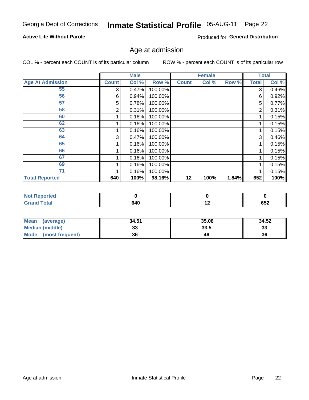# Inmate Statistical Profile 05-AUG-11 Page 22

#### **Active Life Without Parole**

Produced for General Distribution

#### Age at admission

COL % - percent each COUNT is of its particular column

|                         |              | <b>Male</b> |         |              | <b>Female</b> |       |              | <b>Total</b> |
|-------------------------|--------------|-------------|---------|--------------|---------------|-------|--------------|--------------|
| <b>Age At Admission</b> | <b>Count</b> | Col %       | Row %   | <b>Count</b> | Col %         | Row % | <b>Total</b> | Col %        |
| 55                      | 3            | 0.47%       | 100.00% |              |               |       | 3            | 0.46%        |
| 56                      | 6            | 0.94%       | 100.00% |              |               |       | 6            | 0.92%        |
| 57                      | 5            | 0.78%       | 100.00% |              |               |       | 5            | 0.77%        |
| 58                      | 2            | 0.31%       | 100.00% |              |               |       | 2            | 0.31%        |
| 60                      |              | 0.16%       | 100.00% |              |               |       |              | 0.15%        |
| 62                      |              | 0.16%       | 100.00% |              |               |       |              | 0.15%        |
| 63                      |              | 0.16%       | 100.00% |              |               |       |              | 0.15%        |
| 64                      | 3            | 0.47%       | 100.00% |              |               |       | 3            | 0.46%        |
| 65                      |              | 0.16%       | 100.00% |              |               |       |              | 0.15%        |
| 66                      |              | 0.16%       | 100.00% |              |               |       |              | 0.15%        |
| 67                      |              | 0.16%       | 100.00% |              |               |       |              | 0.15%        |
| 69                      |              | 0.16%       | 100.00% |              |               |       |              | 0.15%        |
| 71                      |              | 0.16%       | 100.00% |              |               |       |              | 0.15%        |
| <b>Total Reported</b>   | 640          | 100%        | 98.16%  | 12           | 100%          | 1.84% | 652          | 100%         |

| <b>Not</b><br><b>Reported</b> |     |     |     |
|-------------------------------|-----|-----|-----|
| <b>Total</b>                  | 640 | . . | 652 |

| Mean<br>(average)       | 34.51 | 35.08 | 34.52    |
|-------------------------|-------|-------|----------|
| Median (middle)         | JJ    | 33.5  | າາ<br>ند |
| Mode<br>(most frequent) | 36    | 46    | 36       |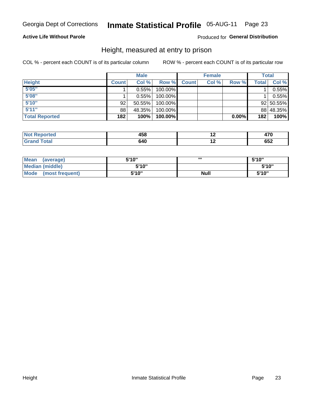#### **Inmate Statistical Profile 05-AUG-11** Page 23

#### **Active Life Without Parole**

#### Produced for General Distribution

#### Height, measured at entry to prison

COL % - percent each COUNT is of its particular column

|                       |              | <b>Male</b> |         |              | <b>Female</b> |          |       | Total     |
|-----------------------|--------------|-------------|---------|--------------|---------------|----------|-------|-----------|
| <b>Height</b>         | <b>Count</b> | Col %       | Row %   | <b>Count</b> | Col %         | Row %    | Total | Col %     |
| 5'05''                |              | 0.55%       | 100.00% |              |               |          |       | 0.55%     |
| 5'08''                |              | 0.55%       | 100.00% |              |               |          |       | 0.55%     |
| 5'10''                | 92           | $50.55\%$   | 100.00% |              |               |          |       | 92 50.55% |
| 5'11''                | 88           | 48.35%      | 100.00% |              |               |          |       | 88 48.35% |
| <b>Total Reported</b> | 182          | 100%        | 100.00% |              |               | $0.00\%$ | 182   | 100%      |

| <b>Not</b><br><b>orted</b><br>eno | 458 | י-<br>TI V |
|-----------------------------------|-----|------------|
| <b>Total</b><br>' Grand           | 640 | ピピク<br>∠טט |

| <b>Mean</b><br>(average) | 5'10'' |             | 5'10"  |
|--------------------------|--------|-------------|--------|
| Median (middle)          | 5'10'' |             | 5'10'' |
| Mode<br>(most frequent)  | 5'10'' | <b>Null</b> | 5'10"  |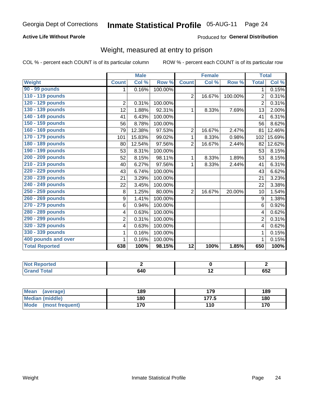### Inmate Statistical Profile 05-AUG-11 Page 24

#### **Active Life Without Parole**

#### Produced for General Distribution

### Weight, measured at entry to prison

COL % - percent each COUNT is of its particular column

|                       |                | <b>Male</b> |         |                 | <b>Female</b> |         |                | <b>Total</b> |
|-----------------------|----------------|-------------|---------|-----------------|---------------|---------|----------------|--------------|
| Weight                | <b>Count</b>   | Col %       | Row %   | <b>Count</b>    | Col %         | Row %   | <b>Total</b>   | Col %        |
| 90 - 99 pounds        | 1              | 0.16%       | 100.00% |                 |               |         | $\mathbf{1}$   | 0.15%        |
| 110 - 119 pounds      |                |             |         | $\overline{2}$  | 16.67%        | 100.00% | $\overline{2}$ | 0.31%        |
| 120 - 129 pounds      | $\overline{2}$ | 0.31%       | 100.00% |                 |               |         | $\overline{2}$ | 0.31%        |
| 130 - 139 pounds      | 12             | 1.88%       | 92.31%  | 1               | 8.33%         | 7.69%   | 13             | 2.00%        |
| 140 - 149 pounds      | 41             | 6.43%       | 100.00% |                 |               |         | 41             | 6.31%        |
| 150 - 159 pounds      | 56             | 8.78%       | 100.00% |                 |               |         | 56             | 8.62%        |
| 160 - 169 pounds      | 79             | 12.38%      | 97.53%  | $\overline{2}$  | 16.67%        | 2.47%   | 81             | 12.46%       |
| 170 - 179 pounds      | 101            | 15.83%      | 99.02%  | 1               | 8.33%         | 0.98%   | 102            | 15.69%       |
| 180 - 189 pounds      | 80             | 12.54%      | 97.56%  | $\overline{2}$  | 16.67%        | 2.44%   | 82             | 12.62%       |
| 190 - 199 pounds      | 53             | 8.31%       | 100.00% |                 |               |         | 53             | 8.15%        |
| 200 - 209 pounds      | 52             | 8.15%       | 98.11%  | 1               | 8.33%         | 1.89%   | 53             | 8.15%        |
| 210 - 219 pounds      | 40             | 6.27%       | 97.56%  | 1               | 8.33%         | 2.44%   | 41             | 6.31%        |
| 220 - 229 pounds      | 43             | 6.74%       | 100.00% |                 |               |         | 43             | 6.62%        |
| 230 - 239 pounds      | 21             | 3.29%       | 100.00% |                 |               |         | 21             | 3.23%        |
| 240 - 249 pounds      | 22             | 3.45%       | 100.00% |                 |               |         | 22             | 3.38%        |
| 250 - 259 pounds      | 8              | 1.25%       | 80.00%  | $\overline{2}$  | 16.67%        | 20.00%  | 10             | 1.54%        |
| 260 - 269 pounds      | 9              | 1.41%       | 100.00% |                 |               |         | 9              | 1.38%        |
| 270 - 279 pounds      | 6              | 0.94%       | 100.00% |                 |               |         | 6              | 0.92%        |
| 280 - 289 pounds      | 4              | 0.63%       | 100.00% |                 |               |         | 4              | 0.62%        |
| 290 - 299 pounds      | $\overline{2}$ | 0.31%       | 100.00% |                 |               |         | $\overline{2}$ | 0.31%        |
| 320 - 329 pounds      | 4              | 0.63%       | 100.00% |                 |               |         | 4              | 0.62%        |
| 330 - 339 pounds      | 1              | 0.16%       | 100.00% |                 |               |         |                | 0.15%        |
| 400 pounds and over   | 1              | 0.16%       | 100.00% |                 |               |         | 1              | 0.15%        |
| <b>Total Reported</b> | 638            | 100%        | 98.15%  | $\overline{12}$ | 100%          | 1.85%   | 650            | 100%         |

| <b>Not</b><br><b>Reported</b>     |     |     |            |
|-----------------------------------|-----|-----|------------|
| <b>Grand Total</b><br><b>Grar</b> | 640 | . . | 050<br>ບວ∠ |

| <b>Mean</b><br>(average)       | 189 | 179   | 189 |
|--------------------------------|-----|-------|-----|
| <b>Median (middle)</b>         | 180 | 177.5 | 180 |
| <b>Mode</b><br>(most frequent) | 170 | 110   | 170 |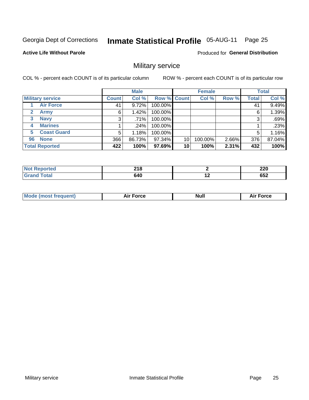#### **Inmate Statistical Profile 05-AUG-11** Page 25

**Active Life Without Parole** 

Produced for General Distribution

### Military service

COL % - percent each COUNT is of its particular column

|                             |              | <b>Male</b> |             |    | <b>Female</b> |       |              | <b>Total</b> |
|-----------------------------|--------------|-------------|-------------|----|---------------|-------|--------------|--------------|
| <b>Military service</b>     | <b>Count</b> | Col %       | Row % Count |    | Col %         | Row % | <b>Total</b> | Col %        |
| <b>Air Force</b>            | 41           | 9.72%       | 100.00%     |    |               |       | 41           | 9.49%        |
| $\mathbf{2}$<br><b>Army</b> | 6            | 1.42%       | 100.00%     |    |               |       | 6            | 1.39%        |
| <b>Navy</b><br>3            | 3            | .71%        | 100.00%     |    |               |       | 3            | .69%         |
| <b>Marines</b><br>4         |              | $.24\%$     | 100.00%     |    |               |       |              | .23%         |
| <b>Coast Guard</b><br>5     | 5            | 1.18%       | 100.00%     |    |               |       | 5            | 1.16%        |
| <b>None</b><br>96           | 366          | 86.73%      | 97.34%      | 10 | 100.00%       | 2.66% | 376          | 87.04%       |
| <b>Total Reported</b>       | 422          | 100%        | 97.69%      | 10 | 100%          | 2.31% | 432          | 100%         |

| <b>orted</b> | 240<br>4 I V<br>$\sim$ |     | חרה<br>LLV |
|--------------|------------------------|-----|------------|
| <b>Total</b> | 640                    | . . | ren<br>∠כס |

|  | Mo<br>de (most frequent) | <b>Force</b><br>Aır | Null | <b>Force</b><br>-- |
|--|--------------------------|---------------------|------|--------------------|
|--|--------------------------|---------------------|------|--------------------|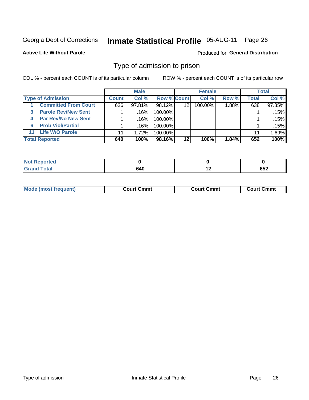#### **Inmate Statistical Profile 05-AUG-11** Page 26

**Active Life Without Parole** 

Produced for General Distribution

#### Type of admission to prison

COL % - percent each COUNT is of its particular column

|                                 |              | <b>Male</b> |                    |         | <b>Female</b> |          |       | <b>Total</b> |
|---------------------------------|--------------|-------------|--------------------|---------|---------------|----------|-------|--------------|
| <b>Type of Admission</b>        | <b>Count</b> | Col%        | <b>Row % Count</b> |         | Col %         | Row %    | Total | Col %        |
| <b>Committed From Court</b>     | 626          | $97.81\%$   | 98.12%             | 12      | $100.00\%$    | $1.88\%$ | 638   | 97.85%       |
| <b>Parole Rev/New Sent</b><br>3 |              | .16%        | 100.00%            |         |               |          |       | .15%         |
| <b>Par Rev/No New Sent</b><br>4 |              | ا 16%.      | 100.00%            |         |               |          |       | .15%         |
| <b>Prob Viol/Partial</b><br>6   |              | ا 16%.      | $100.00\%$         |         |               |          |       | .15%         |
| <b>Life W/O Parole</b><br>11    | 11           | 1.72%       | 100.00%            |         |               |          | 11    | 1.69%        |
| <b>Total Reported</b>           | 640          | 100%        | 98.16%             | $12 \,$ | 100%          | 1.84%    | 652   | 100%         |

| <b>ported</b><br><b>NOT</b> |     |               |
|-----------------------------|-----|---------------|
| <b>Total</b><br>Croy        | 640 | <br>へにへ<br>פס |

| Mod                | Court Cmmt    | Cmmt    | Cmmt    |
|--------------------|---------------|---------|---------|
| de (most frequent) | $\sim$ $\sim$ | ∴ourt ′ | . .ourt |
|                    |               |         |         |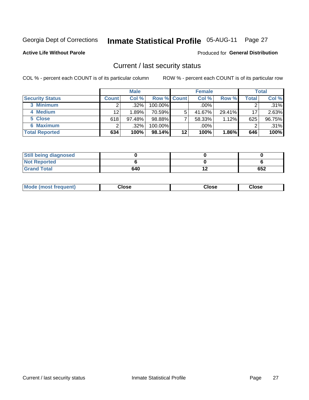### Inmate Statistical Profile 05-AUG-11 Page 27

**Active Life Without Parole** 

#### Produced for General Distribution

#### Current / last security status

COL % - percent each COUNT is of its particular column

|                        |              | <b>Male</b> |                    |         | <b>Female</b> |        |       | <b>Total</b> |
|------------------------|--------------|-------------|--------------------|---------|---------------|--------|-------|--------------|
| <b>Security Status</b> | <b>Count</b> | Col%        | <b>Row % Count</b> |         | Col %         | Row %  | Total | Col %        |
| 3 Minimum              |              | $.32\%$     | 100.00%            |         | $.00\%$       |        |       | .31%         |
| 4 Medium               | 12           | 1.89%       | 70.59%             | 5       | 41.67%        | 29.41% | 17    | 2.63%        |
| 5 Close                | 618          | 97.48%      | 98.88%             |         | 58.33%        | 1.12%  | 625   | 96.75%       |
| 6 Maximum              |              | $.32\%$     | 100.00%            |         | .00%          |        |       | $.31\%$      |
| <b>Total Reported</b>  | 634          | 100%        | 98.14%             | $12 \,$ | 100%          | 1.86%  | 646   | 100%         |

| <b>Still being diagnosed</b> |     |     |
|------------------------------|-----|-----|
| <b>Not Reported</b>          |     |     |
| <b>Grand Total</b>           | 640 | 652 |

| <b>Mode</b><br>'requent)<br>۔lose<br>Close<br>Close<br>n iması .<br>- - - -<br>- - - -<br>- - - - |  |
|---------------------------------------------------------------------------------------------------|--|
|---------------------------------------------------------------------------------------------------|--|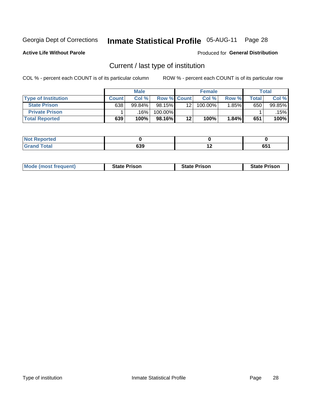### Inmate Statistical Profile 05-AUG-11 Page 28

**Active Life Without Parole** 

Produced for General Distribution

### Current / last type of institution

COL % - percent each COUNT is of its particular column

|                            |              | <b>Male</b> |                    |         | <b>Female</b> |          |       | <b>Total</b> |
|----------------------------|--------------|-------------|--------------------|---------|---------------|----------|-------|--------------|
| <b>Type of Institution</b> | <b>Count</b> | Col %       | <b>Row % Count</b> |         | Col %         | Row %    | Total | Col %        |
| <b>State Prison</b>        | 638          | $99.84\%$   | 98.15%             | 12      | 100.00%       | $1.85\%$ | 650   | 99.85%       |
| <b>Private Prison</b>      |              | 16%         | 100.00%            |         |               |          |       | .15% l       |
| <b>Total Reported</b>      | 639          | 100%        | 98.16%             | $12 \,$ | 100%          | 1.84%    | 651   | 100%         |

| المدافعة<br>rtea |     |                                 |           |
|------------------|-----|---------------------------------|-----------|
| <b>otal</b>      | 639 | . .<br>$\overline{\phantom{a}}$ | cЕ.<br>vv |

| <b>Mode (most frequent)</b> | <b>State Prison</b> | <b>State Prison</b> | <b>State Prison</b> |
|-----------------------------|---------------------|---------------------|---------------------|
|                             |                     |                     |                     |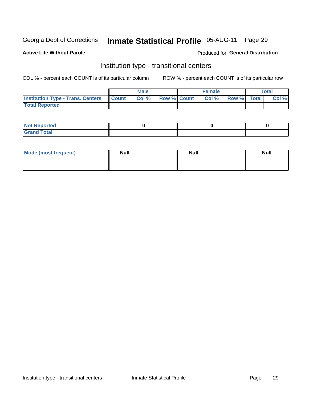### Inmate Statistical Profile 05-AUG-11 Page 29

#### **Active Life Without Parole**

#### Produced for General Distribution

### Institution type - transitional centers

COL % - percent each COUNT is of its particular column

|                                                | Male  |                    | <b>Female</b> |             | $\tau$ otal |
|------------------------------------------------|-------|--------------------|---------------|-------------|-------------|
| <b>Institution Type - Trans. Centers Count</b> | Col % | <b>Row % Count</b> | Col %         | Row % Total | Col %       |
| <b>Total Reported</b>                          |       |                    |               |             |             |

| <b>Reported</b><br><b>NOT</b><br>$\sim$            |  |  |
|----------------------------------------------------|--|--|
| $f$ $f \circ f \circ f$<br>$C = 1$<br><b>TULAI</b> |  |  |

| Mode (most frequent) | <b>Null</b> | <b>Null</b> | <b>Null</b> |
|----------------------|-------------|-------------|-------------|
|                      |             |             |             |
|                      |             |             |             |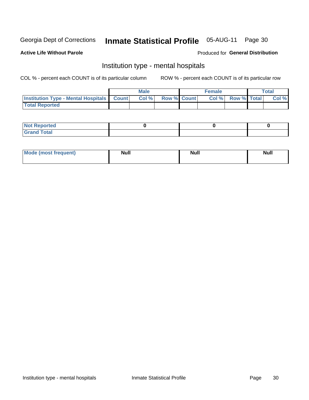#### **Inmate Statistical Profile** 05-AUG-11 Page 30

#### **Active Life Without Parole**

#### Produced for General Distribution

### Institution type - mental hospitals

COL % - percent each COUNT is of its particular column

|                                                  | <b>Male</b> |                    | <b>Female</b> |                   | Total |
|--------------------------------------------------|-------------|--------------------|---------------|-------------------|-------|
| <b>Institution Type - Mental Hospitals Count</b> | Col %       | <b>Row % Count</b> |               | Col % Row % Total | Col % |
| <b>Total Reported</b>                            |             |                    |               |                   |       |

| <b>Not Reported</b>                     |  |  |
|-----------------------------------------|--|--|
| <b>otal</b><br>C <sub>r</sub><br>______ |  |  |

| Mode.<br>frequent) | <b>Nul</b><br>_____ | <b>Null</b> | <b>Null</b> |
|--------------------|---------------------|-------------|-------------|
|                    |                     |             |             |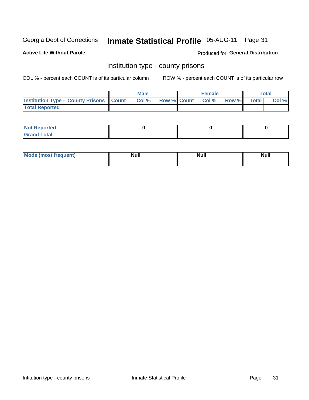### Inmate Statistical Profile 05-AUG-11 Page 31

**Active Life Without Parole** 

**Produced for General Distribution** 

#### Institution type - county prisons

COL % - percent each COUNT is of its particular column

|                                                    | <b>Male</b> |  | <b>Female</b>            |             | <b>Total</b> |
|----------------------------------------------------|-------------|--|--------------------------|-------------|--------------|
| <b>Institution Type - County Prisons   Count  </b> | Col %       |  | <b>Row % Count Col %</b> | Row % Total | Col %        |
| <b>Total Reported</b>                              |             |  |                          |             |              |

| <b>Not Reported</b>         |  |  |
|-----------------------------|--|--|
| <b>Total</b><br>-<br>______ |  |  |

| <b>Mode</b>      | <b>Null</b> | <b>Null</b> | <b>Null</b> |  |
|------------------|-------------|-------------|-------------|--|
| (most freauent). |             |             |             |  |
|                  |             |             |             |  |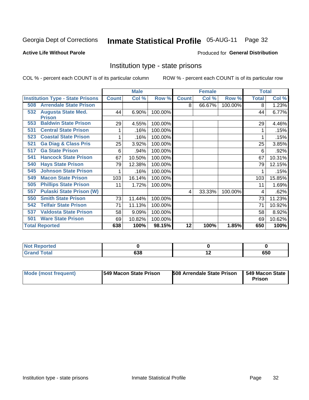#### Inmate Statistical Profile 05-AUG-11 Page 32

#### **Active Life Without Parole**

#### Produced for General Distribution

#### Institution type - state prisons

COL % - percent each COUNT is of its particular column

|                                         |              | <b>Male</b> |         |              | <b>Female</b> |         | <b>Total</b> |        |
|-----------------------------------------|--------------|-------------|---------|--------------|---------------|---------|--------------|--------|
| <b>Institution Type - State Prisons</b> | <b>Count</b> | Col %       | Row %   | <b>Count</b> | Col %         | Row %   | <b>Total</b> | Col %  |
| <b>Arrendale State Prison</b><br>508    |              |             |         | 8            | 66.67%        | 100.00% | 8            | 1.23%  |
| <b>Augusta State Med.</b><br>532        | 44           | 6.90%       | 100.00% |              |               |         | 44           | 6.77%  |
| <b>Prison</b>                           |              |             |         |              |               |         |              |        |
| <b>Baldwin State Prison</b><br>553      | 29           | 4.55%       | 100.00% |              |               |         | 29           | 4.46%  |
| <b>Central State Prison</b><br>531      |              | .16%        | 100.00% |              |               |         |              | .15%   |
| <b>Coastal State Prison</b><br>523      | 1            | .16%        | 100.00% |              |               |         |              | .15%   |
| <b>Ga Diag &amp; Class Pris</b><br>521  | 25           | 3.92%       | 100.00% |              |               |         | 25           | 3.85%  |
| <b>Ga State Prison</b><br>517           | 6            | .94%        | 100.00% |              |               |         | 6            | .92%   |
| <b>Hancock State Prison</b><br>541      | 67           | 10.50%      | 100.00% |              |               |         | 67           | 10.31% |
| <b>Hays State Prison</b><br>540         | 79           | 12.38%      | 100.00% |              |               |         | 79           | 12.15% |
| <b>Johnson State Prison</b><br>545      | 1            | .16%        | 100.00% |              |               |         |              | .15%   |
| <b>Macon State Prison</b><br>549        | 103          | 16.14%      | 100.00% |              |               |         | 103          | 15.85% |
| <b>Phillips State Prison</b><br>505     | 11           | 1.72%       | 100.00% |              |               |         | 11           | 1.69%  |
| <b>Pulaski State Prison (W)</b><br>557  |              |             |         | 4            | 33.33%        | 100.00% | 4            | .62%   |
| <b>Smith State Prison</b><br>550        | 73           | 11.44%      | 100.00% |              |               |         | 73           | 11.23% |
| <b>Telfair State Prison</b><br>542      | 71           | 11.13%      | 100.00% |              |               |         | 71           | 10.92% |
| <b>Valdosta State Prison</b><br>537     | 58           | 9.09%       | 100.00% |              |               |         | 58           | 8.92%  |
| <b>Ware State Prison</b><br>501         | 69           | 10.82%      | 100.00% |              |               |         | 69           | 10.62% |
| <b>Total Reported</b>                   | 638          | 100%        | 98.15%  | 12           | 100%          | 1.85%   | 650          | 100%   |

| <b>Not</b><br>المدافعات<br><b>Reported</b> |     |                          |     |
|--------------------------------------------|-----|--------------------------|-----|
| Total<br><b>Grand</b><br>$\sim$ .          | 638 | $\overline{\phantom{0}}$ | 650 |

| <b>Mode (most frequent)</b> | 1549 Macon State Prison | <b>508 Arrendale State Prison</b> | <b>549 Macon State</b><br>Prison |
|-----------------------------|-------------------------|-----------------------------------|----------------------------------|
|-----------------------------|-------------------------|-----------------------------------|----------------------------------|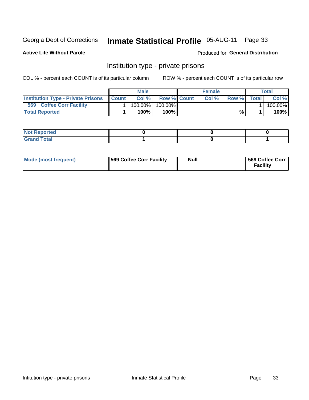### Inmate Statistical Profile 05-AUG-11 Page 33

**Active Life Without Parole** 

Produced for General Distribution

### Institution type - private prisons

COL % - percent each COUNT is of its particular column

|                                           |              | Male       |                    | <b>Female</b> |       |              | Total   |
|-------------------------------------------|--------------|------------|--------------------|---------------|-------|--------------|---------|
| <b>Institution Type - Private Prisons</b> | <b>Count</b> | Col%       | <b>Row % Count</b> | Col%          | Row % | <b>Total</b> | Col %   |
| 569<br><b>Coffee Corr Facility</b>        |              | $100.00\%$ | 100.00%            |               |       |              | 100.00% |
| <b>Total Reported</b>                     |              | $100\%$ .  | 100%               |               | %     |              | 100%    |

| Not Reported |  |  |
|--------------|--|--|
|              |  |  |

| Mode (most frequent) | <b>1569 Coffee Corr Facility</b> | Null | 569 Coffee Corr<br><b>Facility</b> |
|----------------------|----------------------------------|------|------------------------------------|
|----------------------|----------------------------------|------|------------------------------------|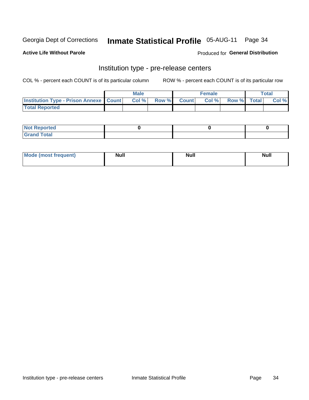# Inmate Statistical Profile 05-AUG-11 Page 34

**Active Life Without Parole** 

**Produced for General Distribution** 

### Institution type - pre-release centers

COL % - percent each COUNT is of its particular column

|                                                   | <b>Male</b> |              |       | <b>Female</b> |                    | <b>Total</b> |
|---------------------------------------------------|-------------|--------------|-------|---------------|--------------------|--------------|
| <b>Institution Type - Prison Annexe   Count  </b> | Col %       | <b>Row %</b> | Count | Col %         | <b>Row %</b> Total | Col %        |
| <b>Total Reported</b>                             |             |              |       |               |                    |              |

| <b>Reported</b><br>I NOT |  |  |
|--------------------------|--|--|
| <b>Total</b><br>$C$ ren  |  |  |

| $^{\prime}$ Mo <sub>t</sub><br>frequent)<br>⊥(most | <b>Null</b> | Noll<br><b>vull</b> | <b>Null</b> |
|----------------------------------------------------|-------------|---------------------|-------------|
|                                                    |             |                     |             |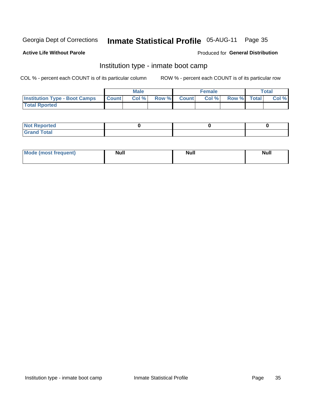# Inmate Statistical Profile 05-AUG-11 Page 35

#### **Active Life Without Parole**

#### Produced for General Distribution

### Institution type - inmate boot camp

COL % - percent each COUNT is of its particular column

|                                      |              | <b>Male</b> |               |              | <b>Female</b> |             | <b>Total</b> |
|--------------------------------------|--------------|-------------|---------------|--------------|---------------|-------------|--------------|
| <b>Institution Type - Boot Camps</b> | <b>Count</b> | Col %       | <b>Row %I</b> | <b>Count</b> | Col %         | Row % Total | Col %        |
| <b>Total Rported</b>                 |              |             |               |              |               |             |              |

| <b>Not Reported</b> |  |  |
|---------------------|--|--|
| <b>Total</b><br>Cro |  |  |

| <b>Mode (most frequent)</b> | <b>Null</b> | <b>Null</b> | <b>Null</b> |
|-----------------------------|-------------|-------------|-------------|
|                             |             |             |             |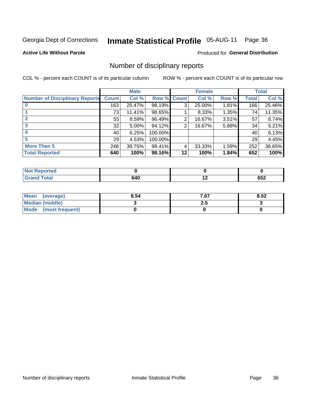# Inmate Statistical Profile 05-AUG-11 Page 36

**Active Life Without Parole** 

#### Produced for General Distribution

#### Number of disciplinary reports

COL % - percent each COUNT is of its particular column

|                                       |              | <b>Male</b> |             |    | <b>Female</b> |          |              | <b>Total</b> |
|---------------------------------------|--------------|-------------|-------------|----|---------------|----------|--------------|--------------|
| <b>Number of Disciplinary Reports</b> | <b>Count</b> | Col %       | Row % Count |    | Col %         | Row %    | <b>Total</b> | Col %        |
|                                       | 163          | 25.47%      | 98.19%      | 3  | 25.00%        | $1.81\%$ | 166          | 25.46%       |
|                                       | 73           | 11.41%      | 98.65%      |    | 8.33%         | 1.35%    | 74           | 11.35%       |
|                                       | 55           | 8.59%       | 96.49%      | 2  | 16.67%        | 3.51%    | 57           | 8.74%        |
| 3                                     | 32           | $5.00\%$    | 94.12%      | 2  | 16.67%        | 5.88%    | 34           | 5.21%        |
|                                       | 40           | 6.25%       | 100.00%     |    |               |          | 40           | 6.13%        |
| 5                                     | 29           | 4.53%       | 100.00%     |    |               |          | 29           | 4.45%        |
| <b>More Than 5</b>                    | 248          | 38.75%      | 98.41%      | 4  | 33.33%        | 1.59%    | 252          | 38.65%       |
| <b>Total Reported</b>                 | 640          | 100%        | 98.16%      | 12 | 100%          | 1.84%    | 652          | 100%         |

| Reported<br>NOT F |     |             |
|-------------------|-----|-------------|
| <b>Total</b>      | 640 | ---<br>ັບປ∠ |

| Mean (average)         | 8.54 | 7.67 | 8.52 |
|------------------------|------|------|------|
| <b>Median (middle)</b> |      | 2.J  |      |
| Mode (most frequent)   |      |      |      |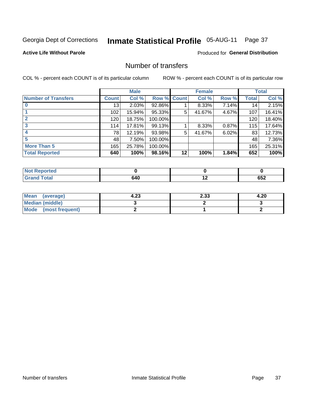### Inmate Statistical Profile 05-AUG-11 Page 37

#### **Active Life Without Parole**

#### **Produced for General Distribution**

### Number of transfers

COL % - percent each COUNT is of its particular column

|                            |              | <b>Male</b> |             |    | <b>Female</b> |       |              | <b>Total</b> |
|----------------------------|--------------|-------------|-------------|----|---------------|-------|--------------|--------------|
| <b>Number of Transfers</b> | <b>Count</b> | Col %       | Row % Count |    | Col %         | Row % | <b>Total</b> | Col %        |
|                            | 13           | 2.03%       | 92.86%      |    | 8.33%         | 7.14% | 14           | 2.15%        |
|                            | 102          | 15.94%      | 95.33%      | 5  | 41.67%        | 4.67% | 107          | 16.41%       |
| $\mathbf{2}$               | 120          | 18.75%      | 100.00%     |    |               |       | 120          | 18.40%       |
| 3                          | 114          | 17.81%      | 99.13%      |    | 8.33%         | 0.87% | 115          | 17.64%       |
|                            | 78           | 12.19%      | 93.98%      | 5  | 41.67%        | 6.02% | 83           | 12.73%       |
| 5                          | 48           | 7.50%       | 100.00%     |    |               |       | 48           | 7.36%        |
| <b>More Than 5</b>         | 165          | 25.78%      | 100.00%     |    |               |       | 165          | 25.31%       |
| <b>Total Reported</b>      | 640          | 100%        | 98.16%      | 12 | 100%          | 1.84% | 652          | 100%         |

| Reported<br>NOT F |     |             |
|-------------------|-----|-------------|
| <b>Total</b>      | 640 | ---<br>ັບປ∠ |

| Mean (average)       | 4.23 | 2.33 | 4.20 |
|----------------------|------|------|------|
| Median (middle)      |      |      |      |
| Mode (most frequent) |      |      |      |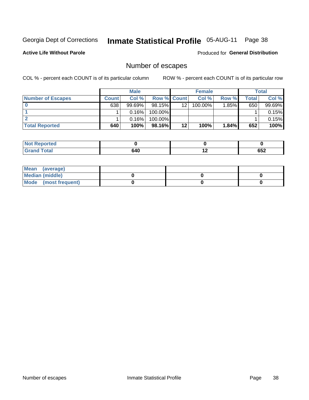### Inmate Statistical Profile 05-AUG-11 Page 38

**Active Life Without Parole** 

Produced for General Distribution

### Number of escapes

COL % - percent each COUNT is of its particular column

|                          |              | <b>Male</b> |                    |                 | <b>Female</b> |          |       | Total  |
|--------------------------|--------------|-------------|--------------------|-----------------|---------------|----------|-------|--------|
| <b>Number of Escapes</b> | <b>Count</b> | Col%        | <b>Row % Count</b> |                 | Col %         | Row %    | Total | Col %  |
|                          | 638          | $99.69\%$   | $98.15\%$          | 12 <sup>2</sup> | 100.00%       | $1.85\%$ | 650   | 99.69% |
|                          |              | 0.16%       | 100.00%            |                 |               |          |       | 0.15%  |
|                          |              | 0.16%       | $100.00\%$         |                 |               |          |       | 0.15%  |
| <b>Total Reported</b>    | 640          | 100%        | $98.16\%$          | 12              | 100%          | 1.84%    | 652   | 100%   |

| <b>Not Reported</b>  |     |     |            |
|----------------------|-----|-----|------------|
| Total<br><b>Grar</b> | 640 | . . | 26g<br>νυ∠ |

| Mean (average)       |  |  |
|----------------------|--|--|
| Median (middle)      |  |  |
| Mode (most frequent) |  |  |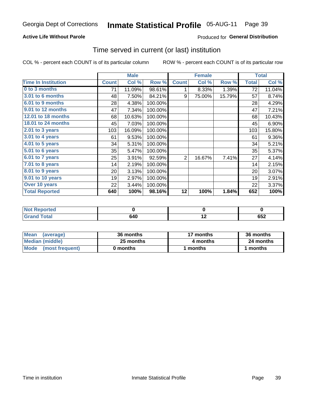### Inmate Statistical Profile 05-AUG-11 Page 39

#### **Active Life Without Parole**

#### **Produced for General Distribution**

#### Time served in current (or last) institution

COL % - percent each COUNT is of its particular column

|                            | <b>Male</b>  |        | <b>Female</b> |                |        | <b>Total</b> |              |        |
|----------------------------|--------------|--------|---------------|----------------|--------|--------------|--------------|--------|
| <b>Time In Institution</b> | <b>Count</b> | Col %  | Row %         | <b>Count</b>   | Col %  | Row %        | <b>Total</b> | Col %  |
| 0 to 3 months              | 71           | 11.09% | 98.61%        | 1              | 8.33%  | 1.39%        | 72           | 11.04% |
| 3.01 to 6 months           | 48           | 7.50%  | 84.21%        | 9              | 75.00% | 15.79%       | 57           | 8.74%  |
| 6.01 to 9 months           | 28           | 4.38%  | 100.00%       |                |        |              | 28           | 4.29%  |
| 9.01 to 12 months          | 47           | 7.34%  | 100.00%       |                |        |              | 47           | 7.21%  |
| 12.01 to 18 months         | 68           | 10.63% | 100.00%       |                |        |              | 68           | 10.43% |
| 18.01 to 24 months         | 45           | 7.03%  | 100.00%       |                |        |              | 45           | 6.90%  |
| $2.01$ to 3 years          | 103          | 16.09% | 100.00%       |                |        |              | 103          | 15.80% |
| $3.01$ to 4 years          | 61           | 9.53%  | 100.00%       |                |        |              | 61           | 9.36%  |
| 4.01 to 5 years            | 34           | 5.31%  | 100.00%       |                |        |              | 34           | 5.21%  |
| 5.01 to 6 years            | 35           | 5.47%  | 100.00%       |                |        |              | 35           | 5.37%  |
| 6.01 to 7 years            | 25           | 3.91%  | 92.59%        | $\overline{2}$ | 16.67% | 7.41%        | 27           | 4.14%  |
| 7.01 to 8 years            | 14           | 2.19%  | 100.00%       |                |        |              | 14           | 2.15%  |
| 8.01 to 9 years            | 20           | 3.13%  | 100.00%       |                |        |              | 20           | 3.07%  |
| 9.01 to 10 years           | 19           | 2.97%  | 100.00%       |                |        |              | 19           | 2.91%  |
| Over 10 years              | 22           | 3.44%  | 100.00%       |                |        |              | 22           | 3.37%  |
| <b>Total Reported</b>      | 640          | 100%   | 98.16%        | 12             | 100%   | 1.84%        | 652          | 100%   |

| Reported<br><b>NOT</b> |     |             |
|------------------------|-----|-------------|
| <i>i</i> otal          | 640 | 652<br>$ -$ |

| <b>Mean</b><br>(average) | 36 months | 17 months | 36 months |  |
|--------------------------|-----------|-----------|-----------|--|
| Median (middle)          | 25 months | 4 months  | 24 months |  |
| Mode (most frequent)     | 0 months  | 1 months  | 1 months  |  |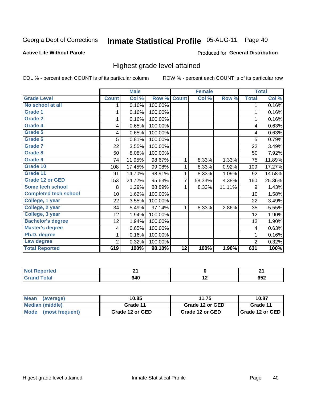# Inmate Statistical Profile 05-AUG-11 Page 40

### **Active Life Without Parole**

### Produced for General Distribution

# Highest grade level attained

COL % - percent each COUNT is of its particular column

|                              |              | <b>Male</b> |         |                 | <b>Female</b> |        |                | <b>Total</b> |
|------------------------------|--------------|-------------|---------|-----------------|---------------|--------|----------------|--------------|
| <b>Grade Level</b>           | <b>Count</b> | Col %       | Row %   | <b>Count</b>    | Col %         | Row %  | <b>Total</b>   | Col %        |
| No school at all             | 1            | 0.16%       | 100.00% |                 |               |        | 1              | 0.16%        |
| <b>Grade 1</b>               |              | 0.16%       | 100.00% |                 |               |        | 1              | 0.16%        |
| <b>Grade 2</b>               | 1            | 0.16%       | 100.00% |                 |               |        | 1              | 0.16%        |
| Grade 4                      | 4            | 0.65%       | 100.00% |                 |               |        | 4              | 0.63%        |
| Grade 5                      | 4            | 0.65%       | 100.00% |                 |               |        | 4              | 0.63%        |
| Grade 6                      | 5            | 0.81%       | 100.00% |                 |               |        | 5              | 0.79%        |
| <b>Grade 7</b>               | 22           | 3.55%       | 100.00% |                 |               |        | 22             | 3.49%        |
| <b>Grade 8</b>               | 50           | 8.08%       | 100.00% |                 |               |        | 50             | 7.92%        |
| <b>Grade 9</b>               | 74           | 11.95%      | 98.67%  | 1               | 8.33%         | 1.33%  | 75             | 11.89%       |
| Grade 10                     | 108          | 17.45%      | 99.08%  | 1               | 8.33%         | 0.92%  | 109            | 17.27%       |
| Grade 11                     | 91           | 14.70%      | 98.91%  | 1               | 8.33%         | 1.09%  | 92             | 14.58%       |
| <b>Grade 12 or GED</b>       | 153          | 24.72%      | 95.63%  | 7               | 58.33%        | 4.38%  | 160            | 25.36%       |
| <b>Some tech school</b>      | 8            | 1.29%       | 88.89%  | 1               | 8.33%         | 11.11% | 9              | 1.43%        |
| <b>Completed tech school</b> | 10           | 1.62%       | 100.00% |                 |               |        | 10             | 1.58%        |
| College, 1 year              | 22           | 3.55%       | 100.00% |                 |               |        | 22             | 3.49%        |
| College, 2 year              | 34           | 5.49%       | 97.14%  | 1               | 8.33%         | 2.86%  | 35             | 5.55%        |
| College, 3 year              | 12           | 1.94%       | 100.00% |                 |               |        | 12             | 1.90%        |
| <b>Bachelor's degree</b>     | 12           | 1.94%       | 100.00% |                 |               |        | 12             | 1.90%        |
| <b>Master's degree</b>       | 4            | 0.65%       | 100.00% |                 |               |        | 4              | 0.63%        |
| Ph.D. degree                 | 1            | 0.16%       | 100.00% |                 |               |        | 1              | 0.16%        |
| Law degree                   | 2            | 0.32%       | 100.00% |                 |               |        | $\overline{2}$ | 0.32%        |
| <b>Total Reported</b>        | 619          | 100%        | 98.10%  | $\overline{12}$ | 100%          | 1.90%  | 631            | 100%         |

| neo<br>N              | $ -$ |     | л.<br>- -  |
|-----------------------|------|-----|------------|
| $f \wedge f \wedge f$ | 640  | . . | ---<br>◡◡▵ |

| Mean<br>(average)    | 10.85           | 11.75           | 10.87                    |
|----------------------|-----------------|-----------------|--------------------------|
| Median (middle)      | Grade 11        | Grade 12 or GED | Grade 11                 |
| Mode (most frequent) | Grade 12 or GED | Grade 12 or GED | <b>I</b> Grade 12 or GED |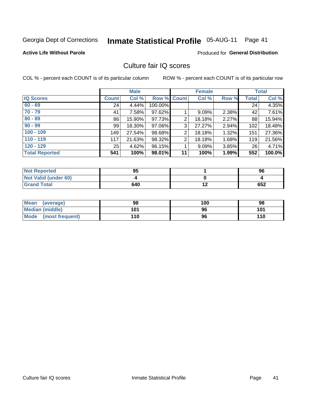# Inmate Statistical Profile 05-AUG-11 Page 41

## **Active Life Without Parole**

# **Produced for General Distribution**

# Culture fair IQ scores

COL % - percent each COUNT is of its particular column

|                       |              | <b>Male</b> |                    |                | <b>Female</b> |       |              | <b>Total</b> |
|-----------------------|--------------|-------------|--------------------|----------------|---------------|-------|--------------|--------------|
| <b>IQ Scores</b>      | <b>Count</b> | Col %       | <b>Row % Count</b> |                | Col %         | Row % | <b>Total</b> | Col %        |
| $60 - 69$             | 24           | 4.44%       | 100.00%            |                |               |       | 24           | 4.35%        |
| $70 - 79$             | 41           | 7.58%       | 97.62%             |                | 9.09%         | 2.38% | 42           | 7.61%        |
| $80 - 89$             | 86           | 15.90%      | 97.73%             | $\overline{2}$ | 18.18%        | 2.27% | 88           | 15.94%       |
| $90 - 99$             | 99           | 18.30%      | 97.06%             | 3              | 27.27%        | 2.94% | 102          | 18.48%       |
| $100 - 109$           | 149          | 27.54%      | 98.68%             | 2              | 18.18%        | 1.32% | 151          | 27.36%       |
| $110 - 119$           | 117          | 21.63%      | 98.32%             | $\overline{2}$ | 18.18%        | 1.68% | 119          | 21.56%       |
| $120 - 129$           | 25           | 4.62%       | 96.15%             |                | 9.09%         | 3.85% | 26           | 4.71%        |
| <b>Total Reported</b> | 541          | 100%        | 98.01%             | 11             | 100%          | 1.99% | 552          | 100.0%       |

| <b>Not Reported</b>         | 95  | 96  |
|-----------------------------|-----|-----|
| <b>Not Valid (under 60)</b> |     |     |
| <b>Grand Total</b>          | 640 | 652 |

| Mean (average)       | 98  | 100 | 98  |
|----------------------|-----|-----|-----|
| Median (middle)      | 101 | 96  | 101 |
| Mode (most frequent) | 110 | 96  | 110 |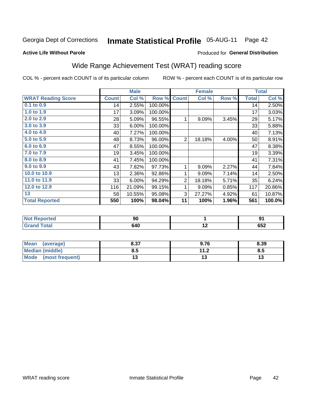#### **Inmate Statistical Profile 05-AUG-11** Page 42

### **Active Life Without Parole**

# **Produced for General Distribution**

# Wide Range Achievement Test (WRAT) reading score

COL % - percent each COUNT is of its particular column

|                           |              | <b>Male</b> |         |                | <b>Female</b> |       |              | <b>Total</b> |
|---------------------------|--------------|-------------|---------|----------------|---------------|-------|--------------|--------------|
| <b>WRAT Reading Score</b> | <b>Count</b> | Col %       | Row %   | <b>Count</b>   | Col %         | Row % | <b>Total</b> | Col %        |
| 0.1 to 0.9                | 14           | 2.55%       | 100.00% |                |               |       | 14           | 2.50%        |
| 1.0 to 1.9                | 17           | 3.09%       | 100.00% |                |               |       | 17           | 3.03%        |
| 2.0 to 2.9                | 28           | 5.09%       | 96.55%  | 1              | 9.09%         | 3.45% | 29           | 5.17%        |
| 3.0 to 3.9                | 33           | 6.00%       | 100.00% |                |               |       | 33           | 5.88%        |
| 4.0 to 4.9                | 40           | 7.27%       | 100.00% |                |               |       | 40           | 7.13%        |
| 5.0 to 5.9                | 48           | 8.73%       | 96.00%  | $\overline{2}$ | 18.18%        | 4.00% | 50           | 8.91%        |
| 6.0 to 6.9                | 47           | 8.55%       | 100.00% |                |               |       | 47           | 8.38%        |
| 7.0 to 7.9                | 19           | 3.45%       | 100.00% |                |               |       | 19           | 3.39%        |
| 8.0 to 8.9                | 41           | 7.45%       | 100.00% |                |               |       | 41           | 7.31%        |
| 9.0 to 9.9                | 43           | 7.82%       | 97.73%  | 1              | 9.09%         | 2.27% | 44           | 7.84%        |
| 10.0 to 10.9              | 13           | 2.36%       | 92.86%  | 1              | 9.09%         | 7.14% | 14           | 2.50%        |
| 11.0 to 11.9              | 33           | 6.00%       | 94.29%  | $\overline{2}$ | 18.18%        | 5.71% | 35           | 6.24%        |
| 12.0 to 12.9              | 116          | 21.09%      | 99.15%  | 1              | 9.09%         | 0.85% | 117          | 20.86%       |
| 13                        | 58           | 10.55%      | 95.08%  | 3              | 27.27%        | 4.92% | 61           | 10.87%       |
| <b>Total Reported</b>     | 550          | 100%        | 98.04%  | 11             | 100%          | 1.96% | 561          | 100.0%       |
|                           |              |             |         |                |               |       |              |              |

| <b>Not Reported</b> | 90  |     | יה  |
|---------------------|-----|-----|-----|
| <b>Grand Total</b>  | 640 | . . | 652 |

| <b>Mean</b><br>(average) | 8.37 | 9.76                 | 8.39 |
|--------------------------|------|----------------------|------|
| Median (middle)          | ช.ว  | 11 J<br>. <i>. .</i> | ၓ.ͻ  |
| Mode<br>(most frequent)  | . J  |                      | טו   |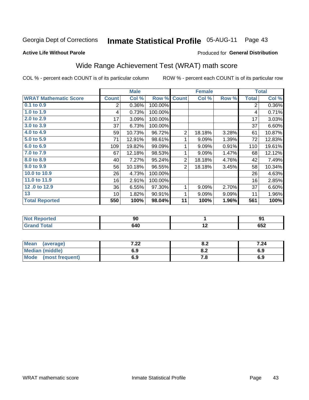# Inmate Statistical Profile 05-AUG-11 Page 43

## **Active Life Without Parole**

### Produced for General Distribution

# Wide Range Achievement Test (WRAT) math score

COL % - percent each COUNT is of its particular column

|                              |              | <b>Male</b> |         |                | <b>Female</b> |       |                | <b>Total</b> |
|------------------------------|--------------|-------------|---------|----------------|---------------|-------|----------------|--------------|
| <b>WRAT Mathematic Score</b> | <b>Count</b> | Col %       | Row %   | <b>Count</b>   | Col %         | Row % | <b>Total</b>   | Col %        |
| 0.1 to 0.9                   | 2            | 0.36%       | 100.00% |                |               |       | $\overline{2}$ | 0.36%        |
| 1.0 to 1.9                   | 4            | 0.73%       | 100.00% |                |               |       | 4              | 0.71%        |
| 2.0 to 2.9                   | 17           | 3.09%       | 100.00% |                |               |       | 17             | 3.03%        |
| 3.0 to 3.9                   | 37           | 6.73%       | 100.00% |                |               |       | 37             | 6.60%        |
| 4.0 to 4.9                   | 59           | 10.73%      | 96.72%  | $\overline{2}$ | 18.18%        | 3.28% | 61             | 10.87%       |
| 5.0 t0 5.9                   | 71           | 12.91%      | 98.61%  | 1              | 9.09%         | 1.39% | 72             | 12.83%       |
| 6.0 to 6.9                   | 109          | 19.82%      | 99.09%  | 1              | 9.09%         | 0.91% | 110            | 19.61%       |
| 7.0 to 7.9                   | 67           | 12.18%      | 98.53%  | 1              | 9.09%         | 1.47% | 68             | 12.12%       |
| 8.0 to 8.9                   | 40           | 7.27%       | 95.24%  | $\overline{2}$ | 18.18%        | 4.76% | 42             | 7.49%        |
| 9.0 to 9.9                   | 56           | 10.18%      | 96.55%  | $\overline{2}$ | 18.18%        | 3.45% | 58             | 10.34%       |
| 10.0 to 10.9                 | 26           | 4.73%       | 100.00% |                |               |       | 26             | 4.63%        |
| 11.0 to $11.9$               | 16           | 2.91%       | 100.00% |                |               |       | 16             | 2.85%        |
| 12.0 to 12.9                 | 36           | 6.55%       | 97.30%  | 1              | 9.09%         | 2.70% | 37             | 6.60%        |
| 13                           | 10           | 1.82%       | 90.91%  | 1              | 9.09%         | 9.09% | 11             | 1.96%        |
| <b>Total Reported</b>        | 550          | 100%        | 98.04%  | 11             | 100%          | 1.96% | 561            | 100%         |
|                              |              |             |         |                |               |       |                |              |
| <b>Not Reported</b>          |              | 90          |         |                | 1             |       |                | 91           |
| <b>Grand Total</b>           |              | 640         |         |                | 12            |       |                | 652          |

| Mean<br>(average)              | ר ה<br>$\cdot$ 22 $\cdot$ | 0.Z   | 7.24 |
|--------------------------------|---------------------------|-------|------|
| <b>Median (middle)</b>         | 6.9                       | o.z   | 6.9  |
| <b>Mode</b><br>(most frequent) | 6.9                       | . . 0 | 6.9  |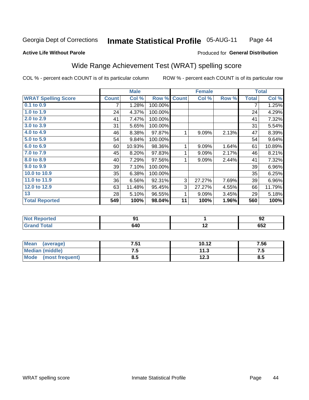#### **Inmate Statistical Profile 05-AUG-11** Page 44

### **Active Life Without Parole**

# **Produced for General Distribution**

# Wide Range Achievement Test (WRAT) spelling score

COL % - percent each COUNT is of its particular column

|                            |              | <b>Male</b> |         |              | <b>Female</b> | <b>Total</b> |              |        |
|----------------------------|--------------|-------------|---------|--------------|---------------|--------------|--------------|--------|
| <b>WRAT Spelling Score</b> | <b>Count</b> | Col %       | Row %   | <b>Count</b> | Col %         | Row %        | <b>Total</b> | Col %  |
| $0.1$ to $0.9$             | 7            | 1.28%       | 100.00% |              |               |              | 7            | 1.25%  |
| 1.0 to 1.9                 | 24           | 4.37%       | 100.00% |              |               |              | 24           | 4.29%  |
| 2.0 to 2.9                 | 41           | 7.47%       | 100.00% |              |               |              | 41           | 7.32%  |
| 3.0 to 3.9                 | 31           | 5.65%       | 100.00% |              |               |              | 31           | 5.54%  |
| 4.0 to 4.9                 | 46           | 8.38%       | 97.87%  | 1            | 9.09%         | 2.13%        | 47           | 8.39%  |
| 5.0 to 5.9                 | 54           | 9.84%       | 100.00% |              |               |              | 54           | 9.64%  |
| 6.0 to 6.9                 | 60           | 10.93%      | 98.36%  | 1            | 9.09%         | 1.64%        | 61           | 10.89% |
| 7.0 to 7.9                 | 45           | 8.20%       | 97.83%  | 1            | 9.09%         | 2.17%        | 46           | 8.21%  |
| 8.0 to 8.9                 | 40           | 7.29%       | 97.56%  | 1            | 9.09%         | 2.44%        | 41           | 7.32%  |
| 9.0 to 9.9                 | 39           | 7.10%       | 100.00% |              |               |              | 39           | 6.96%  |
| 10.0 to 10.9               | 35           | 6.38%       | 100.00% |              |               |              | 35           | 6.25%  |
| 11.0 to 11.9               | 36           | 6.56%       | 92.31%  | 3            | 27.27%        | 7.69%        | 39           | 6.96%  |
| 12.0 to 12.9               | 63           | 11.48%      | 95.45%  | 3            | 27.27%        | 4.55%        | 66           | 11.79% |
| 13                         | 28           | 5.10%       | 96.55%  | 1            | 9.09%         | 3.45%        | 29           | 5.18%  |
| <b>Total Reported</b>      | 549          | 100%        | 98.04%  | 11           | 100%          | 1.96%        | 560          | 100%   |
|                            |              |             |         |              |               |              |              |        |
| <b>Not Reported</b>        |              | 91          |         |              | 1             |              |              | 92     |
| <b>Grand Total</b>         |              | 640         |         |              | 12            |              |              | 652    |

| Mean (average)         | 7.51 | 10.12 | 7.56 |
|------------------------|------|-------|------|
| <b>Median (middle)</b> | ن. ا | 11.3  | ن. ا |
| Mode (most frequent)   | 8.5  | 12.3  | 8.5  |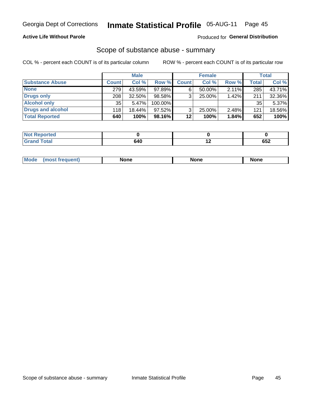## **Active Life Without Parole**

# **Produced for General Distribution**

# Scope of substance abuse - summary

COL % - percent each COUNT is of its particular column

|                        |              | <b>Male</b> |         |              | <b>Female</b> |       |              | <b>Total</b> |
|------------------------|--------------|-------------|---------|--------------|---------------|-------|--------------|--------------|
| <b>Substance Abuse</b> | <b>Count</b> | Col %       | Row %   | <b>Count</b> | Col %         | Row % | <b>Total</b> | Col %        |
| <b>None</b>            | 279          | 43.59%      | 97.89%  |              | $50.00\%$     | 2.11% | 285          | 43.71%       |
| <b>Drugs only</b>      | 208          | $32.50\%$   | 98.58%  |              | 25.00%        | 1.42% | 211          | 32.36%       |
| <b>Alcohol only</b>    | 35           | 5.47%       | 100.00% |              |               |       | 35           | 5.37%        |
| Drugs and alcohol      | 118          | $18.44\%$   | 97.52%  |              | $25.00\%$     | 2.48% | 121          | 18.56%       |
| <b>Total Reported</b>  | 640          | 100%        | 98.16%  | 12           | 100%          | 1.84% | 652          | 100%         |

| Not<br>Reported    |     |             |
|--------------------|-----|-------------|
| <b>Grand Total</b> | 640 | ים ה<br>∠כס |

| <b>Mod</b><br>'one<br>None<br><b>None</b> |
|-------------------------------------------|
|-------------------------------------------|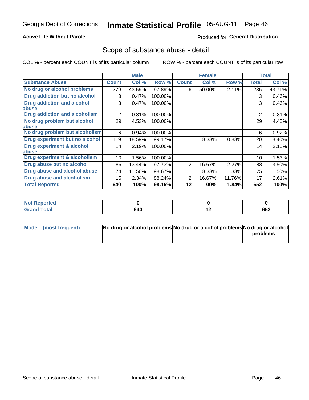## **Active Life Without Parole**

# **Produced for General Distribution**

# Scope of substance abuse - detail

COL % - percent each COUNT is of its particular column

|                                         |              | <b>Male</b> |         |              | <b>Female</b> |        |                | <b>Total</b> |
|-----------------------------------------|--------------|-------------|---------|--------------|---------------|--------|----------------|--------------|
| <b>Substance Abuse</b>                  | <b>Count</b> | Col %       | Row %   | <b>Count</b> | Col %         | Row %  | <b>Total</b>   | Col %        |
| No drug or alcohol problems             | 279          | 43.59%      | 97.89%  | 6            | 50.00%        | 2.11%  | 285            | 43.71%       |
| Drug addiction but no alcohol           | 3            | 0.47%       | 100.00% |              |               |        | 3              | 0.46%        |
| <b>Drug addiction and alcohol</b>       | 3            | 0.47%       | 100.00% |              |               |        | 3              | 0.46%        |
| abuse                                   |              |             |         |              |               |        |                |              |
| <b>Drug addiction and alcoholism</b>    | 2            | 0.31%       | 100.00% |              |               |        | $\overline{2}$ | 0.31%        |
| No drug problem but alcohol             | 29           | 4.53%       | 100.00% |              |               |        | 29             | 4.45%        |
| abuse                                   |              |             |         |              |               |        |                |              |
| No drug problem but alcoholism          | 6            | 0.94%       | 100.00% |              |               |        | 6              | 0.92%        |
| Drug experiment but no alcohol          | 119          | 18.59%      | 99.17%  |              | 8.33%         | 0.83%  | 120            | 18.40%       |
| <b>Drug experiment &amp; alcohol</b>    | 14           | 2.19%       | 100.00% |              |               |        | 14             | 2.15%        |
| abuse                                   |              |             |         |              |               |        |                |              |
| <b>Drug experiment &amp; alcoholism</b> | 10           | 1.56%       | 100.00% |              |               |        | 10             | 1.53%        |
| Drug abuse but no alcohol               | 86           | 13.44%      | 97.73%  | 2            | 16.67%        | 2.27%  | 88             | 13.50%       |
| Drug abuse and alcohol abuse            | 74           | 11.56%      | 98.67%  |              | 8.33%         | 1.33%  | 75             | 11.50%       |
| <b>Drug abuse and alcoholism</b>        | 15           | 2.34%       | 88.24%  | 2            | 16.67%        | 11.76% | 17             | 2.61%        |
| <b>Total Reported</b>                   | 640          | 100%        | 98.16%  | 12           | 100%          | 1.84%  | 652            | 100%         |

| Reported<br><b>NOT</b> |     |     |     |
|------------------------|-----|-----|-----|
| <b>otal</b>            | 640 | . . | 652 |

| Mode (most frequent) | No drug or alcohol problems No drug or alcohol problems No drug or alcohol |          |
|----------------------|----------------------------------------------------------------------------|----------|
|                      |                                                                            | problems |
|                      |                                                                            |          |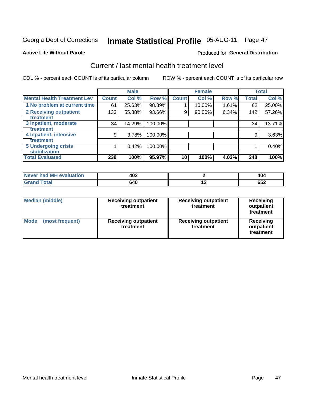# Inmate Statistical Profile 05-AUG-11 Page 47

### **Active Life Without Parole**

# **Produced for General Distribution**

# Current / last mental health treatment level

COL % - percent each COUNT is of its particular column

|                                    |              | <b>Male</b> |         |              | <b>Female</b> |       |              | <b>Total</b> |
|------------------------------------|--------------|-------------|---------|--------------|---------------|-------|--------------|--------------|
| <b>Mental Health Treatment Lev</b> | <b>Count</b> | Col %       | Row %   | <b>Count</b> | Col %         | Row % | <b>Total</b> | Col %        |
| 1 No problem at current time       | 61           | 25.63%      | 98.39%  |              | 10.00%        | 1.61% | 62           | 25.00%       |
| 2 Receiving outpatient             | 133          | 55.88%      | 93.66%  | 9            | 90.00%        | 6.34% | 142          | 57.26%       |
| <b>Treatment</b>                   |              |             |         |              |               |       |              |              |
| 3 Inpatient, moderate              | 34           | 14.29%      | 100.00% |              |               |       | 34           | 13.71%       |
| Treatment                          |              |             |         |              |               |       |              |              |
| 4 Inpatient, intensive             | 9            | 3.78%       | 100.00% |              |               |       | 9            | 3.63%        |
| Treatment                          |              |             |         |              |               |       |              |              |
| <b>5 Undergoing crisis</b>         |              | 0.42%       | 100.00% |              |               |       |              | 0.40%        |
| <b>stabilization</b>               |              |             |         |              |               |       |              |              |
| <b>Total Evaluated</b>             | 238          | 100%        | 95.97%  | 10           | 100%          | 4.03% | 248          | 100%         |

| had MH<br>uation<br>$\triangle$ Va<br>' NAVAI | れへつ<br>tvz<br>___ |                          | . .<br>. .<br>ŀU∸<br>$ -$      |
|-----------------------------------------------|-------------------|--------------------------|--------------------------------|
|                                               | 640               | $\overline{\phantom{0}}$ | $- - -$<br>JJ <i>l</i><br>$ -$ |

| <b>Median (middle)</b>         | <b>Receiving outpatient</b><br>treatment | <b>Receiving outpatient</b><br>treatment | <b>Receiving</b><br>outpatient<br>treatment |  |  |
|--------------------------------|------------------------------------------|------------------------------------------|---------------------------------------------|--|--|
| <b>Mode</b><br>(most frequent) | <b>Receiving outpatient</b><br>treatment | <b>Receiving outpatient</b><br>treatment | Receiving<br>outpatient<br>treatment        |  |  |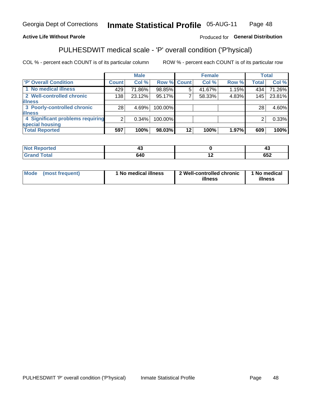#### Inmate Statistical Profile 05-AUG-11 Page 48

# **Active Life Without Parole**

# Produced for General Distribution

# PULHESDWIT medical scale - 'P' overall condition ('P'hysical)

COL % - percent each COUNT is of its particular column

|                                  |         | <b>Male</b> |             |         | <b>Female</b> |       |              | <b>Total</b> |
|----------------------------------|---------|-------------|-------------|---------|---------------|-------|--------------|--------------|
| 'P' Overall Condition            | Count l | Col %       | Row % Count |         | Col %         | Row % | <b>Total</b> | Col %        |
| 1 No medical illness             | 429     | 71.86%      | 98.85%      | 5       | 41.67%        | 1.15% | 434          | 71.26%       |
| 2 Well-controlled chronic        | 138     | 23.12%      | 95.17%      |         | 58.33%        | 4.83% | 145          | 23.81%       |
| <b>illness</b>                   |         |             |             |         |               |       |              |              |
| 3 Poorly-controlled chronic      | 28      | 4.69%       | 100.00%     |         |               |       | 28           | 4.60%        |
| <b>illness</b>                   |         |             |             |         |               |       |              |              |
| 4 Significant problems requiring | ົ       | 0.34%       | 100.00%     |         |               |       | 2            | 0.33%        |
| special housing                  |         |             |             |         |               |       |              |              |
| <b>Total Reported</b>            | 597     | 100%        | 98.03%      | $12 \,$ | 100%          | 1.97% | 609          | 100%         |

| rtea          | -- | л<br>᠇            |
|---------------|----|-------------------|
| <u>i vtal</u> |    | CEC<br><b>UJZ</b> |

| Mode | (most frequent) | <sup>1</sup> No medical illness | 2 Well-controlled chronic<br>illness | 1 No medical<br>illness |
|------|-----------------|---------------------------------|--------------------------------------|-------------------------|
|------|-----------------|---------------------------------|--------------------------------------|-------------------------|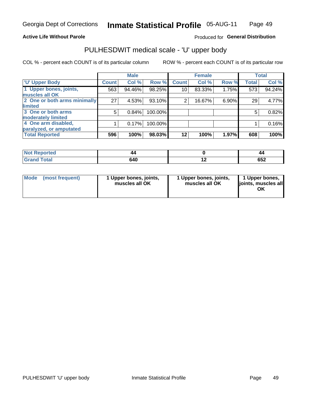## **Active Life Without Parole**

## Produced for General Distribution

# PULHESDWIT medical scale - 'U' upper body

COL % - percent each COUNT is of its particular column

|                              |              | <b>Male</b> |         |              | <b>Female</b> |       |              | <b>Total</b> |
|------------------------------|--------------|-------------|---------|--------------|---------------|-------|--------------|--------------|
| <b>U' Upper Body</b>         | <b>Count</b> | Col %       | Row %   | <b>Count</b> | Col %         | Row % | <b>Total</b> | Col %        |
| 1 Upper bones, joints,       | 563          | 94.46%      | 98.25%  | 10           | 83.33%        | 1.75% | 573          | 94.24%       |
| muscles all OK               |              |             |         |              |               |       |              |              |
| 2 One or both arms minimally | 27           | 4.53%       | 93.10%  | 2            | 16.67%        | 6.90% | 29           | 4.77%        |
| limited                      |              |             |         |              |               |       |              |              |
| 3 One or both arms           | 5            | 0.84%       | 100.00% |              |               |       | 5            | 0.82%        |
| moderately limited           |              |             |         |              |               |       |              |              |
| 4 One arm disabled,          |              | 0.17%       | 100.00% |              |               |       |              | 0.16%        |
| paralyzed, or amputated      |              |             |         |              |               |       |              |              |
| <b>Total Reported</b>        | 596          | 100%        | 98.03%  | $12 \,$      | 100%          | 1.97% | 608          | 100%         |

| <b>Not Reported</b>              |     |     | 44         |
|----------------------------------|-----|-----|------------|
| <b>Total</b><br>Grar<br>ا الله ا | 640 | . . | 269<br>⊿כס |

| Mode | (most frequent) | 1 Upper bones, joints,<br>muscles all OK | 1 Upper bones, joints,<br>muscles all OK | 1 Upper bones,<br>ljoints, muscles all<br>OK |
|------|-----------------|------------------------------------------|------------------------------------------|----------------------------------------------|
|------|-----------------|------------------------------------------|------------------------------------------|----------------------------------------------|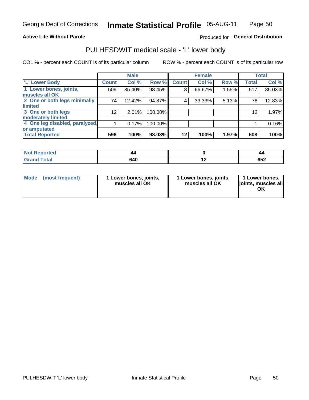## **Active Life Without Parole**

# Produced for General Distribution

# PULHESDWIT medical scale - 'L' lower body

COL % - percent each COUNT is of its particular column

|                                |                 | <b>Male</b> |           |              | <b>Female</b> |       |              | <b>Total</b> |
|--------------------------------|-----------------|-------------|-----------|--------------|---------------|-------|--------------|--------------|
| 'L' Lower Body                 | <b>Count</b>    | Col %       | Row %     | <b>Count</b> | Col %         | Row % | <b>Total</b> | Col %        |
| 1 Lower bones, joints,         | 509             | 85.40%      | $98.45\%$ | 8            | 66.67%        | 1.55% | 517          | 85.03%       |
| muscles all OK                 |                 |             |           |              |               |       |              |              |
| 2 One or both legs minimally   | 74              | 12.42%      | 94.87%    | 4            | 33.33%        | 5.13% | 78           | 12.83%       |
| limited                        |                 |             |           |              |               |       |              |              |
| 3 One or both legs             | 12 <sub>1</sub> | 2.01%       | 100.00%   |              |               |       | 12           | 1.97%        |
| moderately limited             |                 |             |           |              |               |       |              |              |
| 4 One leg disabled, paralyzed, |                 | 0.17%       | 100.00%   |              |               |       |              | 0.16%        |
| or amputated                   |                 |             |           |              |               |       |              |              |
| <b>Total Reported</b>          | 596             | 100%        | 98.03%    | $12 \,$      | 100%          | 1.97% | 608          | 100%         |

| <b>Not Reported</b>   |     | 44          |
|-----------------------|-----|-------------|
| <b>Total</b><br>Grand | 640 | r E A<br>⊿ט |

| Mode | (most frequent) | 1 Lower bones, joints,<br>muscles all OK | 1 Lower bones, joints,<br>muscles all OK | 1 Lower bones,<br>ljoints, muscles all<br>OK |
|------|-----------------|------------------------------------------|------------------------------------------|----------------------------------------------|
|------|-----------------|------------------------------------------|------------------------------------------|----------------------------------------------|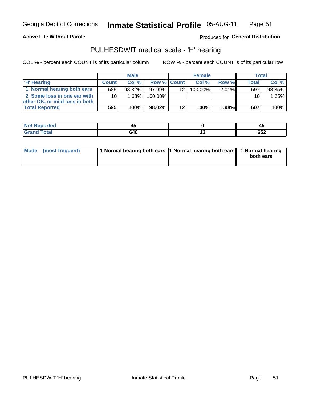**Active Life Without Parole** 

Produced for General Distribution

# PULHESDWIT medical scale - 'H' hearing

COL % - percent each COUNT is of its particular column

|                                |                 | <b>Male</b> |                    | <b>Female</b> |            |       | Total        |        |
|--------------------------------|-----------------|-------------|--------------------|---------------|------------|-------|--------------|--------|
| <b>H' Hearing</b>              | <b>Count</b>    | Col%        | <b>Row % Count</b> |               | Col%       | Row % | <b>Total</b> | Col %  |
| 1 Normal hearing both ears     | 585             | 98.32%      | 97.99%             | 12            | $100.00\%$ | 2.01% | 597          | 98.35% |
| 2 Some loss in one ear with    | 10 <sup>1</sup> | 1.68%       | 100.00%            |               |            |       | 10           | 1.65%  |
| other OK, or mild loss in both |                 |             |                    |               |            |       |              |        |
| <b>Total Reported</b>          | 595             | 100%        | 98.02%             | $12 \,$       | 100%       | 1.98% | 607          | 100%   |

| rш<br>. | - -<br>л.<br>$-$ |                          | - 1<br>$\sim$ |
|---------|------------------|--------------------------|---------------|
|         | .<br>$ -$        | $\overline{\phantom{a}}$ | よいつ<br>ΩΩ     |

|  | Mode (most frequent) | 1 Normal hearing both ears 1 Normal hearing both ears 1 Normal hearing |  | both ears |
|--|----------------------|------------------------------------------------------------------------|--|-----------|
|--|----------------------|------------------------------------------------------------------------|--|-----------|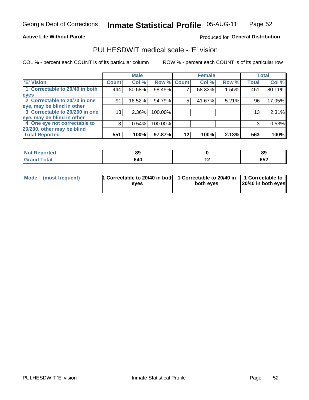## **Active Life Without Parole**

## Produced for General Distribution

# PULHESDWIT medical scale - 'E' vision

COL % - percent each COUNT is of its particular column

|                                |                 | <b>Male</b> |             |    | <b>Female</b> |       |              | <b>Total</b> |
|--------------------------------|-----------------|-------------|-------------|----|---------------|-------|--------------|--------------|
| <b>E' Vision</b>               | <b>Count</b>    | Col %       | Row % Count |    | Col %         | Row % | <b>Total</b> | Col %        |
| 1 Correctable to 20/40 in both | 444             | 80.58%      | 98.45%      |    | 58.33%        | 1.55% | 451          | 80.11%       |
| eyes                           |                 |             |             |    |               |       |              |              |
| 2 Correctable to 20/70 in one  | 91              | 16.52%      | 94.79%      | 5  | 41.67%        | 5.21% | 96           | 17.05%       |
| eye, may be blind in other     |                 |             |             |    |               |       |              |              |
| 3 Correctable to 20/200 in one | 13 <sub>1</sub> | $2.36\%$    | 100.00%     |    |               |       | 13           | 2.31%        |
| eye, may be blind in other     |                 |             |             |    |               |       |              |              |
| 4 One eye not correctable to   | 3               | 0.54%       | 100.00%     |    |               |       | 3            | 0.53%        |
| 20/200, other may be blind     |                 |             |             |    |               |       |              |              |
| <b>Total Reported</b>          | 551             | 100%        | 97.87%      | 12 | 100%          | 2.13% | 563          | 100%         |

| <b>Not Reported</b><br>$\cdots$ | $\mathbf{C}$<br>໐ະ |     | 89   |
|---------------------------------|--------------------|-----|------|
| <b>Total</b>                    | 640                | . . | ັ∪ລ∠ |

| Mode (most frequent) | <sup>1</sup> Correctable to 20/40 in both 1 Correctable to 20/40 in 1 Correctable to<br>eves | both eyes | 20/40 in both eyes |
|----------------------|----------------------------------------------------------------------------------------------|-----------|--------------------|
|                      |                                                                                              |           |                    |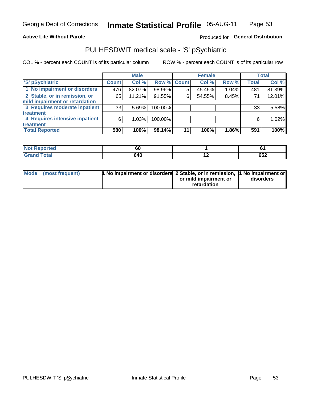## **Active Life Without Parole**

# Produced for General Distribution

# PULHESDWIT medical scale - 'S' pSychiatric

COL % - percent each COUNT is of its particular column

|                                |              | <b>Male</b> |                    |    | <b>Female</b> |       |              | Total  |
|--------------------------------|--------------|-------------|--------------------|----|---------------|-------|--------------|--------|
| 'S' pSychiatric                | <b>Count</b> | Col %       | <b>Row % Count</b> |    | Col %         | Row % | <b>Total</b> | Col %  |
| 1 No impairment or disorders   | 476          | 82.07%      | 98.96%             | 5  | 45.45%        | 1.04% | 481          | 81.39% |
| 2 Stable, or in remission, or  | 65           | 11.21%      | 91.55%             | 6  | 54.55%        | 8.45% | 71           | 12.01% |
| mild impairment or retardation |              |             |                    |    |               |       |              |        |
| 3 Requires moderate inpatient  | 33           | 5.69%       | 100.00%            |    |               |       | 33           | 5.58%  |
| treatment                      |              |             |                    |    |               |       |              |        |
| 4 Requires intensive inpatient | 6            | 1.03%       | 100.00%            |    |               |       | 6            | 1.02%  |
| treatment                      |              |             |                    |    |               |       |              |        |
| <b>Total Reported</b>          | 580          | 100%        | 98.14%             | 11 | 100%          | 1.86% | 591          | 100%   |

| теа | υι                          |                          |     |
|-----|-----------------------------|--------------------------|-----|
|     | <b>0.40</b><br>U4 U<br>$ -$ | $\overline{\phantom{0}}$ | 652 |

| Mode (most frequent) | <sup>1</sup> No impairment or disorders 2 Stable, or in remission, <sup>1</sup> No impairment or |                       |           |
|----------------------|--------------------------------------------------------------------------------------------------|-----------------------|-----------|
|                      |                                                                                                  | or mild impairment or | disorders |
|                      |                                                                                                  | retardation           |           |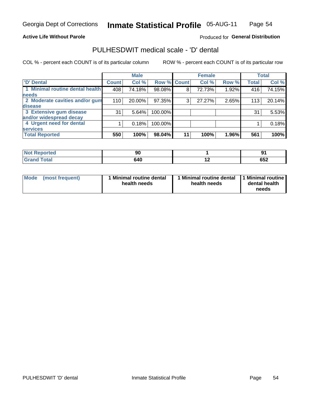## **Active Life Without Parole**

# Produced for General Distribution

# PULHESDWIT medical scale - 'D' dental

COL % - percent each COUNT is of its particular column

|                                 |              | <b>Male</b> |             |    | <b>Female</b> |       |              | <b>Total</b> |
|---------------------------------|--------------|-------------|-------------|----|---------------|-------|--------------|--------------|
| 'D' Dental                      | <b>Count</b> | Col %       | Row % Count |    | Col %         | Row % | <b>Total</b> | Col %        |
| 1 Minimal routine dental health | 408          | 74.18%      | 98.08%      | 8  | 72.73%        | 1.92% | 416          | 74.15%       |
| <b>needs</b>                    |              |             |             |    |               |       |              |              |
| 2 Moderate cavities and/or gum  | 110          | 20.00%      | 97.35%      | 3  | 27.27%        | 2.65% | 113          | 20.14%       |
| disease                         |              |             |             |    |               |       |              |              |
| 3 Extensive gum disease         | 31           | 5.64%       | 100.00%     |    |               |       | 31           | 5.53%        |
| and/or widespread decay         |              |             |             |    |               |       |              |              |
| 4 Urgent need for dental        |              | 0.18%       | 100.00%     |    |               |       |              | 0.18%        |
| <b>services</b>                 |              |             |             |    |               |       |              |              |
| <b>Total Reported</b>           | 550          | 100%        | $98.04\%$   | 11 | 100%          | 1.96% | 561          | 100%         |

| a construction of the construction<br>rtea<br>N<br>. | ◡   |                          |         |
|------------------------------------------------------|-----|--------------------------|---------|
| $F \wedge f \wedge f$                                | 28N | $\overline{\phantom{0}}$ | <b></b> |
| <u>i</u> Utal                                        | ソート |                          | ບປ∠     |

| <b>Mode</b> | (most frequent) | <b>Minimal routine dental</b><br>health needs | 1 Minimal routine dental<br>health needs | <b>11 Minimal routine I</b><br>dental health<br>needs |
|-------------|-----------------|-----------------------------------------------|------------------------------------------|-------------------------------------------------------|
|-------------|-----------------|-----------------------------------------------|------------------------------------------|-------------------------------------------------------|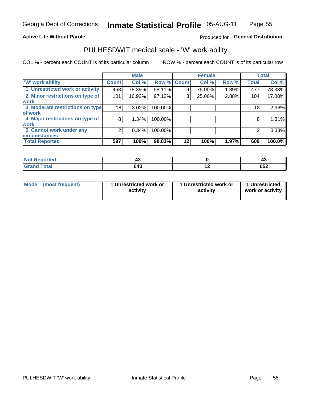## **Active Life Without Parole**

# Produced for General Distribution

# PULHESDWIT medical scale - 'W' work ability

COL % - percent each COUNT is of its particular column

|                                 |              | <b>Male</b> |         |             | <b>Female</b> |       |              | <b>Total</b> |
|---------------------------------|--------------|-------------|---------|-------------|---------------|-------|--------------|--------------|
| <b>W' work ability</b>          | <b>Count</b> | Col %       |         | Row % Count | Col %         | Row % | <b>Total</b> | Col %        |
| 1 Unrestricted work or activity | 468          | 78.39%      | 98.11%  | 9           | 75.00%        | 1.89% | 477          | 78.33%       |
| 2 Minor restrictions on type of | 101          | 16.92%      | 97.12%  | 3           | 25.00%        | 2.88% | 104          | 17.08%       |
| <b>work</b>                     |              |             |         |             |               |       |              |              |
| 3 Moderate restrictions on type | 18           | $3.02\%$    | 100.00% |             |               |       | 18           | 2.96%        |
| lof work                        |              |             |         |             |               |       |              |              |
| 4 Major restrictions on type of | 8            | $1.34\%$    | 100.00% |             |               |       | 8            | 1.31%        |
| <b>work</b>                     |              |             |         |             |               |       |              |              |
| 5 Cannot work under any         |              | 0.34%       | 100.00% |             |               |       | 2            | 0.33%        |
| <b>circumstances</b>            |              |             |         |             |               |       |              |              |
| <b>Total Reported</b>           | 597          | 100%        | 98.03%  | 12          | 100%          | 1.97% | 609          | 100.0%       |

| <b>Not Reported</b>  | ∼   |     | ≖∾  |
|----------------------|-----|-----|-----|
| <b>Total</b><br>Cron | 640 | . . | 652 |

| Mode (most frequent) | 1 Unrestricted work or | 1 Unrestricted work or | 1 Unrestricted   |
|----------------------|------------------------|------------------------|------------------|
|                      | activity               | activity               | work or activity |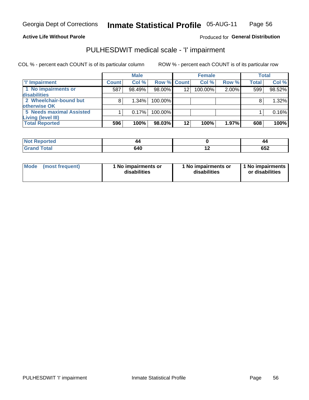## **Active Life Without Parole**

Produced for General Distribution

# PULHESDWIT medical scale - 'I' impairment

|                          |              | <b>Male</b> |                    |                 | <b>Female</b> |          |       | <b>Total</b> |
|--------------------------|--------------|-------------|--------------------|-----------------|---------------|----------|-------|--------------|
| 'I' Impairment           | <b>Count</b> | Col %       | <b>Row % Count</b> |                 | Col %         | Row %    | Total | Col %        |
| 1 No impairments or      | 587          | 98.49%      | 98.00%             | 12              | 100.00%       | $2.00\%$ | 599   | 98.52%       |
| disabilities             |              |             |                    |                 |               |          |       |              |
| 2 Wheelchair-bound but   | 8            | 1.34%       | 100.00%            |                 |               |          |       | 1.32%        |
| otherwise OK             |              |             |                    |                 |               |          |       |              |
| 5 Needs maximal Assisted |              | 0.17%       | 100.00%            |                 |               |          |       | 0.16%        |
| Living (level III)       |              |             |                    |                 |               |          |       |              |
| <b>Total Reported</b>    | 596          | 100%        | 98.03%             | 12 <sup>2</sup> | 100%          | 1.97%    | 608   | 100%         |
|                          |              |             |                    |                 |               |          |       |              |

| <b>Not Reported</b> | 44  |                          | 44         |
|---------------------|-----|--------------------------|------------|
| Total               | 640 | $\overline{\phantom{0}}$ | CE'<br>שטב |

| <b>Mode</b>     | 1 No impairments or | 1 No impairments or | 1 1 No impairments |
|-----------------|---------------------|---------------------|--------------------|
| (most frequent) | disabilities        | disabilities        | or disabilities    |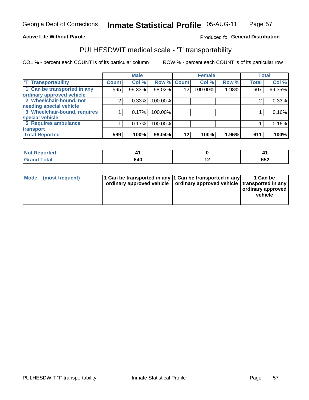## **Active Life Without Parole**

## Produced fo General Distribution

# PULHESDWIT medical scale - 'T' transportability

COL % - percent each COUNT is of its particular column

|                              |              | <b>Male</b> |         |                 | <b>Female</b> |       |              | <b>Total</b> |
|------------------------------|--------------|-------------|---------|-----------------|---------------|-------|--------------|--------------|
| <b>T' Transportability</b>   | <b>Count</b> | Col %       |         | Row % Count     | Col %         | Row % | <b>Total</b> | Col %        |
| 1 Can be transported in any  | 595          | 99.33%      | 98.02%  | 12              | 100.00%       | 1.98% | 607          | 99.35%       |
| ordinary approved vehicle    |              |             |         |                 |               |       |              |              |
| 2 Wheelchair-bound, not      |              | 0.33%       | 100.00% |                 |               |       |              | 0.33%        |
| needing special vehicle      |              |             |         |                 |               |       |              |              |
| 3 Wheelchair-bound, requires |              | 0.17%       | 100.00% |                 |               |       |              | 0.16%        |
| special vehicle              |              |             |         |                 |               |       |              |              |
| 5 Requires ambulance         |              | 0.17%       | 100.00% |                 |               |       |              | 0.16%        |
| transport                    |              |             |         |                 |               |       |              |              |
| <b>Total Reported</b>        | 599          | 100%        | 98.04%  | 12 <sub>1</sub> | 100%          | 1.96% | 611          | 100%         |

| orted       |     |     |            |
|-------------|-----|-----|------------|
| <b>otal</b> | 640 | . . | CE'<br>◡◡∠ |

| <b>Mode</b> | (most frequent) | 1 Can be transported in any 1 Can be transported in any | ordinary approved vehicle   ordinary approved vehicle   transported in any | 1 Can be<br>  ordinary approved  <br>vehicle |
|-------------|-----------------|---------------------------------------------------------|----------------------------------------------------------------------------|----------------------------------------------|
|-------------|-----------------|---------------------------------------------------------|----------------------------------------------------------------------------|----------------------------------------------|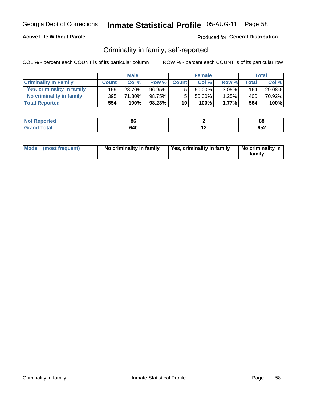## **Active Life Without Parole**

# Produced for General Distribution

# Criminality in family, self-reported

COL % - percent each COUNT is of its particular column

|                              |              | <b>Male</b> |        |              | <b>Female</b> |          |       | Total  |
|------------------------------|--------------|-------------|--------|--------------|---------------|----------|-------|--------|
| <b>Criminality In Family</b> | <b>Count</b> | Col %       | Row %  | <b>Count</b> | Col %         | Row %    | Total | Col %  |
| Yes, criminality in family   | 159          | 28.70%      | 96.95% | 5            | 50.00%        | $3.05\%$ | 164   | 29.08% |
| No criminality in family     | 395          | 71.30%      | 98.75% | 5            | 50.00%        | 1.25%    | 400'  | 70.92% |
| <b>Total Reported</b>        | 554          | 100%        | 98.23% | 10           | 100%          | 1.77%    | 564   | 100%   |

| <b>Not Reported</b> | $\alpha$<br>ou |     | 88      |
|---------------------|----------------|-----|---------|
| <b>Total</b>        | 640            | . . | <b></b> |
| <b>Grano</b>        |                |     | ດລ≖     |

|  | Mode (most frequent) | No criminality in family | Yes, criminality in family | No criminality in<br>family |
|--|----------------------|--------------------------|----------------------------|-----------------------------|
|--|----------------------|--------------------------|----------------------------|-----------------------------|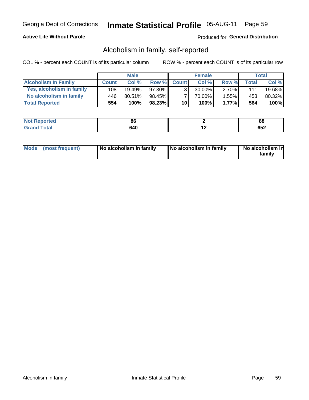# **Active Life Without Parole**

## Produced for General Distribution

# Alcoholism in family, self-reported

COL % - percent each COUNT is of its particular column

|                             |              | <b>Male</b> |           |                 | <b>Female</b> |          |              | Total   |
|-----------------------------|--------------|-------------|-----------|-----------------|---------------|----------|--------------|---------|
| <b>Alcoholism In Family</b> | <b>Count</b> | Col%        | Row %     | <b>Count</b>    | Col%          | Row %    | <b>Total</b> | Col %   |
| Yes, alcoholism in family   | 108          | 19.49%      | 97.30%    | 3 <sub>1</sub>  | $30.00\%$     | $2.70\%$ | 111          | 19.68%  |
| No alcoholism in family     | 446          | $80.51\%$   | 98.45%    |                 | 70.00%        | $1.55\%$ | 453          | 80.32%  |
| <b>Total Reported</b>       | 554          | 100%        | $98.23\%$ | 10 <sub>1</sub> | 100%          | 1.77%    | 564          | $100\%$ |

| <b>Not Reported</b> | ou  |     | 88  |
|---------------------|-----|-----|-----|
| "otal<br>l Gran     | 640 | . . | ບວ∠ |

|  | Mode (most frequent) | No alcoholism in family | No alcoholism in family | No alcoholism in<br>family |
|--|----------------------|-------------------------|-------------------------|----------------------------|
|--|----------------------|-------------------------|-------------------------|----------------------------|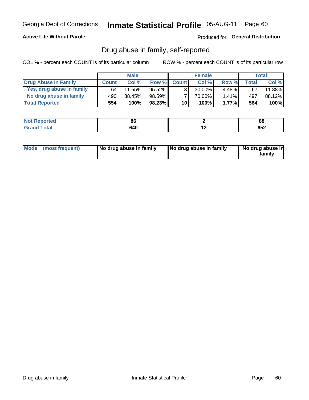# **Active Life Without Parole**

# Produced for General Distribution

# Drug abuse in family, self-reported

COL % - percent each COUNT is of its particular column

|                           |              | <b>Male</b> |           |                 | <b>Female</b> |          |              | Total   |
|---------------------------|--------------|-------------|-----------|-----------------|---------------|----------|--------------|---------|
| Drug Abuse In Family      | <b>Count</b> | Col%        | Row %     | <b>Count</b>    | Col%          | Row %    | <b>Total</b> | Col %   |
| Yes, drug abuse in family | 64           | $11.55\%$   | $95.52\%$ | 3 <sub>1</sub>  | $30.00\%$     | $4.48\%$ | 67           | 11.88%  |
| No drug abuse in family   | 490          | 88.45%      | 98.59%    |                 | 70.00%        | $1.41\%$ | 497          | 88.12%  |
| <b>Total Reported</b>     | 554          | 100%        | $98.23\%$ | 10 <sub>1</sub> | 100%          | $1.77\%$ | 564          | $100\%$ |

| Reported     | or  |     | o٥                 |
|--------------|-----|-----|--------------------|
| <b>NOT</b>   | ೲ   |     | oo                 |
| <b>Total</b> | 640 | . . | ים ה<br><b>OJZ</b> |

|  | Mode (most frequent) | No drug abuse in family | No drug abuse in family | No drug abuse in<br>family |
|--|----------------------|-------------------------|-------------------------|----------------------------|
|--|----------------------|-------------------------|-------------------------|----------------------------|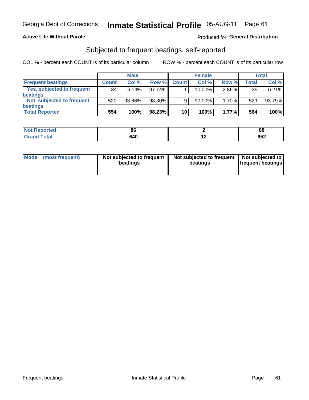## **Active Life Without Parole**

## Produced for General Distribution

# Subjected to frequent beatings, self-reported

COL % - percent each COUNT is of its particular column

|                                   |                 | <b>Male</b> |           |              | <b>Female</b> |       |       | Total  |
|-----------------------------------|-----------------|-------------|-----------|--------------|---------------|-------|-------|--------|
| <b>Frequent beatings</b>          | <b>Count</b>    | Col %       | Row %     | <b>Count</b> | Col %         | Row % | Total | Col %  |
| <b>Yes, subjected to frequent</b> | 34 <sub>1</sub> | 6.14%       | 97.14%    |              | 10.00%        | 2.86% | 35    | 6.21%  |
| <b>beatings</b>                   |                 |             |           |              |               |       |       |        |
| Not subjected to frequent         | 520             | 93.86%      | 98.30%    | 9            | 90.00%        | 1.70% | 529   | 93.79% |
| <b>beatings</b>                   |                 |             |           |              |               |       |       |        |
| <b>Total Reported</b>             | 554             | 100%        | $98.23\%$ | 10           | 100%          | 1.77% | 564   | 100%   |

| <b>Not Reported</b> | 86  |     | 88  |
|---------------------|-----|-----|-----|
| <b>Grand Total</b>  | 640 | . . | 652 |

| Mode (most frequent) | Not subjected to frequent<br>beatings | Not subjected to frequent<br>beatings | Not subjected to<br><b>frequent beatings</b> |
|----------------------|---------------------------------------|---------------------------------------|----------------------------------------------|
|                      |                                       |                                       |                                              |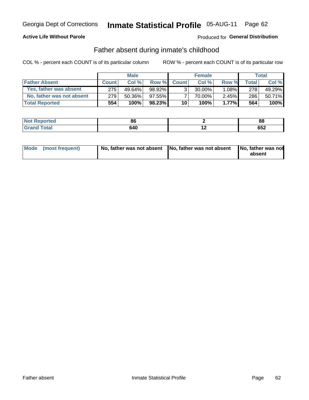# **Active Life Without Parole**

# Produced for General Distribution

# Father absent during inmate's childhood

COL % - percent each COUNT is of its particular column

|                           |              | <b>Male</b> |           |              | <b>Female</b> |          |         | <b>Total</b> |
|---------------------------|--------------|-------------|-----------|--------------|---------------|----------|---------|--------------|
| <b>Father Absent</b>      | <b>Count</b> | Col%        | Row %     | <b>Count</b> | Col %         | Row %    | Total I | Col %        |
| Yes, father was absent    | 275          | $49.64\%$   | 98.92%    | 3            | $30.00\%$     | $1.08\%$ | 278     | 49.29%       |
| No, father was not absent | 279          | $50.36\%$   | $97.55\%$ |              | 70.00%        | $2.45\%$ | 286     | 50.71%       |
| <b>Total Reported</b>     | 554          | 100%        | $98.23\%$ | 10           | 100%          | 1.77%    | 564     | 100%         |

| <b>Not Reported</b> | $\alpha$<br>ou |     | 88      |
|---------------------|----------------|-----|---------|
| <b>Total</b>        | 640            | . . | <b></b> |
| <b>Grano</b>        |                |     | ດລ≖     |

| Mode (most frequent) |  | No, father was not absent No, father was not absent No, father was not | absent |
|----------------------|--|------------------------------------------------------------------------|--------|
|----------------------|--|------------------------------------------------------------------------|--------|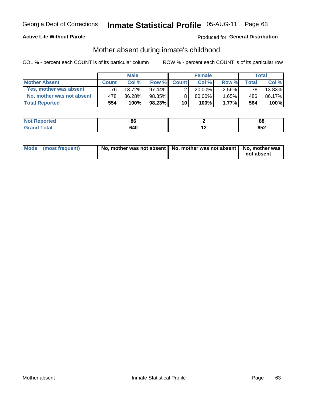# **Active Life Without Parole**

# Produced for General Distribution

# Mother absent during inmate's childhood

COL % - percent each COUNT is of its particular column

|                           |              | <b>Male</b> |           |                 | <b>Female</b> |          |              | Total   |
|---------------------------|--------------|-------------|-----------|-----------------|---------------|----------|--------------|---------|
| <b>Mother Absent</b>      | <b>Count</b> | Col%        | Row %     | <b>Count</b>    | Col%          | Row %    | <b>Total</b> | Col %   |
| Yes, mother was absent    | 761          | 13.72%      | $97.44\%$ | ົ               | $20.00\%$     | $2.56\%$ | 78           | 13.83%  |
| No. mother was not absent | 478          | 86.28%      | 98.35%    | 8 <sub>1</sub>  | 80.00%        | $1.65\%$ | 486          | 86.17%  |
| <b>Total Reported</b>     | 554          | 100%        | $98.23\%$ | 10 <sup>1</sup> | 100%          | $1.77\%$ | 564          | $100\%$ |

| <b>Not Reported</b> | oc<br>ou |     | 88      |
|---------------------|----------|-----|---------|
| ſotal               | 640      | . . | <b></b> |
| <b>Grand</b>        |          |     | ⊾כס     |

| Mode (most frequent) | No, mother was not absent   No, mother was not absent   No, mother was | not absent |
|----------------------|------------------------------------------------------------------------|------------|
|----------------------|------------------------------------------------------------------------|------------|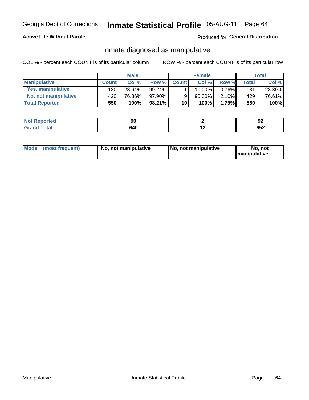# **Active Life Without Parole**

## Produced for General Distribution

# Inmate diagnosed as manipulative

COL % - percent each COUNT is of its particular column

|                       |              | <b>Male</b> |        |              | <b>Female</b> |          |       | Total  |
|-----------------------|--------------|-------------|--------|--------------|---------------|----------|-------|--------|
| <b>Manipulative</b>   | <b>Count</b> | Col %       | Row %  | <b>Count</b> | Col %         | Row %    | Total | Col %  |
| Yes, manipulative     | 130          | 23.64%      | 99.24% |              | 10.00%        | $0.76\%$ | 131   | 23.39% |
| No, not manipulative  | 420          | 76.36%      | 97.90% | 9            | $90.00\%$     | $2.10\%$ | 429   | 76.61% |
| <b>Total Reported</b> | 550          | 100%        | 98.21% | 10           | 100%          | 1.79%    | 560   | 100%   |

| <b>Not</b><br>Reported | IJW           |             | JZ  |
|------------------------|---------------|-------------|-----|
| <b>otal</b><br>Grar    | 9 A C<br>94 U | $\cdot$ $-$ | 652 |

|  | Mode (most frequent) | No, not manipulative | No, not manipulative | No. not<br><b>I</b> manipulative |
|--|----------------------|----------------------|----------------------|----------------------------------|
|--|----------------------|----------------------|----------------------|----------------------------------|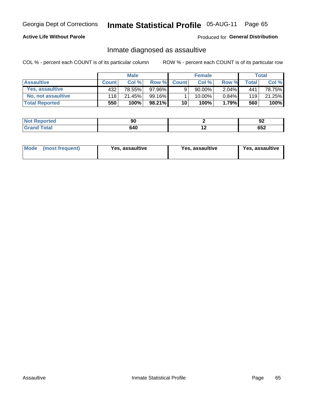# Inmate Statistical Profile 05-AUG-11 Page 65

# **Active Life Without Parole**

Produced for General Distribution

# Inmate diagnosed as assaultive

COL % - percent each COUNT is of its particular column

|                       | <b>Male</b>  |        | <b>Female</b> |              |        | Total    |       |        |
|-----------------------|--------------|--------|---------------|--------------|--------|----------|-------|--------|
| <b>Assaultive</b>     | <b>Count</b> | Col%   | Row %         | <b>Count</b> | Col %  | Row %    | Total | Col %  |
| Yes, assaultive       | 432          | 78.55% | 97.96%        | 9            | 90.00% | $2.04\%$ | 441   | 78.75% |
| No, not assaultive    | 118          | 21.45% | 99.16%        |              | 10.00% | $0.84\%$ | 119   | 21.25% |
| <b>Total Reported</b> | 550          | 100%   | 98.21%)       | 10           | 100%   | 1.79%    | 560   | 100%   |

| <b>Reported</b><br>' NOT | Ju  |     | ი.<br>JŁ. |
|--------------------------|-----|-----|-----------|
| <b>otal</b>              | 640 | . . | <br>р⊃∠   |

| Mode (most frequent)<br>Yes, assaultive | Yes, assaultive | <b>Yes, assaultive</b> |
|-----------------------------------------|-----------------|------------------------|
|-----------------------------------------|-----------------|------------------------|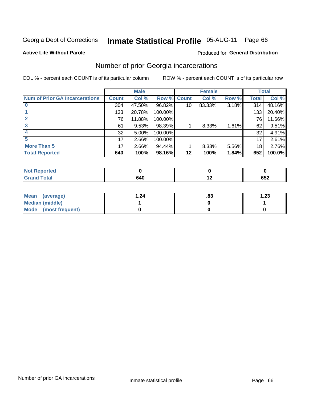#### Inmate Statistical Profile 05-AUG-11 Page 66

### **Active Life Without Parole**

# **Produced for General Distribution**

# Number of prior Georgia incarcerations

COL % - percent each COUNT is of its particular column

|                                       |              | <b>Male</b> |                    |    | <b>Female</b> | <b>Total</b> |       |        |
|---------------------------------------|--------------|-------------|--------------------|----|---------------|--------------|-------|--------|
| <b>Num of Prior GA Incarcerations</b> | <b>Count</b> | Col %       | <b>Row % Count</b> |    | Col %         | Row %        | Total | Col %  |
|                                       | 304          | 47.50%      | 96.82%             | 10 | 83.33%        | 3.18%        | 314   | 48.16% |
|                                       | 133          | 20.78%      | 100.00%            |    |               |              | 133   | 20.40% |
|                                       | 76           | 11.88%      | 100.00%            |    |               |              | 76    | 11.66% |
| 3                                     | 61           | 9.53%       | 98.39%             |    | 8.33%         | 1.61%        | 62    | 9.51%  |
|                                       | 32           | 5.00%       | 100.00%            |    |               |              | 32    | 4.91%  |
| 5                                     | 17           | 2.66%       | 100.00%            |    |               |              | 17    | 2.61%  |
| <b>More Than 5</b>                    | 17           | 2.66%       | 94.44%             |    | 8.33%         | 5.56%        | 18    | 2.76%  |
| <b>Total Reported</b>                 | 640          | 100%        | 98.16%             | 12 | 100%          | 1.84%        | 652   | 100.0% |

| A (÷IO)     |                 |                  |
|-------------|-----------------|------------------|
| <b>otal</b> | .<br><b>546</b> | <b>CEO</b><br>פט |

| Mean (average)       | .24 | ده. | 1.23 |
|----------------------|-----|-----|------|
| Median (middle)      |     |     |      |
| Mode (most frequent) |     |     |      |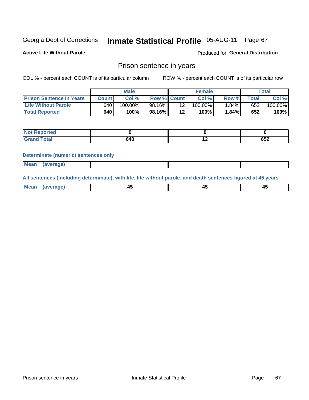#### **Inmate Statistical Profile 05-AUG-11** Page 67

**Active Life Without Parole** 

Produced for General Distribution

# Prison sentence in years

COL % - percent each COUNT is of its particular column

ROW % - percent each COUNT is of its particular row

|                                 |         | <b>Male</b> |                    | <b>Female</b>   |            | Total |             |         |
|---------------------------------|---------|-------------|--------------------|-----------------|------------|-------|-------------|---------|
| <b>Prison Sentence In Years</b> | Count l | Col %       | <b>Row % Count</b> |                 | Col %      | Row % | $\tau$ otal | Col %   |
| <b>Life Without Parole</b>      | 640     | $100.00\%$  | 98.16%             |                 | $100.00\%$ | 1.84% | 652         | 100.00% |
| <b>Total Reported</b>           | 640     | 100%        | 98.16%             | 12 <sub>1</sub> | 100%       | 1.84% | 652         | 100%    |

| Not Reported |     |     |     |
|--------------|-----|-----|-----|
| <b>otal</b>  | 640 | . . | 652 |

### **Determinate (numeric) sentences only**

| <b>Mean</b> | <i>(average)</i> |  |  |
|-------------|------------------|--|--|
|             |                  |  |  |

All sentences (including determinate), with life, life without parole, and death sentences figured at 45 years

| l Mea<br>апе<br>. | -⊷ |  |
|-------------------|----|--|
|                   |    |  |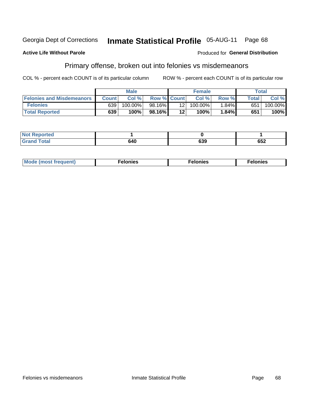### **Active Life Without Parole**

### Produced for General Distribution

# Primary offense, broken out into felonies vs misdemeanors

COL % - percent each COUNT is of its particular column

|                                  | <b>Male</b>  |         | <b>Female</b>      |                 |         | Total    |              |         |
|----------------------------------|--------------|---------|--------------------|-----------------|---------|----------|--------------|---------|
| <b>Felonies and Misdemeanors</b> | <b>Count</b> | Col%    | <b>Row % Count</b> |                 | Col%    | Row %    | <b>Total</b> | Col %   |
| <b>Felonies</b>                  | 639          | 100.00% | 98.16%             | 12 <sub>1</sub> | 100.00% | $1.84\%$ | 651          | 100.00% |
| <b>Total Reported</b>            | 639          | 100%    | 98.16% I           | 12'             | 100%    | 1.84%    | 651          | 100%    |

| <b>Not Reported</b>          |     |               |     |
|------------------------------|-----|---------------|-----|
| <b>Total</b><br>Grand<br>uuu | טדי | $\sim$<br>ხაყ | 652 |

| $Mc$<br>equent)<br>нез<br>$\sim$<br>. | onies<br>. | <b>onies</b><br>. |
|---------------------------------------|------------|-------------------|
|---------------------------------------|------------|-------------------|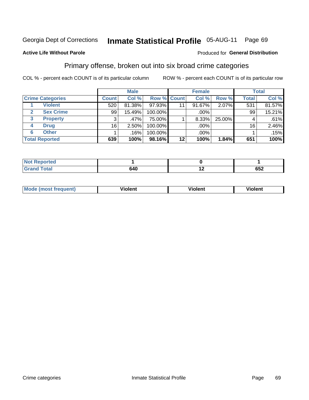#### **Inmate Statistical Profile 05-AUG-11** Page 69

## **Active Life Without Parole**

### Produced for General Distribution

# Primary offense, broken out into six broad crime categories

COL % - percent each COUNT is of its particular column

|                         |              | <b>Male</b> |         |                    | <b>Female</b> |        |              | <b>Total</b> |
|-------------------------|--------------|-------------|---------|--------------------|---------------|--------|--------------|--------------|
| <b>Crime Categories</b> | <b>Count</b> | Col %       |         | <b>Row % Count</b> | Col %         | Row %  | <b>Total</b> | Col %        |
| <b>Violent</b>          | 520          | 81.38%      | 97.93%  | 11                 | 91.67%        | 2.07%  | 531          | 81.57%       |
| <b>Sex Crime</b>        | 99           | 15.49%      | 100.00% |                    | .00%          |        | 99           | 15.21%       |
| <b>Property</b><br>3    | 3            | .47%        | 75.00%  |                    | 8.33%         | 25.00% |              | .61%         |
| <b>Drug</b><br>4        | 16           | 2.50%       | 100.00% |                    | .00%          |        | 16           | 2.46%        |
| <b>Other</b><br>6       |              | .16%        | 100.00% |                    | .00%          |        |              | .15%         |
| <b>Total Reported</b>   | 639          | 100%        | 98.16%  | $12 \,$            | 100%          | 1.84%  | 651          | 100%         |

| <b>Not Reported</b> |     |     |     |
|---------------------|-----|-----|-----|
| <b>Total</b>        | 640 | . . | 652 |

| M | . | 40 O |
|---|---|------|
|   |   |      |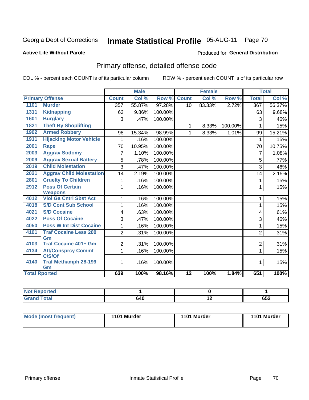### **Active Life Without Parole**

# Produced for **General Distribution**

# Primary offense, detailed offense code

|                      |                                    |                | <b>Male</b> |         |                 | <b>Female</b> |         |                  | <b>Total</b> |
|----------------------|------------------------------------|----------------|-------------|---------|-----------------|---------------|---------|------------------|--------------|
|                      | <b>Primary Offense</b>             | <b>Count</b>   | Col%        | Row %   | <b>Count</b>    | Col %         | Row %   | <b>Total</b>     | Col %        |
| 1101                 | <b>Murder</b>                      | 357            | 55.87%      | 97.28%  | 10              | 83.33%        | 2.72%   | $\overline{367}$ | 56.37%       |
| 1311                 | <b>Kidnapping</b>                  | 63             | 9.86%       | 100.00% |                 |               |         | 63               | 9.68%        |
| 1601                 | <b>Burglary</b>                    | 3              | .47%        | 100.00% |                 |               |         | $\mathfrak{B}$   | .46%         |
| 1821                 | <b>Theft By Shoplifting</b>        |                |             |         | $\mathbf 1$     | 8.33%         | 100.00% | $\mathbf{1}$     | .15%         |
| 1902                 | <b>Armed Robbery</b>               | 98             | 15.34%      | 98.99%  | 1               | 8.33%         | 1.01%   | 99               | 15.21%       |
| 1911                 | <b>Hijacking Motor Vehicle</b>     |                | .16%        | 100.00% |                 |               |         | 1                | .15%         |
| 2001                 | <b>Rape</b>                        | 70             | 10.95%      | 100.00% |                 |               |         | 70               | 10.75%       |
| 2003                 | <b>Aggrav Sodomy</b>               | 7              | 1.10%       | 100.00% |                 |               |         | $\overline{7}$   | 1.08%        |
| 2009                 | <b>Aggrav Sexual Battery</b>       | 5              | .78%        | 100.00% |                 |               |         | $\overline{5}$   | .77%         |
| 2019                 | <b>Child Molestation</b>           | 3              | .47%        | 100.00% |                 |               |         | 3                | .46%         |
| 2021                 | <b>Aggrav Child Molestation</b>    | 14             | 2.19%       | 100.00% |                 |               |         | 14               | 2.15%        |
| 2801                 | <b>Cruelty To Children</b>         |                | .16%        | 100.00% |                 |               |         | 1                | .15%         |
| 2912                 | <b>Poss Of Certain</b>             | 1              | .16%        | 100.00% |                 |               |         | 1                | .15%         |
|                      | <b>Weapons</b>                     |                |             |         |                 |               |         |                  |              |
| 4012                 | <b>Viol Ga Cntrl Sbst Act</b>      |                | .16%        | 100.00% |                 |               |         | 1                | .15%         |
| 4018                 | <b>S/D Cont Sub School</b>         | 1              | .16%        | 100.00% |                 |               |         | $\mathbf{1}$     | .15%         |
| 4021                 | <b>S/D Cocaine</b>                 | 4              | .63%        | 100.00% |                 |               |         | 4                | .61%         |
| 4022                 | <b>Poss Of Cocaine</b>             | 3              | .47%        | 100.00% |                 |               |         | 3                | .46%         |
| 4050                 | <b>Poss W Int Dist Cocaine</b>     | 1              | .16%        | 100.00% |                 |               |         | $\mathbf{1}$     | .15%         |
| 4101                 | <b>Traf Cocaine Less 200</b><br>Gm | $\overline{2}$ | .31%        | 100.00% |                 |               |         | $\overline{2}$   | .31%         |
| 4103                 | <b>Traf Cocaine 401+ Gm</b>        | 2              | .31%        | 100.00% |                 |               |         | 2                | .31%         |
| 4134                 | <b>Att/Consprcy Commt</b>          | 1              | .16%        | 100.00% |                 |               |         | $\mathbf{1}$     | .15%         |
|                      | C/S/Of                             |                |             |         |                 |               |         |                  |              |
| 4140                 | <b>Traf Methamph 28-199</b>        | $\mathbf 1$    | .16%        | 100.00% |                 |               |         | 1                | .15%         |
| <b>Total Rported</b> | Gm                                 | 639            | 100%        | 98.16%  | $\overline{12}$ | 100%          | 1.84%   | 651              | 100%         |
|                      |                                    |                |             |         |                 |               |         |                  |              |

| eported<br>n n |     |                          |            |
|----------------|-----|--------------------------|------------|
| <b>Total</b>   | 640 | $\overline{\phantom{0}}$ | 050<br>65Z |

| <b>Mode (most frequent)</b> | 1101 Murder | 1101 Murder | 1101 Murder |
|-----------------------------|-------------|-------------|-------------|
|                             |             |             |             |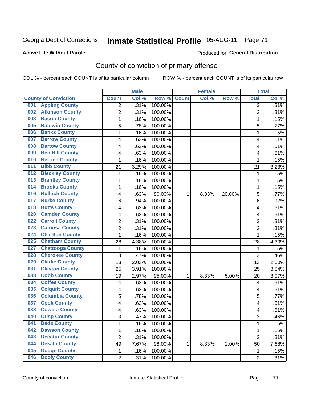Produced for **General Distribution**

# **Active Life Without Parole**

# County of conviction of primary offense

|                                |                | <b>Male</b> |         |              | <b>Female</b> |        |                | <b>Total</b> |
|--------------------------------|----------------|-------------|---------|--------------|---------------|--------|----------------|--------------|
| <b>County of Conviction</b>    | <b>Count</b>   | Col %       | Row %   | <b>Count</b> | Col %         | Row %  | <b>Total</b>   | Col %        |
| <b>Appling County</b><br>001   | 2              | .31%        | 100.00% |              |               |        | $\overline{2}$ | .31%         |
| <b>Atkinson County</b><br>002  | $\overline{2}$ | .31%        | 100.00% |              |               |        | $\overline{2}$ | .31%         |
| <b>Bacon County</b><br>003     | 1              | .16%        | 100.00% |              |               |        | $\mathbf{1}$   | .15%         |
| <b>Baldwin County</b><br>005   | 5              | .78%        | 100.00% |              |               |        | 5              | .77%         |
| <b>Banks County</b><br>006     | 1              | .16%        | 100.00% |              |               |        | $\mathbf{1}$   | .15%         |
| <b>Barrow County</b><br>007    | 4              | .63%        | 100.00% |              |               |        | 4              | .61%         |
| <b>Bartow County</b><br>008    | 4              | .63%        | 100.00% |              |               |        | 4              | .61%         |
| <b>Ben Hill County</b><br>009  | 4              | .63%        | 100.00% |              |               |        | 4              | .61%         |
| <b>Berrien County</b><br>010   | 1              | .16%        | 100.00% |              |               |        | 1              | .15%         |
| <b>Bibb County</b><br>011      | 21             | 3.29%       | 100.00% |              |               |        | 21             | 3.23%        |
| <b>Bleckley County</b><br>012  | 1              | .16%        | 100.00% |              |               |        | 1              | .15%         |
| <b>Brantley County</b><br>013  | 1              | .16%        | 100.00% |              |               |        | $\mathbf{1}$   | .15%         |
| <b>Brooks County</b><br>014    | 1              | .16%        | 100.00% |              |               |        | $\mathbf{1}$   | .15%         |
| <b>Bulloch County</b><br>016   | 4              | .63%        | 80.00%  | 1            | 8.33%         | 20.00% | 5              | .77%         |
| <b>Burke County</b><br>017     | 6              | .94%        | 100.00% |              |               |        | 6              | .92%         |
| <b>Butts County</b><br>018     | 4              | .63%        | 100.00% |              |               |        | 4              | .61%         |
| <b>Camden County</b><br>020    | 4              | .63%        | 100.00% |              |               |        | 4              | .61%         |
| <b>Carroll County</b><br>022   | 2              | .31%        | 100.00% |              |               |        | $\overline{2}$ | .31%         |
| <b>Catoosa County</b><br>023   | $\overline{2}$ | .31%        | 100.00% |              |               |        | $\overline{2}$ | .31%         |
| <b>Charlton County</b><br>024  | 1              | .16%        | 100.00% |              |               |        | $\mathbf{1}$   | .15%         |
| <b>Chatham County</b><br>025   | 28             | 4.38%       | 100.00% |              |               |        | 28             | 4.30%        |
| <b>Chattooga County</b><br>027 | 1              | .16%        | 100.00% |              |               |        | $\mathbf{1}$   | .15%         |
| <b>Cherokee County</b><br>028  | 3              | .47%        | 100.00% |              |               |        | 3              | .46%         |
| <b>Clarke County</b><br>029    | 13             | 2.03%       | 100.00% |              |               |        | 13             | 2.00%        |
| <b>Clayton County</b><br>031   | 25             | 3.91%       | 100.00% |              |               |        | 25             | 3.84%        |
| <b>Cobb County</b><br>033      | 19             | 2.97%       | 95.00%  | 1            | 8.33%         | 5.00%  | 20             | 3.07%        |
| <b>Coffee County</b><br>034    | 4              | .63%        | 100.00% |              |               |        | 4              | .61%         |
| <b>Colquitt County</b><br>035  | 4              | .63%        | 100.00% |              |               |        | 4              | .61%         |
| <b>Columbia County</b><br>036  | 5              | .78%        | 100.00% |              |               |        | 5              | .77%         |
| <b>Cook County</b><br>037      | 4              | .63%        | 100.00% |              |               |        | 4              | .61%         |
| <b>Coweta County</b><br>038    | 4              | .63%        | 100.00% |              |               |        | 4              | .61%         |
| 040<br><b>Crisp County</b>     | 3              | .47%        | 100.00% |              |               |        | 3              | .46%         |
| <b>Dade County</b><br>041      | 1              | .16%        | 100.00% |              |               |        | $\mathbf{1}$   | .15%         |
| <b>Dawson County</b><br>042    | 1              | .16%        | 100.00% |              |               |        | $\mathbf{1}$   | .15%         |
| <b>Decatur County</b><br>043   | $\overline{2}$ | .31%        | 100.00% |              |               |        | $\overline{2}$ | .31%         |
| <b>Dekalb County</b><br>044    | 49             | 7.67%       | 98.00%  | 1            | 8.33%         | 2.00%  | 50             | 7.68%        |
| <b>Dodge County</b><br>045     | $\mathbf{1}$   | .16%        | 100.00% |              |               |        | $\mathbf{1}$   | .15%         |
| <b>Dooly County</b><br>046     | $\overline{2}$ | .31%        | 100.00% |              |               |        | $\overline{2}$ | .31%         |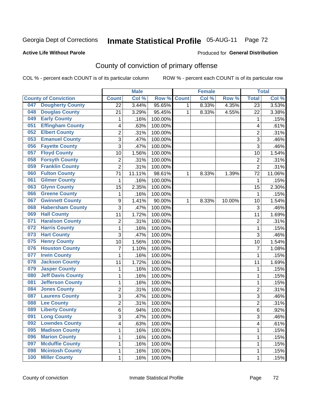### **Active Life Without Parole**

### Produced for **General Distribution**

# County of conviction of primary offense

|     |                             |                  | <b>Male</b> |         |              | <b>Female</b> |        |                | <b>Total</b> |
|-----|-----------------------------|------------------|-------------|---------|--------------|---------------|--------|----------------|--------------|
|     | <b>County of Conviction</b> | <b>Count</b>     | Col %       | Row %   | <b>Count</b> | Col %         | Row %  | <b>Total</b>   | Col %        |
| 047 | <b>Dougherty County</b>     | $\overline{22}$  | 3.44%       | 95.65%  | 1            | 8.33%         | 4.35%  | 23             | 3.53%        |
| 048 | <b>Douglas County</b>       | 21               | 3.29%       | 95.45%  | 1            | 8.33%         | 4.55%  | 22             | 3.38%        |
| 049 | <b>Early County</b>         | 1                | .16%        | 100.00% |              |               |        | 1              | .15%         |
| 051 | <b>Effingham County</b>     | 4                | .63%        | 100.00% |              |               |        | 4              | .61%         |
| 052 | <b>Elbert County</b>        | 2                | .31%        | 100.00% |              |               |        | $\overline{2}$ | .31%         |
| 053 | <b>Emanuel County</b>       | 3                | .47%        | 100.00% |              |               |        | $\overline{3}$ | .46%         |
| 056 | <b>Fayette County</b>       | 3                | .47%        | 100.00% |              |               |        | 3              | .46%         |
| 057 | <b>Floyd County</b>         | 10               | 1.56%       | 100.00% |              |               |        | 10             | 1.54%        |
| 058 | <b>Forsyth County</b>       | $\overline{2}$   | .31%        | 100.00% |              |               |        | $\overline{2}$ | .31%         |
| 059 | <b>Franklin County</b>      | $\overline{2}$   | .31%        | 100.00% |              |               |        | $\overline{2}$ | .31%         |
| 060 | <b>Fulton County</b>        | 71               | 11.11%      | 98.61%  | 1            | 8.33%         | 1.39%  | 72             | 11.06%       |
| 061 | <b>Gilmer County</b>        | 1                | .16%        | 100.00% |              |               |        | 1              | .15%         |
| 063 | <b>Glynn County</b>         | 15               | 2.35%       | 100.00% |              |               |        | 15             | 2.30%        |
| 066 | <b>Greene County</b>        | $\mathbf{1}$     | .16%        | 100.00% |              |               |        | $\mathbf{1}$   | .15%         |
| 067 | <b>Gwinnett County</b>      | $\boldsymbol{9}$ | 1.41%       | 90.00%  | 1            | 8.33%         | 10.00% | 10             | 1.54%        |
| 068 | <b>Habersham County</b>     | 3                | .47%        | 100.00% |              |               |        | 3              | .46%         |
| 069 | <b>Hall County</b>          | 11               | 1.72%       | 100.00% |              |               |        | 11             | 1.69%        |
| 071 | <b>Haralson County</b>      | $\overline{2}$   | .31%        | 100.00% |              |               |        | $\overline{2}$ | .31%         |
| 072 | <b>Harris County</b>        | $\mathbf 1$      | .16%        | 100.00% |              |               |        | $\mathbf{1}$   | .15%         |
| 073 | <b>Hart County</b>          | 3                | .47%        | 100.00% |              |               |        | $\overline{3}$ | .46%         |
| 075 | <b>Henry County</b>         | 10               | 1.56%       | 100.00% |              |               |        | 10             | 1.54%        |
| 076 | <b>Houston County</b>       | $\overline{7}$   | 1.10%       | 100.00% |              |               |        | $\overline{7}$ | 1.08%        |
| 077 | <b>Irwin County</b>         | $\mathbf 1$      | .16%        | 100.00% |              |               |        | 1              | .15%         |
| 078 | <b>Jackson County</b>       | 11               | 1.72%       | 100.00% |              |               |        | 11             | 1.69%        |
| 079 | <b>Jasper County</b>        | $\mathbf{1}$     | .16%        | 100.00% |              |               |        | 1              | .15%         |
| 080 | <b>Jeff Davis County</b>    | $\mathbf{1}$     | .16%        | 100.00% |              |               |        | $\mathbf{1}$   | .15%         |
| 081 | <b>Jefferson County</b>     | $\mathbf 1$      | .16%        | 100.00% |              |               |        | 1              | .15%         |
| 084 | <b>Jones County</b>         | $\overline{c}$   | .31%        | 100.00% |              |               |        | $\overline{c}$ | .31%         |
| 087 | <b>Laurens County</b>       | 3                | .47%        | 100.00% |              |               |        | 3              | .46%         |
| 088 | <b>Lee County</b>           | $\overline{2}$   | .31%        | 100.00% |              |               |        | $\overline{2}$ | .31%         |
| 089 | <b>Liberty County</b>       | 6                | .94%        | 100.00% |              |               |        | 6              | .92%         |
| 091 | <b>Long County</b>          | 3                | .47%        | 100.00% |              |               |        | 3              | .46%         |
| 092 | <b>Lowndes County</b>       | 4                | .63%        | 100.00% |              |               |        | 4              | .61%         |
| 095 | <b>Madison County</b>       | 1                | .16%        | 100.00% |              |               |        | $\mathbf{1}$   | .15%         |
| 096 | <b>Marion County</b>        | 1                | .16%        | 100.00% |              |               |        | 1              | .15%         |
| 097 | <b>Mcduffie County</b>      | 1                | .16%        | 100.00% |              |               |        | 1              | .15%         |
| 098 | <b>Mcintosh County</b>      | 1                | .16%        | 100.00% |              |               |        | $\mathbf{1}$   | .15%         |
| 100 | <b>Miller County</b>        | $\mathbf 1$      | .16%        | 100.00% |              |               |        | 1              | .15%         |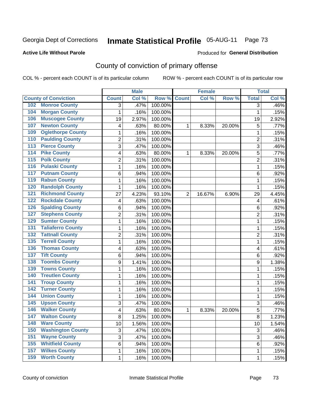### **Active Life Without Parole**

# Produced for **General Distribution**

# County of conviction of primary offense

|                                 |                | <b>Male</b> |         |                | <b>Female</b> |        |                | <b>Total</b>        |
|---------------------------------|----------------|-------------|---------|----------------|---------------|--------|----------------|---------------------|
| <b>County of Conviction</b>     | <b>Count</b>   | Col %       | Row %   | <b>Count</b>   | Col %         | Row %  | <b>Total</b>   | Col %               |
| <b>Monroe County</b><br>102     | 3              | .47%        | 100.00% |                |               |        | 3              | .46%                |
| <b>Morgan County</b><br>104     | $\mathbf{1}$   | .16%        | 100.00% |                |               |        | $\mathbf{1}$   | .15%                |
| <b>Muscogee County</b><br>106   | 19             | 2.97%       | 100.00% |                |               |        | 19             | 2.92%               |
| <b>Newton County</b><br>107     | 4              | .63%        | 80.00%  | 1              | 8.33%         | 20.00% | 5              | .77%                |
| <b>Oglethorpe County</b><br>109 | 1              | .16%        | 100.00% |                |               |        | $\mathbf{1}$   | .15%                |
| <b>Paulding County</b><br>110   | $\overline{2}$ | .31%        | 100.00% |                |               |        | $\overline{2}$ | .31%                |
| <b>Pierce County</b><br>113     | 3              | .47%        | 100.00% |                |               |        | 3              | .46%                |
| <b>Pike County</b><br>114       | 4              | .63%        | 80.00%  | 1              | 8.33%         | 20.00% | 5              | .77%                |
| <b>Polk County</b><br>115       | $\overline{2}$ | .31%        | 100.00% |                |               |        | $\overline{2}$ | .31%                |
| <b>Pulaski County</b><br>116    | $\mathbf{1}$   | .16%        | 100.00% |                |               |        | $\mathbf{1}$   | .15%                |
| <b>Putnam County</b><br>117     | 6              | .94%        | 100.00% |                |               |        | 6              | .92%                |
| <b>Rabun County</b><br>119      | 1              | .16%        | 100.00% |                |               |        | 1              | .15%                |
| <b>Randolph County</b><br>120   | $\mathbf{1}$   | .16%        | 100.00% |                |               |        | 1              | .15%                |
| <b>Richmond County</b><br>121   | 27             | 4.23%       | 93.10%  | $\overline{2}$ | 16.67%        | 6.90%  | 29             | 4.45%               |
| <b>Rockdale County</b><br>122   | 4              | .63%        | 100.00% |                |               |        | 4              | .61%                |
| <b>Spalding County</b><br>126   | 6              | .94%        | 100.00% |                |               |        | 6              | .92%                |
| <b>Stephens County</b><br>127   | 2              | .31%        | 100.00% |                |               |        | $\overline{2}$ | .31%                |
| <b>Sumter County</b><br>129     | $\mathbf{1}$   | .16%        | 100.00% |                |               |        | $\mathbf{1}$   | .15%                |
| <b>Taliaferro County</b><br>131 | $\mathbf 1$    | .16%        | 100.00% |                |               |        | 1              | .15%                |
| <b>Tattnall County</b><br>132   | $\overline{c}$ | .31%        | 100.00% |                |               |        | $\overline{c}$ | .31%                |
| <b>Terrell County</b><br>135    | $\mathbf{1}$   | .16%        | 100.00% |                |               |        | $\mathbf{1}$   | .15%                |
| <b>Thomas County</b><br>136     | 4              | .63%        | 100.00% |                |               |        | 4              | .61%                |
| <b>Tift County</b><br>137       | 6              | .94%        | 100.00% |                |               |        | 6              | .92%                |
| <b>Toombs County</b><br>138     | 9              | 1.41%       | 100.00% |                |               |        | 9              | 1.38%               |
| <b>Towns County</b><br>139      | 1              | .16%        | 100.00% |                |               |        | 1              | .15%                |
| <b>Treutlen County</b><br>140   | 1              | .16%        | 100.00% |                |               |        | 1              | .15%                |
| <b>Troup County</b><br>141      | $\mathbf{1}$   | .16%        | 100.00% |                |               |        | 1              | .15%                |
| <b>Turner County</b><br>142     | 1              | .16%        | 100.00% |                |               |        | 1              | .15%                |
| <b>Union County</b><br>144      | 1              | .16%        | 100.00% |                |               |        | $\mathbf{1}$   | .15%                |
| <b>Upson County</b><br>145      | 3              | .47%        | 100.00% |                |               |        | 3              | .46%                |
| <b>Walker County</b><br>146     | 4              | .63%        | 80.00%  | 1              | 8.33%         | 20.00% | 5              | .77%                |
| 147<br><b>Walton County</b>     | 8              | 1.25%       | 100.00% |                |               |        | 8              | 1.23%               |
| <b>Ware County</b><br>148       | 10             | 1.56%       | 100.00% |                |               |        | 10             | $\overline{1.54\%}$ |
| <b>Washington County</b><br>150 | 3              | .47%        | 100.00% |                |               |        | 3              | .46%                |
| <b>Wayne County</b><br>151      | $\overline{3}$ | .47%        | 100.00% |                |               |        | $\overline{3}$ | .46%                |
| <b>Whitfield County</b><br>155  | 6              | .94%        | 100.00% |                |               |        | 6              | .92%                |
| <b>Wilkes County</b><br>157     | 1              | .16%        | 100.00% |                |               |        | $\mathbf{1}$   | .15%                |
| <b>Worth County</b><br>159      | $\mathbf 1$    | .16%        | 100.00% |                |               |        | 1              | .15%                |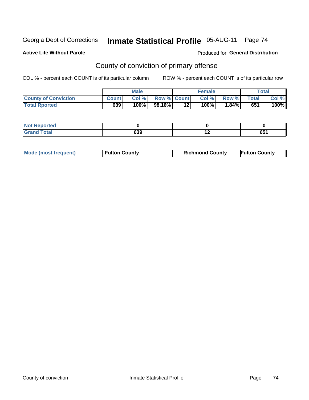## **Active Life Without Parole**

### Produced for **General Distribution**

# County of conviction of primary offense

|                             |              | <b>Male</b> |                    |    | <b>Female</b> |          |       | Total |
|-----------------------------|--------------|-------------|--------------------|----|---------------|----------|-------|-------|
| <b>County of Conviction</b> | <b>Count</b> | Col %       | <b>Row % Count</b> |    | Col %         | Row %    | Total | Col % |
| <b>Total Rported</b>        | 639          | ا 100%      | 98.16% <b> </b>    | 12 | $100\%$       | $1.84\%$ | 651   | 100%  |

| <b>Reported</b><br>- IN 4 |     |     |      |  |
|---------------------------|-----|-----|------|--|
| <b>cotal</b>              | 639 | . . | re 1 |  |
| $\mathbf{v}$ and          |     | . . | vv i |  |

| Mode (most frequent) | <b>Fulton County</b> | <b>Richmond County</b> | <b>Fulton County</b> |
|----------------------|----------------------|------------------------|----------------------|
|----------------------|----------------------|------------------------|----------------------|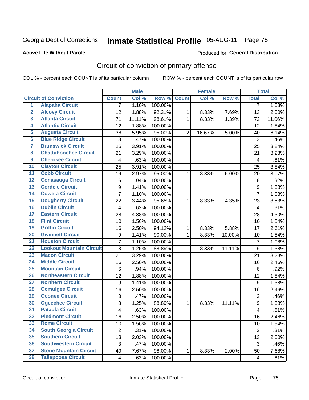## **Active Life Without Parole**

### Produced for **General Distribution**

# Circuit of conviction of primary offense

|                         |                                 | <b>Male</b>             |        | <b>Female</b>      |                |        | <b>Total</b> |                         |        |
|-------------------------|---------------------------------|-------------------------|--------|--------------------|----------------|--------|--------------|-------------------------|--------|
|                         | <b>Circuit of Conviction</b>    | <b>Count</b>            | Col %  | <b>Row % Count</b> |                | Col %  | Row %        | <b>Total</b>            | Col %  |
| $\overline{1}$          | <b>Alapaha Circuit</b>          | $\overline{7}$          | 1.10%  | 100.00%            |                |        |              | $\overline{7}$          | 1.08%  |
| $\overline{2}$          | <b>Alcovy Circuit</b>           | 12                      | 1.88%  | 92.31%             | 1              | 8.33%  | 7.69%        | 13                      | 2.00%  |
| $\overline{\mathbf{3}}$ | <b>Atlanta Circuit</b>          | 71                      | 11.11% | 98.61%             | $\mathbf{1}$   | 8.33%  | 1.39%        | 72                      | 11.06% |
| 4                       | <b>Atlantic Circuit</b>         | 12                      | 1.88%  | 100.00%            |                |        |              | 12                      | 1.84%  |
| $\overline{5}$          | <b>Augusta Circuit</b>          | 38                      | 5.95%  | 95.00%             | $\overline{2}$ | 16.67% | 5.00%        | 40                      | 6.14%  |
| $\overline{6}$          | <b>Blue Ridge Circuit</b>       | 3                       | .47%   | 100.00%            |                |        |              | 3                       | .46%   |
| 7                       | <b>Brunswick Circuit</b>        | 25                      | 3.91%  | 100.00%            |                |        |              | 25                      | 3.84%  |
| $\overline{\mathbf{8}}$ | <b>Chattahoochee Circuit</b>    | 21                      | 3.29%  | 100.00%            |                |        |              | 21                      | 3.23%  |
| $\overline{9}$          | <b>Cherokee Circuit</b>         | 4                       | .63%   | 100.00%            |                |        |              | $\overline{\mathbf{4}}$ | .61%   |
| 10                      | <b>Clayton Circuit</b>          | 25                      | 3.91%  | 100.00%            |                |        |              | 25                      | 3.84%  |
| 11                      | <b>Cobb Circuit</b>             | 19                      | 2.97%  | 95.00%             | 1              | 8.33%  | 5.00%        | 20                      | 3.07%  |
| 12                      | <b>Conasauga Circuit</b>        | 6                       | .94%   | 100.00%            |                |        |              | 6                       | .92%   |
| $\overline{13}$         | <b>Cordele Circuit</b>          | 9                       | 1.41%  | 100.00%            |                |        |              | 9                       | 1.38%  |
| $\overline{14}$         | <b>Coweta Circuit</b>           | $\overline{7}$          | 1.10%  | 100.00%            |                |        |              | $\overline{7}$          | 1.08%  |
| 15                      | <b>Dougherty Circuit</b>        | 22                      | 3.44%  | 95.65%             | 1              | 8.33%  | 4.35%        | 23                      | 3.53%  |
| 16                      | <b>Dublin Circuit</b>           | 4                       | .63%   | 100.00%            |                |        |              | $\overline{\mathbf{4}}$ | .61%   |
| $\overline{17}$         | <b>Eastern Circuit</b>          | 28                      | 4.38%  | 100.00%            |                |        |              | 28                      | 4.30%  |
| 18                      | <b>Flint Circuit</b>            | 10                      | 1.56%  | 100.00%            |                |        |              | 10                      | 1.54%  |
| 19                      | <b>Griffin Circuit</b>          | 16                      | 2.50%  | 94.12%             | 1              | 8.33%  | 5.88%        | 17                      | 2.61%  |
| 20                      | <b>Gwinnett Circuit</b>         | 9                       | 1.41%  | 90.00%             | 1              | 8.33%  | 10.00%       | 10                      | 1.54%  |
| $\overline{21}$         | <b>Houston Circuit</b>          | $\overline{7}$          | 1.10%  | 100.00%            |                |        |              | $\overline{7}$          | 1.08%  |
| $\overline{22}$         | <b>Lookout Mountain Circuit</b> | $\overline{8}$          | 1.25%  | 88.89%             | 1              | 8.33%  | 11.11%       | 9                       | 1.38%  |
| 23                      | <b>Macon Circuit</b>            | 21                      | 3.29%  | 100.00%            |                |        |              | 21                      | 3.23%  |
| $\overline{24}$         | <b>Middle Circuit</b>           | 16                      | 2.50%  | 100.00%            |                |        |              | 16                      | 2.46%  |
| $\overline{25}$         | <b>Mountain Circuit</b>         | 6                       | .94%   | 100.00%            |                |        |              | 6                       | .92%   |
| 26                      | <b>Northeastern Circuit</b>     | 12                      | 1.88%  | 100.00%            |                |        |              | 12                      | 1.84%  |
| $\overline{27}$         | <b>Northern Circuit</b>         | $\boldsymbol{9}$        | 1.41%  | 100.00%            |                |        |              | $\boldsymbol{9}$        | 1.38%  |
| 28                      | <b>Ocmulgee Circuit</b>         | 16                      | 2.50%  | 100.00%            |                |        |              | 16                      | 2.46%  |
| 29                      | <b>Oconee Circuit</b>           | 3                       | .47%   | 100.00%            |                |        |              | 3                       | .46%   |
| 30                      | <b>Ogeechee Circuit</b>         | 8                       | 1.25%  | 88.89%             | 1              | 8.33%  | 11.11%       | 9                       | 1.38%  |
| $\overline{31}$         | <b>Pataula Circuit</b>          | 4                       | .63%   | 100.00%            |                |        |              | 4                       | .61%   |
| 32                      | <b>Piedmont Circuit</b>         | 16                      | 2.50%  | 100.00%            |                |        |              | 16                      | 2.46%  |
| 33                      | <b>Rome Circuit</b>             | 10                      | 1.56%  | 100.00%            |                |        |              | 10                      | 1.54%  |
| 34                      | <b>South Georgia Circuit</b>    | $\overline{2}$          | .31%   | 100.00%            |                |        |              | $\overline{2}$          | .31%   |
| 35                      | <b>Southern Circuit</b>         | 13                      | 2.03%  | 100.00%            |                |        |              | 13                      | 2.00%  |
| 36                      | <b>Southwestern Circuit</b>     | 3                       | .47%   | 100.00%            |                |        |              | 3                       | .46%   |
| 37                      | <b>Stone Mountain Circuit</b>   | 49                      | 7.67%  | 98.00%             | 1              | 8.33%  | 2.00%        | 50                      | 7.68%  |
| 38                      | <b>Tallapoosa Circuit</b>       | $\overline{\mathbf{4}}$ | .63%   | 100.00%            |                |        |              | $\overline{4}$          | .61%   |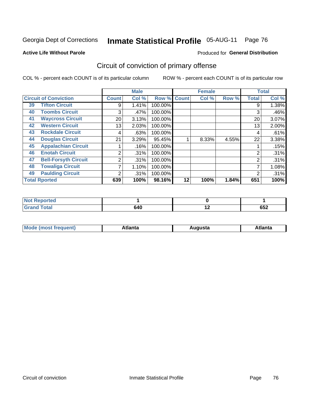#### **Active Life Without Parole**

#### Produced for **General Distribution**

## Circuit of conviction of primary offense

|    |                              |                 | <b>Male</b> |         |              | <b>Female</b> |       |                | <b>Total</b> |
|----|------------------------------|-----------------|-------------|---------|--------------|---------------|-------|----------------|--------------|
|    | <b>Circuit of Conviction</b> | <b>Count</b>    | Col %       | Row %   | <b>Count</b> | Col %         | Row % | <b>Total</b>   | Col %        |
| 39 | <b>Tifton Circuit</b>        | 9               | 1.41%       | 100.00% |              |               |       | 9              | 1.38%        |
| 40 | <b>Toombs Circuit</b>        | 3               | .47%        | 100.00% |              |               |       | 3              | .46%         |
| 41 | <b>Waycross Circuit</b>      | 20 <sub>1</sub> | 3.13%       | 100.00% |              |               |       | 20             | 3.07%        |
| 42 | <b>Western Circuit</b>       | 13              | 2.03%       | 100.00% |              |               |       | 13             | 2.00%        |
| 43 | <b>Rockdale Circuit</b>      | 4               | .63%        | 100.00% |              |               |       | 4              | .61%         |
| 44 | <b>Douglas Circuit</b>       | 21              | 3.29%       | 95.45%  |              | 8.33%         | 4.55% | 22             | 3.38%        |
| 45 | <b>Appalachian Circuit</b>   |                 | .16%        | 100.00% |              |               |       |                | .15%         |
| 46 | <b>Enotah Circuit</b>        | 2               | .31%        | 100.00% |              |               |       | 2              | .31%         |
| 47 | <b>Bell-Forsyth Circuit</b>  | 2               | .31%        | 100.00% |              |               |       | $\overline{2}$ | .31%         |
| 48 | <b>Towaliga Circuit</b>      |                 | 1.10%       | 100.00% |              |               |       |                | 1.08%        |
| 49 | <b>Paulding Circuit</b>      | ◠               | .31%        | 100.00% |              |               |       | 2              | .31%         |
|    | <b>Total Rported</b>         | 639             | 100%        | 98.16%  | 12           | 100%          | 1.84% | 651            | 100%         |

| <b>eported</b><br><b>N</b> |     |     |     |
|----------------------------|-----|-----|-----|
| <b>Total</b>               | 640 | . . | いいつ |
| $\mathbf{v}$ and           |     |     | OJ∠ |

| М<br>. Innás<br>.<br>.<br>wanta<br>Πū<br>31.<br>$\sim$ $\sim$ $\sim$ |
|----------------------------------------------------------------------|
|----------------------------------------------------------------------|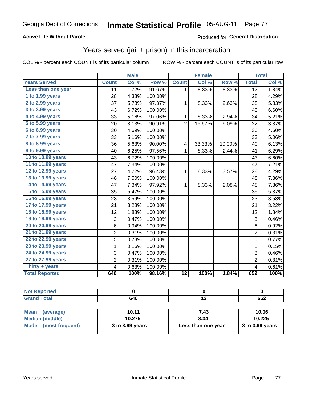### **Active Life Without Parole**

#### Produced for **General Distribution**

### Years served (jail + prison) in this incarceration

|                       | <b>Male</b>    |       |         | <b>Female</b>   |        |        | <b>Total</b>            |       |
|-----------------------|----------------|-------|---------|-----------------|--------|--------|-------------------------|-------|
| <b>Years Served</b>   | <b>Count</b>   | Col % | Row %   | <b>Count</b>    | Col %  | Row %  | <b>Total</b>            | Col % |
| Less than one year    | 11             | 1.72% | 91.67%  | 1               | 8.33%  | 8.33%  | $\overline{12}$         | 1.84% |
| 1 to 1.99 years       | 28             | 4.38% | 100.00% |                 |        |        | 28                      | 4.29% |
| 2 to 2.99 years       | 37             | 5.78% | 97.37%  | 1               | 8.33%  | 2.63%  | 38                      | 5.83% |
| 3 to 3.99 years       | 43             | 6.72% | 100.00% |                 |        |        | 43                      | 6.60% |
| 4 to 4.99 years       | 33             | 5.16% | 97.06%  | 1               | 8.33%  | 2.94%  | 34                      | 5.21% |
| 5 to 5.99 years       | 20             | 3.13% | 90.91%  | $\overline{2}$  | 16.67% | 9.09%  | 22                      | 3.37% |
| 6 to 6.99 years       | 30             | 4.69% | 100.00% |                 |        |        | 30                      | 4.60% |
| 7 to 7.99 years       | 33             | 5.16% | 100.00% |                 |        |        | 33                      | 5.06% |
| 8 to 8.99 years       | 36             | 5.63% | 90.00%  | 4               | 33.33% | 10.00% | 40                      | 6.13% |
| 9 to 9.99 years       | 40             | 6.25% | 97.56%  | $\mathbf{1}$    | 8.33%  | 2.44%  | 41                      | 6.29% |
| 10 to 10.99 years     | 43             | 6.72% | 100.00% |                 |        |        | 43                      | 6.60% |
| 11 to 11.99 years     | 47             | 7.34% | 100.00% |                 |        |        | 47                      | 7.21% |
| 12 to 12.99 years     | 27             | 4.22% | 96.43%  | 1               | 8.33%  | 3.57%  | 28                      | 4.29% |
| 13 to 13.99 years     | 48             | 7.50% | 100.00% |                 |        |        | 48                      | 7.36% |
| 14 to 14.99 years     | 47             | 7.34% | 97.92%  | 1               | 8.33%  | 2.08%  | 48                      | 7.36% |
| 15 to 15.99 years     | 35             | 5.47% | 100.00% |                 |        |        | 35                      | 5.37% |
| 16 to 16.99 years     | 23             | 3.59% | 100.00% |                 |        |        | 23                      | 3.53% |
| 17 to 17.99 years     | 21             | 3.28% | 100.00% |                 |        |        | 21                      | 3.22% |
| 18 to 18.99 years     | 12             | 1.88% | 100.00% |                 |        |        | 12                      | 1.84% |
| 19 to 19.99 years     | 3              | 0.47% | 100.00% |                 |        |        | 3                       | 0.46% |
| 20 to 20.99 years     | 6              | 0.94% | 100.00% |                 |        |        | $\,6$                   | 0.92% |
| 21 to 21.99 years     | $\overline{c}$ | 0.31% | 100.00% |                 |        |        | $\overline{2}$          | 0.31% |
| 22 to 22.99 years     | 5              | 0.78% | 100.00% |                 |        |        | 5                       | 0.77% |
| 23 to 23.99 years     | 1              | 0.16% | 100.00% |                 |        |        | 1                       | 0.15% |
| 24 to 24.99 years     | 3              | 0.47% | 100.00% |                 |        |        | 3                       | 0.46% |
| 27 to 27.99 years     | $\overline{c}$ | 0.31% | 100.00% |                 |        |        | $\overline{2}$          | 0.31% |
| Thirty $+$ years      | 4              | 0.63% | 100.00% |                 |        |        | $\overline{\mathbf{4}}$ | 0.61% |
| <b>Total Reported</b> | 640            | 100%  | 98.16%  | $\overline{12}$ | 100%   | 1.84%  | 652                     | 100%  |

| τeα |     |                          |                |
|-----|-----|--------------------------|----------------|
|     | 640 | $\overline{\phantom{0}}$ | $- - -$<br>υυ∠ |

| <b>Mean</b><br>(average)       | 10.11           | 7.43               | 10.06             |
|--------------------------------|-----------------|--------------------|-------------------|
| Median (middle)                | 10.275          | 8.34               | 10.225            |
| <b>Mode</b><br>(most frequent) | 3 to 3.99 years | Less than one year | $3$ to 3.99 years |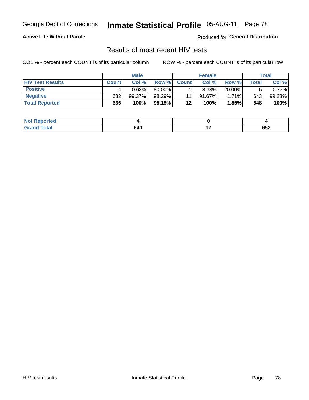### **Active Life Without Parole**

Produced for **General Distribution**

### Results of most recent HIV tests

|                         |              | <b>Male</b> |        |              | <b>Female</b> |          |         | Total  |
|-------------------------|--------------|-------------|--------|--------------|---------------|----------|---------|--------|
| <b>HIV Test Results</b> | <b>Count</b> | Col%        | Row %I | <b>Count</b> | Col %         | Row %    | ⊤otal ⊦ | Col %  |
| <b>Positive</b>         |              | 0.63%       | 80.00% |              | 8.33%         | 20.00%   |         | 0.77%  |
| <b>Negative</b>         | 632          | 99.37%      | 98.29% | 11           | $91.67\%$     | $1.71\%$ | 643     | 99.23% |
| <b>Total Reported</b>   | 636          | 100%        | 98.15% | 12           | <b>100%</b>   | 1.85%    | 648     | 100%   |

| <b>Not Reported</b> |     |     |               |
|---------------------|-----|-----|---------------|
| <b>Total</b>        | 640 | . . | <b></b><br>פס |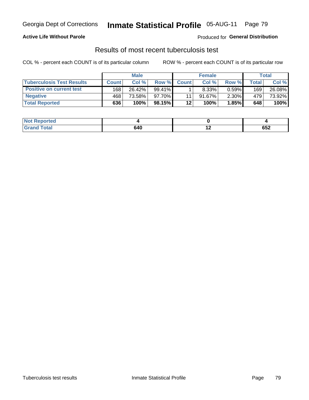### **Active Life Without Parole**

Produced for **General Distribution**

### Results of most recent tuberculosis test

|                                  |              | <b>Male</b> |           |              | <b>Female</b> |          |              | Total  |
|----------------------------------|--------------|-------------|-----------|--------------|---------------|----------|--------------|--------|
| <b>Tuberculosis Test Results</b> | <b>Count</b> | Col%        | Row %I    | <b>Count</b> | Col%          | Row %    | <b>Total</b> | Col %  |
| <b>Positive on current test</b>  | 168          | 26.42%      | $99.41\%$ |              | 8.33%         | 0.59%    | 169          | 26.08% |
| <b>Negative</b>                  | 468          | 73.58%      | $97.70\%$ |              | $91.67\%$     | $2.30\%$ | 479          | 73.92% |
| <b>Total Reported</b>            | 636          | 100%        | 98.15%    | $12 \,$      | 100%          | 1.85%    | 648          | 100%   |

| <b>Not Reported</b> |     |     |     |
|---------------------|-----|-----|-----|
| <b>Fotal</b>        | 640 | . . | 652 |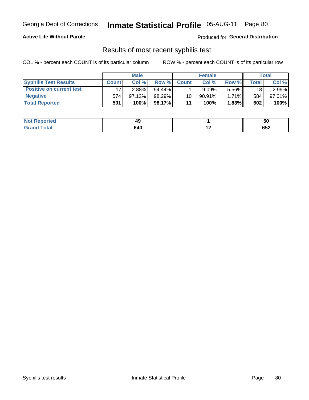#### **Active Life Without Parole**

Produced for **General Distribution**

### Results of most recent syphilis test

|                                 |              | <b>Male</b> |           |                 | <b>Female</b> |          |              | Total  |
|---------------------------------|--------------|-------------|-----------|-----------------|---------------|----------|--------------|--------|
| <b>Syphilis Test Results</b>    | <b>Count</b> | Col%        | Row %     | <b>Count</b>    | Col %         | Row %    | <b>Total</b> | Col %  |
| <b>Positive on current test</b> |              | 2.88%       | $94.44\%$ |                 | 9.09%         | 5.56%    | 18           | 2.99%  |
| <b>Negative</b>                 | 574          | 97.12%      | 98.29%    | 10 <sup>1</sup> | $90.91\%$     | $1.71\%$ | 584          | 97.01% |
| <b>Total Reported</b>           | 591          | 100%        | 98.17%    | 11              | 100%          | 1.83%    | 602          | 100%   |

| <b>Not Reported</b> | 45  |     | ວບ                |
|---------------------|-----|-----|-------------------|
| <b>Total</b>        | 640 | . . | 050<br><b>652</b> |